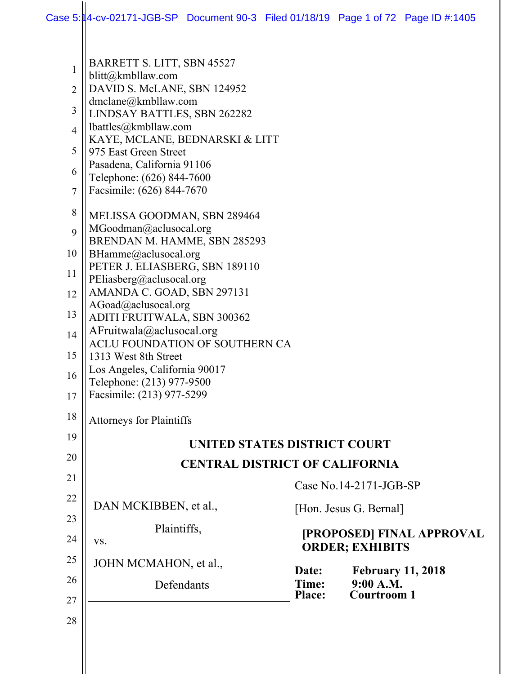$\mathbf{\mathsf{I}}$ 

| 1              | BARRETT S. LITT, SBN 45527                                 |                        |                                                     |
|----------------|------------------------------------------------------------|------------------------|-----------------------------------------------------|
|                | blitt@kmbllaw.com                                          |                        |                                                     |
| $\overline{2}$ | DAVID S. McLANE, SBN 124952<br>dmclane@kmbllaw.com         |                        |                                                     |
| 3              | LINDSAY BATTLES, SBN 262282                                |                        |                                                     |
| $\overline{4}$ | lbattles@kmbllaw.com                                       |                        |                                                     |
| 5              | KAYE, MCLANE, BEDNARSKI & LITT<br>975 East Green Street    |                        |                                                     |
|                | Pasadena, California 91106                                 |                        |                                                     |
| 6              | Telephone: (626) 844-7600                                  |                        |                                                     |
| $\tau$         | Facsimile: (626) 844-7670                                  |                        |                                                     |
| 8              | MELISSA GOODMAN, SBN 289464                                |                        |                                                     |
| 9              | MGoodman@aclusocal.org                                     |                        |                                                     |
| 10             | BRENDAN M. HAMME, SBN 285293                               |                        |                                                     |
|                | BHamme@aclusocal.org<br>PETER J. ELIASBERG, SBN 189110     |                        |                                                     |
| 11             | PEliasberg@aclusocal.org                                   |                        |                                                     |
| 12             | AMANDA C. GOAD, SBN 297131                                 |                        |                                                     |
| 13             | AGoad@aclusocal.org<br>ADITI FRUITWALA, SBN 300362         |                        |                                                     |
| 14             | AFruitwala@aclusocal.org                                   |                        |                                                     |
|                | ACLU FOUNDATION OF SOUTHERN CA                             |                        |                                                     |
| 15             | 1313 West 8th Street                                       |                        |                                                     |
| 16             | Los Angeles, California 90017<br>Telephone: (213) 977-9500 |                        |                                                     |
| 17             | Facsimile: (213) 977-5299                                  |                        |                                                     |
| 18             | <b>Attorneys for Plaintiffs</b>                            |                        |                                                     |
| 19             | <b>UNITED STATES DISTRICT COURT</b>                        |                        |                                                     |
| 20             | <b>CENTRAL DISTRICT OF CALIFORNIA</b>                      |                        |                                                     |
| 21             |                                                            |                        |                                                     |
| 22             |                                                            |                        | Case No.14-2171-JGB-SP                              |
|                | DAN MCKIBBEN, et al.,                                      |                        | [Hon. Jesus G. Bernal]                              |
| 23             | Plaintiffs,                                                |                        |                                                     |
| 24             | VS.                                                        |                        | [PROPOSED] FINAL APPROVAL<br><b>ORDER; EXHIBITS</b> |
| 25             | JOHN MCMAHON, et al.,                                      | Date:                  | <b>February 11, 2018</b>                            |
| 26             | Defendants                                                 | Time:<br><b>Place:</b> | 9:00 A.M.<br><b>Courtroom 1</b>                     |
| 27             |                                                            |                        |                                                     |
| 28             |                                                            |                        |                                                     |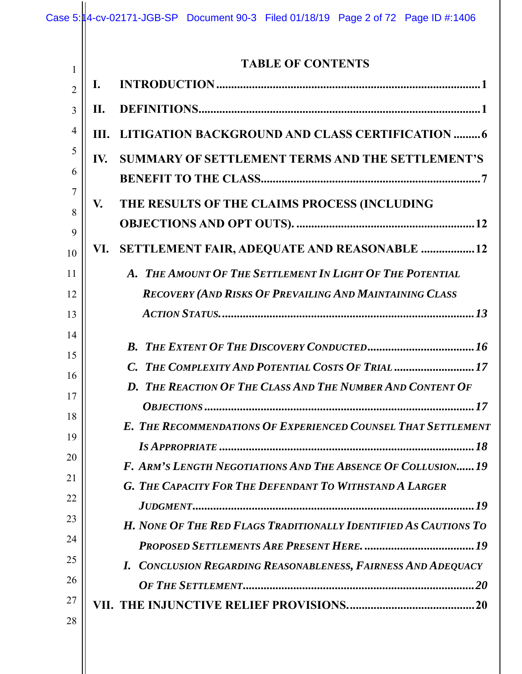| $\mathbf{1}$         |      | <b>TABLE OF CONTENTS</b>                                                                                                      |
|----------------------|------|-------------------------------------------------------------------------------------------------------------------------------|
| $\overline{2}$       | I.   |                                                                                                                               |
| 3                    | Н.   |                                                                                                                               |
| $\overline{4}$       | III. | LITIGATION BACKGROUND AND CLASS CERTIFICATION  6                                                                              |
| 5<br>6               | IV.  | <b>SUMMARY OF SETTLEMENT TERMS AND THE SETTLEMENT'S</b>                                                                       |
| 7<br>8               | V.   | THE RESULTS OF THE CLAIMS PROCESS (INCLUDING                                                                                  |
| 9<br>10              | VI.  | SETTLEMENT FAIR, ADEQUATE AND REASONABLE  12                                                                                  |
| 11<br>12<br>13       |      | A. THE AMOUNT OF THE SETTLEMENT IN LIGHT OF THE POTENTIAL<br><b>RECOVERY (AND RISKS OF PREVAILING AND MAINTAINING CLASS</b>   |
| 14<br>15<br>16<br>17 |      | C. THE COMPLEXITY AND POTENTIAL COSTS OF TRIAL 17<br>D. THE REACTION OF THE CLASS AND THE NUMBER AND CONTENT OF               |
| 18<br>19             |      | E. THE RECOMMENDATIONS OF EXPERIENCED COUNSEL THAT SETTLEMENT                                                                 |
| 20<br>21<br>22       |      | F. ARM'S LENGTH NEGOTIATIONS AND THE ABSENCE OF COLLUSION19<br><b>G. THE CAPACITY FOR THE DEFENDANT TO WITHSTAND A LARGER</b> |
| 23<br>24             |      | H. NONE OF THE RED FLAGS TRADITIONALLY IDENTIFIED AS CAUTIONS TO                                                              |
| 25<br>26             |      | I. CONCLUSION REGARDING REASONABLENESS, FAIRNESS AND ADEQUACY                                                                 |
| 27<br>28             |      |                                                                                                                               |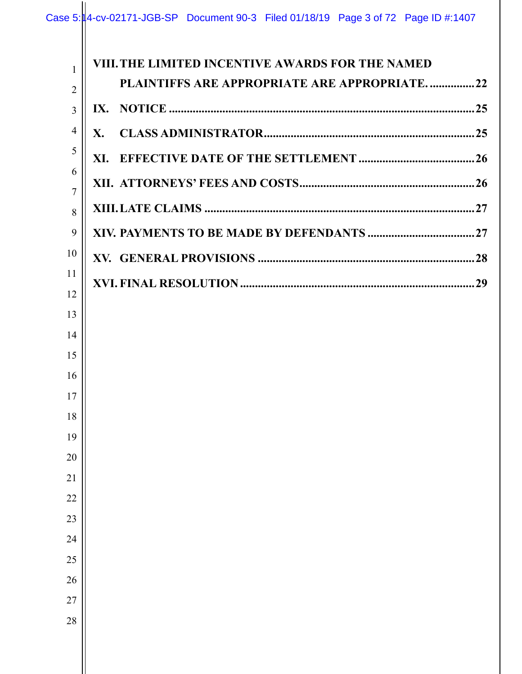| 1              | VIII. THE LIMITED INCENTIVE AWARDS FOR THE NAMED |  |
|----------------|--------------------------------------------------|--|
| $\overline{2}$ | PLAINTIFFS ARE APPROPRIATE ARE APPROPRIATE22     |  |
| $\overline{3}$ |                                                  |  |
| 4              | X.                                               |  |
| 5              |                                                  |  |
| 6              |                                                  |  |
| $\overline{7}$ |                                                  |  |
| 8<br>9         |                                                  |  |
| 10             |                                                  |  |
| 11             |                                                  |  |
| 12             |                                                  |  |
| 13             |                                                  |  |
| 14             |                                                  |  |
| 15             |                                                  |  |
| 16             |                                                  |  |
| 17             |                                                  |  |
| 18             |                                                  |  |
| 19             |                                                  |  |
| 20             |                                                  |  |
| 21             |                                                  |  |
| 22             |                                                  |  |
| 23             |                                                  |  |
| 24             |                                                  |  |
| 25             |                                                  |  |
| 26             |                                                  |  |
| 27             |                                                  |  |
| 28             |                                                  |  |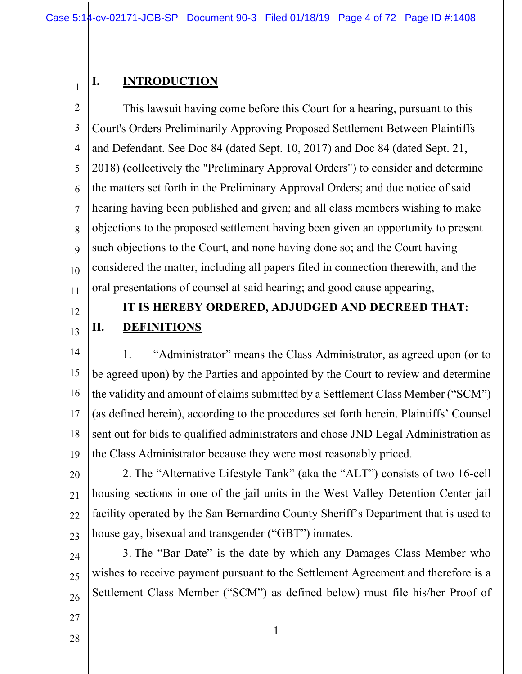#### **I. INTRODUCTION**

2 3 4 5 6 7 8 9 10 11 This lawsuit having come before this Court for a hearing, pursuant to this Court's Orders Preliminarily Approving Proposed Settlement Between Plaintiffs and Defendant. See Doc 84 (dated Sept. 10, 2017) and Doc 84 (dated Sept. 21, 2018) (collectively the "Preliminary Approval Orders") to consider and determine the matters set forth in the Preliminary Approval Orders; and due notice of said hearing having been published and given; and all class members wishing to make objections to the proposed settlement having been given an opportunity to present such objections to the Court, and none having done so; and the Court having considered the matter, including all papers filed in connection therewith, and the oral presentations of counsel at said hearing; and good cause appearing,

12

13

1

## **IT IS HEREBY ORDERED, ADJUDGED AND DECREED THAT: II. DEFINITIONS**

14 15 16 17 18 19 1. "Administrator" means the Class Administrator, as agreed upon (or to be agreed upon) by the Parties and appointed by the Court to review and determine the validity and amount of claims submitted by a Settlement Class Member ("SCM") (as defined herein), according to the procedures set forth herein. Plaintiffs' Counsel sent out for bids to qualified administrators and chose JND Legal Administration as the Class Administrator because they were most reasonably priced.

20 21 22 23 2. The "Alternative Lifestyle Tank" (aka the "ALT") consists of two 16-cell housing sections in one of the jail units in the West Valley Detention Center jail facility operated by the San Bernardino County Sheriff's Department that is used to house gay, bisexual and transgender ("GBT") inmates.

24 25 26 3. The "Bar Date" is the date by which any Damages Class Member who wishes to receive payment pursuant to the Settlement Agreement and therefore is a Settlement Class Member ("SCM") as defined below) must file his/her Proof of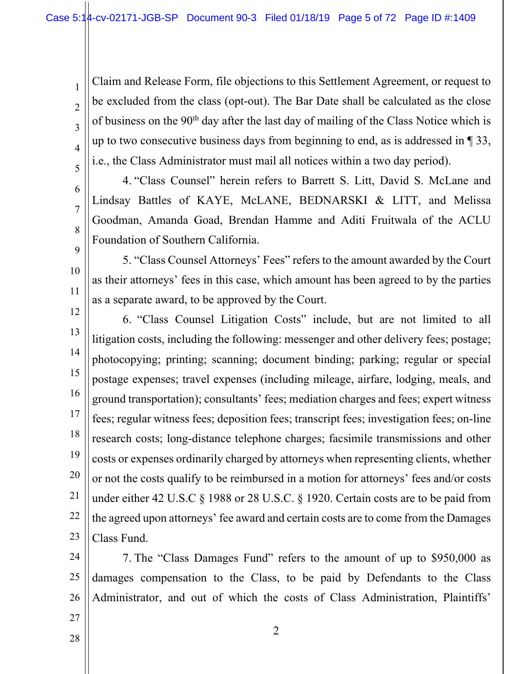Claim and Release Form, file objections to this Settlement Agreement, or request to be excluded from the class (opt-out). The Bar Date shall be calculated as the close of business on the 90<sup>th</sup> day after the last day of mailing of the Class Notice which is up to two consecutive business days from beginning to end, as is addressed in ¶ 33, i.e., the Class Administrator must mail all notices within a two day period).

6

7

8

9

10

11

5

1

2

3

4

- 4. "Class Counsel" herein refers to Barrett S. Litt, David S. McLane and Lindsay Battles of KAYE, McLANE, BEDNARSKI & LITT, and Melissa Goodman, Amanda Goad, Brendan Hamme and Aditi Fruitwala of the ACLU Foundation of Southern California.
- 5. "Class Counsel Attorneys' Fees" refers to the amount awarded by the Court as their attorneys' fees in this case, which amount has been agreed to by the parties as a separate award, to be approved by the Court.
- 12
- 13 14 15 16 17 18 19 20 21 22 23 6. "Class Counsel Litigation Costs" include, but are not limited to all litigation costs, including the following: messenger and other delivery fees; postage; photocopying; printing; scanning; document binding; parking; regular or special postage expenses; travel expenses (including mileage, airfare, lodging, meals, and ground transportation); consultants' fees; mediation charges and fees; expert witness fees; regular witness fees; deposition fees; transcript fees; investigation fees; on-line research costs; long-distance telephone charges; facsimile transmissions and other costs or expenses ordinarily charged by attorneys when representing clients, whether or not the costs qualify to be reimbursed in a motion for attorneys' fees and/or costs under either 42 U.S.C § 1988 or 28 U.S.C. § 1920. Certain costs are to be paid from the agreed upon attorneys' fee award and certain costs are to come from the Damages Class Fund.
- 24 25 26 7. The "Class Damages Fund" refers to the amount of up to \$950,000 as damages compensation to the Class, to be paid by Defendants to the Class Administrator, and out of which the costs of Class Administration, Plaintiffs'
- 28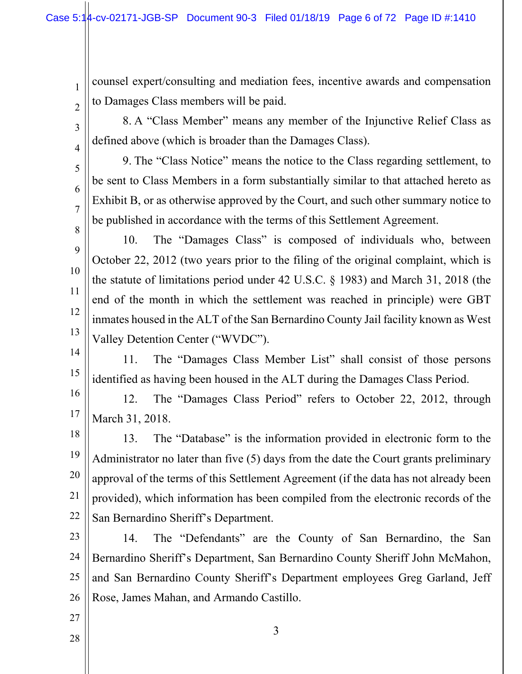counsel expert/consulting and mediation fees, incentive awards and compensation to Damages Class members will be paid.

2 3

4

5

6

7

8

9

10

11

12

13

1

8. A "Class Member" means any member of the Injunctive Relief Class as defined above (which is broader than the Damages Class).

9. The "Class Notice" means the notice to the Class regarding settlement, to be sent to Class Members in a form substantially similar to that attached hereto as Exhibit B, or as otherwise approved by the Court, and such other summary notice to be published in accordance with the terms of this Settlement Agreement.

- 10. The "Damages Class" is composed of individuals who, between October 22, 2012 (two years prior to the filing of the original complaint, which is the statute of limitations period under 42 U.S.C. § 1983) and March 31, 2018 (the end of the month in which the settlement was reached in principle) were GBT inmates housed in the ALT of the San Bernardino County Jail facility known as West Valley Detention Center ("WVDC").
- 14 15 11. The "Damages Class Member List" shall consist of those persons identified as having been housed in the ALT during the Damages Class Period.

16 17 12. The "Damages Class Period" refers to October 22, 2012, through March 31, 2018.

18 19 20 21 22 13. The "Database" is the information provided in electronic form to the Administrator no later than five (5) days from the date the Court grants preliminary approval of the terms of this Settlement Agreement (if the data has not already been provided), which information has been compiled from the electronic records of the San Bernardino Sheriff's Department.

23 24 25 26 14. The "Defendants" are the County of San Bernardino, the San Bernardino Sheriff's Department, San Bernardino County Sheriff John McMahon, and San Bernardino County Sheriff's Department employees Greg Garland, Jeff Rose, James Mahan, and Armando Castillo.

3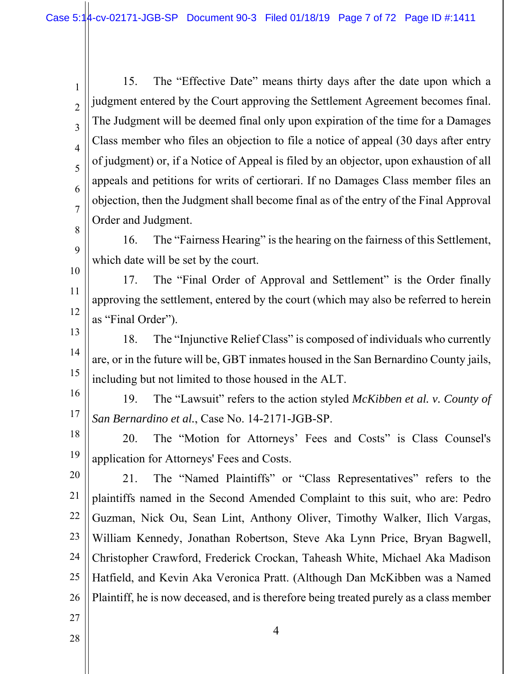2 3 5 6 15. The "Effective Date" means thirty days after the date upon which a judgment entered by the Court approving the Settlement Agreement becomes final. The Judgment will be deemed final only upon expiration of the time for a Damages Class member who files an objection to file a notice of appeal (30 days after entry of judgment) or, if a Notice of Appeal is filed by an objector, upon exhaustion of all appeals and petitions for writs of certiorari. If no Damages Class member files an objection, then the Judgment shall become final as of the entry of the Final Approval Order and Judgment.

9 16. The "Fairness Hearing" is the hearing on the fairness of this Settlement, which date will be set by the court.

10 11 12 17. The "Final Order of Approval and Settlement" is the Order finally approving the settlement, entered by the court (which may also be referred to herein as "Final Order").

13 14 15 18. The "Injunctive Relief Class" is composed of individuals who currently are, or in the future will be, GBT inmates housed in the San Bernardino County jails, including but not limited to those housed in the ALT.

16

1

4

7

8

17 19. The "Lawsuit" refers to the action styled *McKibben et al. v. County of San Bernardino et al.*, Case No. 14-2171-JGB-SP.

18 19 20. The "Motion for Attorneys' Fees and Costs" is Class Counsel's application for Attorneys' Fees and Costs.

20 21 22 23 24 25 26 21. The "Named Plaintiffs" or "Class Representatives" refers to the plaintiffs named in the Second Amended Complaint to this suit, who are: Pedro Guzman, Nick Ou, Sean Lint, Anthony Oliver, Timothy Walker, Ilich Vargas, William Kennedy, Jonathan Robertson, Steve Aka Lynn Price, Bryan Bagwell, Christopher Crawford, Frederick Crockan, Taheash White, Michael Aka Madison Hatfield, and Kevin Aka Veronica Pratt. (Although Dan McKibben was a Named Plaintiff, he is now deceased, and is therefore being treated purely as a class member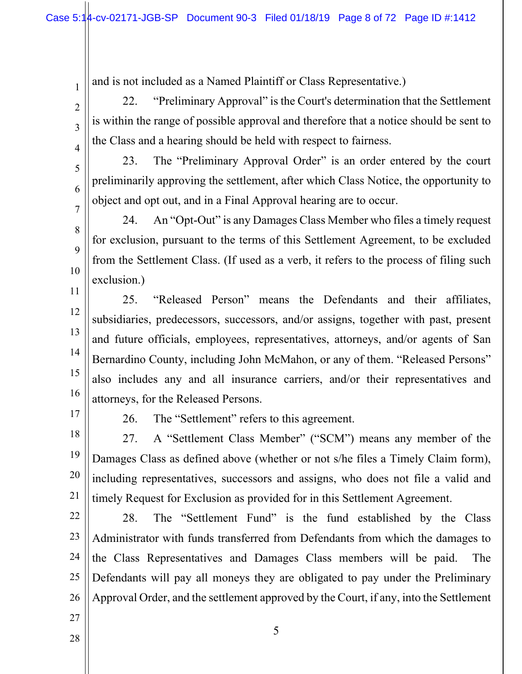and is not included as a Named Plaintiff or Class Representative.)

22. "Preliminary Approval" is the Court's determination that the Settlement is within the range of possible approval and therefore that a notice should be sent to the Class and a hearing should be held with respect to fairness.

23. The "Preliminary Approval Order" is an order entered by the court preliminarily approving the settlement, after which Class Notice, the opportunity to object and opt out, and in a Final Approval hearing are to occur.

24. An "Opt-Out" is any Damages Class Member who files a timely request for exclusion, pursuant to the terms of this Settlement Agreement, to be excluded from the Settlement Class. (If used as a verb, it refers to the process of filing such exclusion.)

11 12 13 14 15 16 25. "Released Person" means the Defendants and their affiliates, subsidiaries, predecessors, successors, and/or assigns, together with past, present and future officials, employees, representatives, attorneys, and/or agents of San Bernardino County, including John McMahon, or any of them. "Released Persons" also includes any and all insurance carriers, and/or their representatives and attorneys, for the Released Persons.

17

1

2

3

4

5

6

7

8

9

10

26. The "Settlement" refers to this agreement.

18 19 20 21 27. A "Settlement Class Member" ("SCM") means any member of the Damages Class as defined above (whether or not s/he files a Timely Claim form), including representatives, successors and assigns, who does not file a valid and timely Request for Exclusion as provided for in this Settlement Agreement.

22 23 24

28. The "Settlement Fund" is the fund established by the Class Administrator with funds transferred from Defendants from which the damages to the Class Representatives and Damages Class members will be paid. The Defendants will pay all moneys they are obligated to pay under the Preliminary Approval Order, and the settlement approved by the Court, if any, into the Settlement

5

27 28

25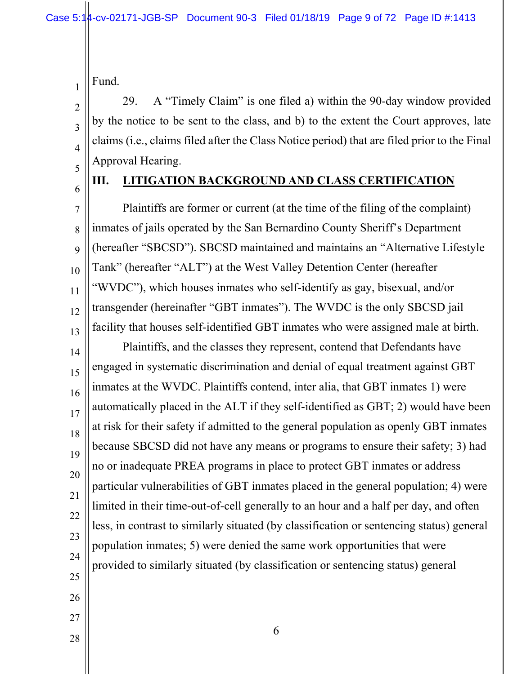Fund.

29. A "Timely Claim" is one filed a) within the 90-day window provided by the notice to be sent to the class, and b) to the extent the Court approves, late claims (i.e., claims filed after the Class Notice period) that are filed prior to the Final Approval Hearing.

5 6

1

2

3

4

#### **III. LITIGATION BACKGROUND AND CLASS CERTIFICATION**

7 8 9 10 11 12 13 Plaintiffs are former or current (at the time of the filing of the complaint) inmates of jails operated by the San Bernardino County Sheriff's Department (hereafter "SBCSD"). SBCSD maintained and maintains an "Alternative Lifestyle Tank" (hereafter "ALT") at the West Valley Detention Center (hereafter "WVDC"), which houses inmates who self-identify as gay, bisexual, and/or transgender (hereinafter "GBT inmates"). The WVDC is the only SBCSD jail facility that houses self-identified GBT inmates who were assigned male at birth.

14 15 16 17 18 19 20 21 22 23 24 25 Plaintiffs, and the classes they represent, contend that Defendants have engaged in systematic discrimination and denial of equal treatment against GBT inmates at the WVDC. Plaintiffs contend, inter alia, that GBT inmates 1) were automatically placed in the ALT if they self-identified as GBT; 2) would have been at risk for their safety if admitted to the general population as openly GBT inmates because SBCSD did not have any means or programs to ensure their safety; 3) had no or inadequate PREA programs in place to protect GBT inmates or address particular vulnerabilities of GBT inmates placed in the general population; 4) were limited in their time-out-of-cell generally to an hour and a half per day, and often less, in contrast to similarly situated (by classification or sentencing status) general population inmates; 5) were denied the same work opportunities that were provided to similarly situated (by classification or sentencing status) general

- 26
- 27
- 28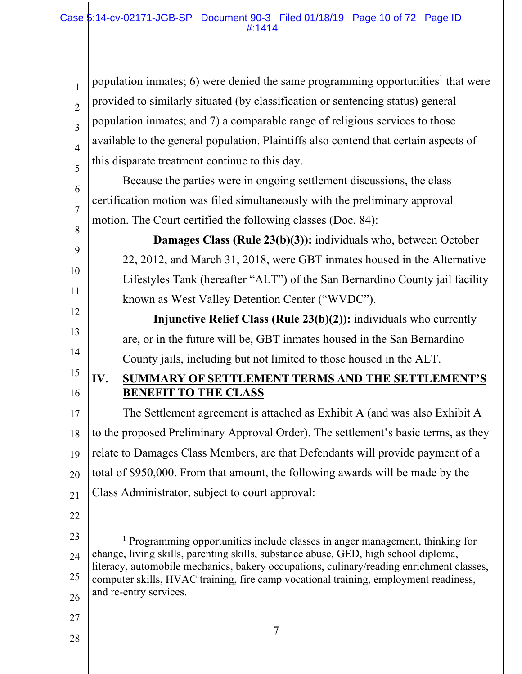| propulation inmates; 6) were denied the same programming opportunities <sup>1</sup> that were<br>provided to similarly situated (by classification or sentencing status) general<br>population inmates; and 7) a comparable range of religiou |
|-----------------------------------------------------------------------------------------------------------------------------------------------------------------------------------------------------------------------------------------------|
| $\frac{1}{5}$ this disparate treatment continue to this day.                                                                                                                                                                                  |
|                                                                                                                                                                                                                                               |

6 7 Because the parties were in ongoing settlement discussions, the class certification motion was filed simultaneously with the preliminary approval motion. The Court certified the following classes (Doc. 84):

**Damages Class (Rule 23(b)(3)):** individuals who, between October 22, 2012, and March 31, 2018, were GBT inmates housed in the Alternative Lifestyles Tank (hereafter "ALT") of the San Bernardino County jail facility known as West Valley Detention Center ("WVDC").

**Injunctive Relief Class (Rule 23(b)(2)):** individuals who currently are, or in the future will be, GBT inmates housed in the San Bernardino County jails, including but not limited to those housed in the ALT.

## **IV. SUMMARY OF SETTLEMENT TERMS AND THE SETTLEMENT'S BENEFIT TO THE CLASS**

17 18 19 20 21 The Settlement agreement is attached as Exhibit A (and was also Exhibit A to the proposed Preliminary Approval Order). The settlement's basic terms, as they relate to Damages Class Members, are that Defendants will provide payment of a total of \$950,000. From that amount, the following awards will be made by the Class Administrator, subject to court approval:

22

 $\overline{a}$ 

8

9

10

11

12

13

14

15

16

23

24

25

26

<sup>1</sup> Programming opportunities include classes in anger management, thinking for change, living skills, parenting skills, substance abuse, GED, high school diploma, literacy, automobile mechanics, bakery occupations, culinary/reading enrichment classes, computer skills, HVAC training, fire camp vocational training, employment readiness, and re-entry services.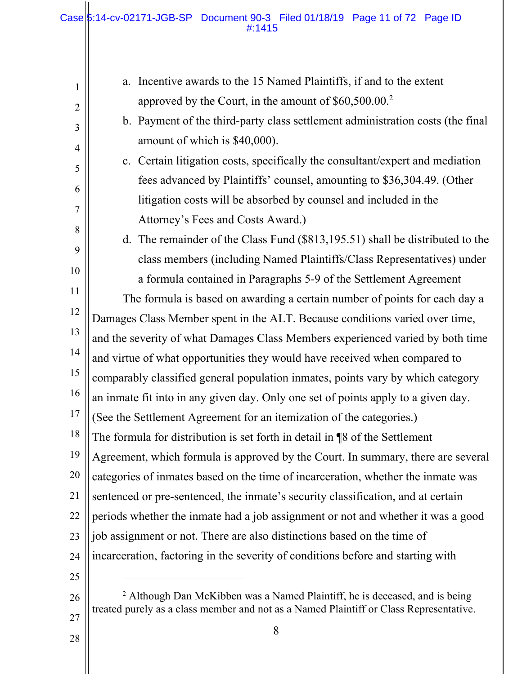$\mathbf{1}$ 

| 1              | a. Incentive awards to the 15 Named Plaintiffs, if and to the extent                   |  |
|----------------|----------------------------------------------------------------------------------------|--|
| $\overline{2}$ | approved by the Court, in the amount of \$60,500.00. <sup>2</sup>                      |  |
| 3              | b. Payment of the third-party class settlement administration costs (the final         |  |
| $\overline{4}$ | amount of which is \$40,000).                                                          |  |
| 5              | c. Certain litigation costs, specifically the consultant/expert and mediation          |  |
| 6              | fees advanced by Plaintiffs' counsel, amounting to \$36,304.49. (Other                 |  |
| 7              | litigation costs will be absorbed by counsel and included in the                       |  |
| 8              | Attorney's Fees and Costs Award.)                                                      |  |
|                | d. The remainder of the Class Fund (\$813,195.51) shall be distributed to the          |  |
| 9              | class members (including Named Plaintiffs/Class Representatives) under                 |  |
| 10             | a formula contained in Paragraphs 5-9 of the Settlement Agreement                      |  |
| 11             | The formula is based on awarding a certain number of points for each day a             |  |
| 12             | Damages Class Member spent in the ALT. Because conditions varied over time,            |  |
| 13             | and the severity of what Damages Class Members experienced varied by both time         |  |
| 14             | and virtue of what opportunities they would have received when compared to             |  |
| 15             | comparably classified general population inmates, points vary by which category        |  |
| 16             | an inmate fit into in any given day. Only one set of points apply to a given day.      |  |
| 17             | (See the Settlement Agreement for an itemization of the categories.)                   |  |
| 18             | The formula for distribution is set forth in detail in ¶8 of the Settlement            |  |
| 19             | Agreement, which formula is approved by the Court. In summary, there are several       |  |
| 20             | categories of inmates based on the time of incarceration, whether the inmate was       |  |
| 21             | sentenced or pre-sentenced, the inmate's security classification, and at certain       |  |
| 22             | periods whether the inmate had a job assignment or not and whether it was a good       |  |
| 23             | job assignment or not. There are also distinctions based on the time of                |  |
| 24             | incarceration, factoring in the severity of conditions before and starting with        |  |
| 25             |                                                                                        |  |
| 26             | <sup>2</sup> Although Dan McKibben was a Named Plaintiff, he is deceased, and is being |  |
| 27             | treated purely as a class member and not as a Named Plaintiff or Class Representative. |  |
| 28             | 8                                                                                      |  |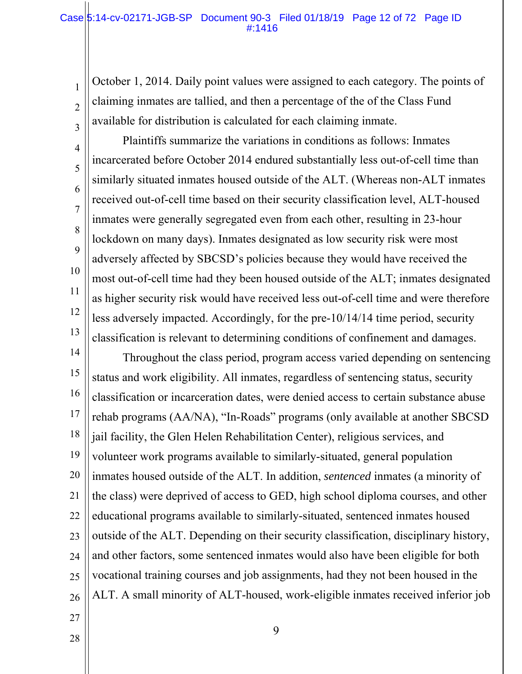#### Case 5:14-cv-02171-JGB-SP Document 90-3 Filed 01/18/19 Page 12 of 72 Page ID #:1416

October 1, 2014. Daily point values were assigned to each category. The points of claiming inmates are tallied, and then a percentage of the of the Class Fund available for distribution is calculated for each claiming inmate.

4 5 6 7 8 9 10 11 12 13 Plaintiffs summarize the variations in conditions as follows: Inmates incarcerated before October 2014 endured substantially less out-of-cell time than similarly situated inmates housed outside of the ALT. (Whereas non-ALT inmates received out-of-cell time based on their security classification level, ALT-housed inmates were generally segregated even from each other, resulting in 23-hour lockdown on many days). Inmates designated as low security risk were most adversely affected by SBCSD's policies because they would have received the most out-of-cell time had they been housed outside of the ALT; inmates designated as higher security risk would have received less out-of-cell time and were therefore less adversely impacted. Accordingly, for the pre-10/14/14 time period, security classification is relevant to determining conditions of confinement and damages.

14 15 16 17 18 19 20 21 22 23 24 25 26 Throughout the class period, program access varied depending on sentencing status and work eligibility. All inmates, regardless of sentencing status, security classification or incarceration dates, were denied access to certain substance abuse rehab programs (AA/NA), "In-Roads" programs (only available at another SBCSD jail facility, the Glen Helen Rehabilitation Center), religious services, and volunteer work programs available to similarly-situated, general population inmates housed outside of the ALT. In addition, *sentenced* inmates (a minority of the class) were deprived of access to GED, high school diploma courses, and other educational programs available to similarly-situated, sentenced inmates housed outside of the ALT. Depending on their security classification, disciplinary history, and other factors, some sentenced inmates would also have been eligible for both vocational training courses and job assignments, had they not been housed in the ALT. A small minority of ALT-housed, work-eligible inmates received inferior job

- 27
- 28

1

2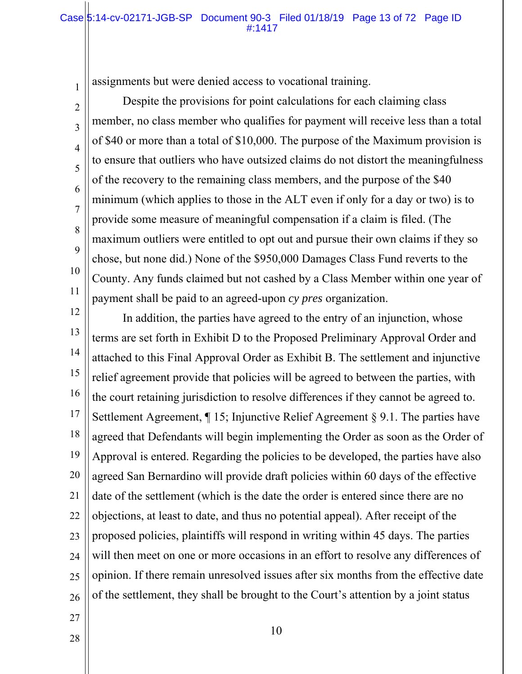#### Case 5:14-cv-02171-JGB-SP Document 90-3 Filed 01/18/19 Page 13 of 72 Page ID #:1417

assignments but were denied access to vocational training.

Despite the provisions for point calculations for each claiming class member, no class member who qualifies for payment will receive less than a total of \$40 or more than a total of \$10,000. The purpose of the Maximum provision is to ensure that outliers who have outsized claims do not distort the meaningfulness of the recovery to the remaining class members, and the purpose of the \$40 minimum (which applies to those in the ALT even if only for a day or two) is to provide some measure of meaningful compensation if a claim is filed. (The maximum outliers were entitled to opt out and pursue their own claims if they so chose, but none did.) None of the \$950,000 Damages Class Fund reverts to the County. Any funds claimed but not cashed by a Class Member within one year of payment shall be paid to an agreed-upon *cy pres* organization.

12 13 14 15 16 17 18 19 20 21 22 23 24 25 26 In addition, the parties have agreed to the entry of an injunction, whose terms are set forth in Exhibit D to the Proposed Preliminary Approval Order and attached to this Final Approval Order as Exhibit B. The settlement and injunctive relief agreement provide that policies will be agreed to between the parties, with the court retaining jurisdiction to resolve differences if they cannot be agreed to. Settlement Agreement, ¶ 15; Injunctive Relief Agreement § 9.1. The parties have agreed that Defendants will begin implementing the Order as soon as the Order of Approval is entered. Regarding the policies to be developed, the parties have also agreed San Bernardino will provide draft policies within 60 days of the effective date of the settlement (which is the date the order is entered since there are no objections, at least to date, and thus no potential appeal). After receipt of the proposed policies, plaintiffs will respond in writing within 45 days. The parties will then meet on one or more occasions in an effort to resolve any differences of opinion. If there remain unresolved issues after six months from the effective date of the settlement, they shall be brought to the Court's attention by a joint status

27 28

1

2

3

4

5

6

7

8

9

10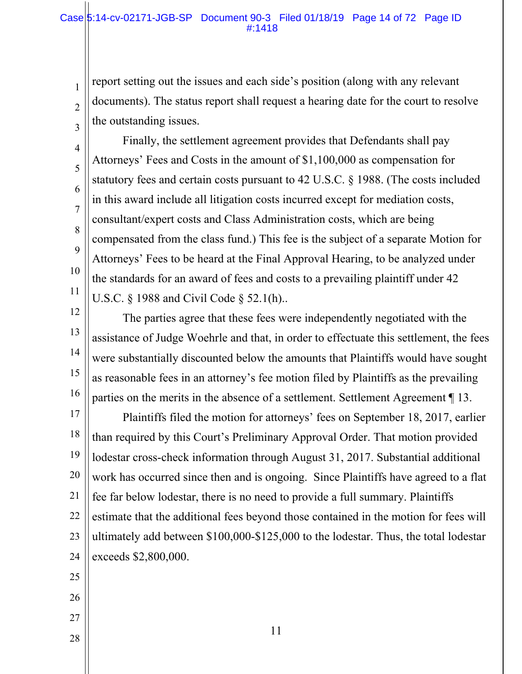report setting out the issues and each side's position (along with any relevant documents). The status report shall request a hearing date for the court to resolve the outstanding issues.

Finally, the settlement agreement provides that Defendants shall pay Attorneys' Fees and Costs in the amount of \$1,100,000 as compensation for statutory fees and certain costs pursuant to 42 U.S.C. § 1988. (The costs included in this award include all litigation costs incurred except for mediation costs, consultant/expert costs and Class Administration costs, which are being compensated from the class fund.) This fee is the subject of a separate Motion for Attorneys' Fees to be heard at the Final Approval Hearing, to be analyzed under the standards for an award of fees and costs to a prevailing plaintiff under 42 U.S.C. § 1988 and Civil Code § 52.1(h)..

12 13 14 15 16 The parties agree that these fees were independently negotiated with the assistance of Judge Woehrle and that, in order to effectuate this settlement, the fees were substantially discounted below the amounts that Plaintiffs would have sought as reasonable fees in an attorney's fee motion filed by Plaintiffs as the prevailing parties on the merits in the absence of a settlement. Settlement Agreement ¶ 13.

17 18 19 20 21 22 23 24 Plaintiffs filed the motion for attorneys' fees on September 18, 2017, earlier than required by this Court's Preliminary Approval Order. That motion provided lodestar cross-check information through August 31, 2017. Substantial additional work has occurred since then and is ongoing. Since Plaintiffs have agreed to a flat fee far below lodestar, there is no need to provide a full summary. Plaintiffs estimate that the additional fees beyond those contained in the motion for fees will ultimately add between \$100,000-\$125,000 to the lodestar. Thus, the total lodestar exceeds \$2,800,000.

25

1

2

3

4

5

6

7

8

9

10

- 26
- 27
- 28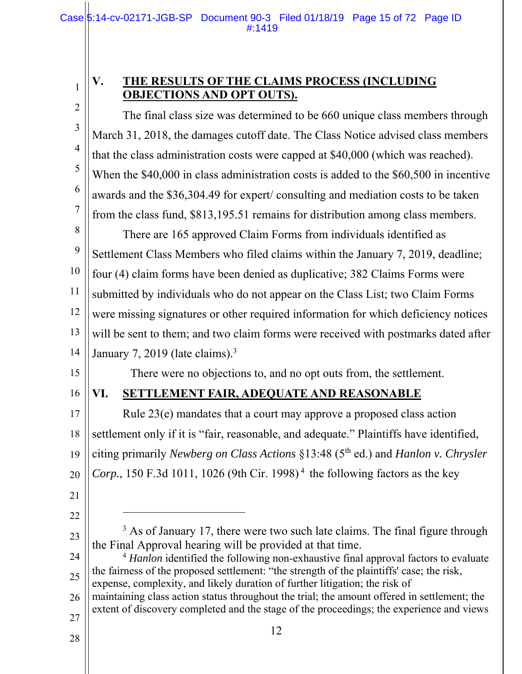## **V. THE RESULTS OF THE CLAIMS PROCESS (INCLUDING OBJECTIONS AND OPT OUTS).**

2 3 4 5 6 7 8 9 10 11 12 13 14 15 16 17 The final class size was determined to be 660 unique class members through March 31, 2018, the damages cutoff date. The Class Notice advised class members that the class administration costs were capped at \$40,000 (which was reached). When the \$40,000 in class administration costs is added to the \$60,500 in incentive awards and the \$36,304.49 for expert/ consulting and mediation costs to be taken from the class fund, \$813,195.51 remains for distribution among class members. There are 165 approved Claim Forms from individuals identified as Settlement Class Members who filed claims within the January 7, 2019, deadline; four (4) claim forms have been denied as duplicative; 382 Claims Forms were submitted by individuals who do not appear on the Class List; two Claim Forms were missing signatures or other required information for which deficiency notices will be sent to them; and two claim forms were received with postmarks dated after January 7, 2019 (late claims).<sup>3</sup> There were no objections to, and no opt outs from, the settlement. **VI. SETTLEMENT FAIR, ADEQUATE AND REASONABLE**  Rule 23(e) mandates that a court may approve a proposed class action

18 19 20 settlement only if it is "fair, reasonable, and adequate." Plaintiffs have identified, citing primarily *Newberg on Class Actions* §13:48 (5th ed.) and *Hanlon v. Chrysler Corp.*, 150 F.3d 1011, 1026 (9th Cir. 1998)<sup>4</sup> the following factors as the key

21

1

22

-

- 23  $3$  As of January 17, there were two such late claims. The final figure through the Final Approval hearing will be provided at that time.
- 24 25 <sup>4</sup> *Hanlon* identified the following non-exhaustive final approval factors to evaluate the fairness of the proposed settlement: "the strength of the plaintiffs' case; the risk, expense, complexity, and likely duration of further litigation; the risk of
- 26 27 maintaining class action status throughout the trial; the amount offered in settlement; the extent of discovery completed and the stage of the proceedings; the experience and views
	- 12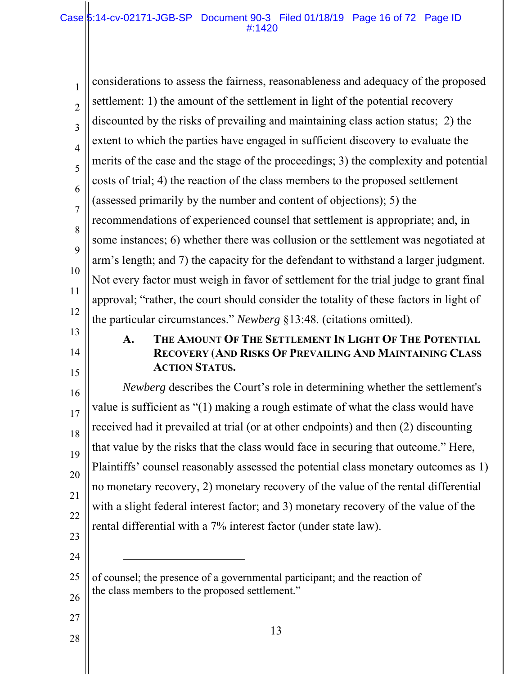| $\mathbf{1}$   | considerations to assess the fairness, reasonableness and adequacy of the proposed                                                                           |
|----------------|--------------------------------------------------------------------------------------------------------------------------------------------------------------|
| $\overline{2}$ | settlement: 1) the amount of the settlement in light of the potential recovery                                                                               |
| 3              | discounted by the risks of prevailing and maintaining class action status; 2) the                                                                            |
| $\overline{4}$ | extent to which the parties have engaged in sufficient discovery to evaluate the                                                                             |
| 5              | merits of the case and the stage of the proceedings; 3) the complexity and potential                                                                         |
| 6              | costs of trial; 4) the reaction of the class members to the proposed settlement                                                                              |
| $\overline{7}$ | (assessed primarily by the number and content of objections); 5) the                                                                                         |
| 8              | recommendations of experienced counsel that settlement is appropriate; and, in                                                                               |
| 9              | some instances; 6) whether there was collusion or the settlement was negotiated at                                                                           |
| 10             | arm's length; and 7) the capacity for the defendant to withstand a larger judgment.                                                                          |
|                | Not every factor must weigh in favor of settlement for the trial judge to grant final                                                                        |
| 11             | approval; "rather, the court should consider the totality of these factors in light of                                                                       |
| 12             | the particular circumstances." Newberg §13:48. (citations omitted).                                                                                          |
| 13<br>14<br>15 | THE AMOUNT OF THE SETTLEMENT IN LIGHT OF THE POTENTIAL<br>$\mathbf{A}$ .<br>RECOVERY (AND RISKS OF PREVAILING AND MAINTAINING CLASS<br><b>ACTION STATUS.</b> |
| 16             | <i>Newberg</i> describes the Court's role in determining whether the settlement's                                                                            |
| 17             | value is sufficient as "(1) making a rough estimate of what the class would have                                                                             |
| 18             | received had it prevailed at trial (or at other endpoints) and then (2) discounting                                                                          |
| 19             | that value by the risks that the class would face in securing that outcome." Here,                                                                           |
| 20             | Plaintiffs' counsel reasonably assessed the potential class monetary outcomes as 1)                                                                          |
| 21             | no monetary recovery, 2) monetary recovery of the value of the rental differential                                                                           |
| 22             | with a slight federal interest factor; and 3) monetary recovery of the value of the                                                                          |
| 23             | rental differential with a 7% interest factor (under state law).                                                                                             |
| 24             |                                                                                                                                                              |
| 25             | of counsel; the presence of a governmental participant; and the reaction of                                                                                  |
| 26             | the class members to the proposed settlement."                                                                                                               |
| 27             |                                                                                                                                                              |
| 28             | 13                                                                                                                                                           |
|                |                                                                                                                                                              |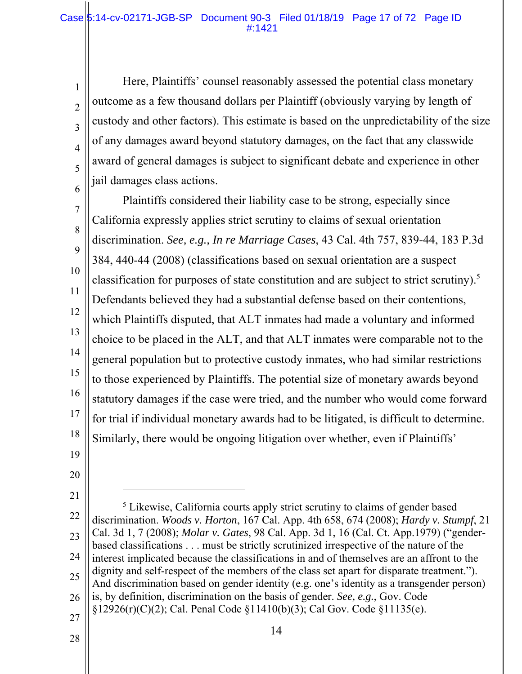#### Case 5:14-cv-02171-JGB-SP Document 90-3 Filed 01/18/19 Page 17 of 72 Page ID #:1421

Here, Plaintiffs' counsel reasonably assessed the potential class monetary outcome as a few thousand dollars per Plaintiff (obviously varying by length of custody and other factors). This estimate is based on the unpredictability of the size of any damages award beyond statutory damages, on the fact that any classwide award of general damages is subject to significant debate and experience in other jail damages class actions.

7 8 9 10 11 12 13 14 15 16 17 18 Plaintiffs considered their liability case to be strong, especially since California expressly applies strict scrutiny to claims of sexual orientation discrimination. *See, e.g., In re Marriage Cases*, 43 Cal. 4th 757, 839-44, 183 P.3d 384, 440-44 (2008) (classifications based on sexual orientation are a suspect classification for purposes of state constitution and are subject to strict scrutiny).5 Defendants believed they had a substantial defense based on their contentions, which Plaintiffs disputed, that ALT inmates had made a voluntary and informed choice to be placed in the ALT, and that ALT inmates were comparable not to the general population but to protective custody inmates, who had similar restrictions to those experienced by Plaintiffs. The potential size of monetary awards beyond statutory damages if the case were tried, and the number who would come forward for trial if individual monetary awards had to be litigated, is difficult to determine. Similarly, there would be ongoing litigation over whether, even if Plaintiffs'

19

1

2

3

4

5

6

20

21

l

- 22 23 24 25 26 27 <sup>5</sup> Likewise, California courts apply strict scrutiny to claims of gender based discrimination. *Woods v. Horton*, 167 Cal. App. 4th 658, 674 (2008); *Hardy v. Stumpf*, 21 Cal. 3d 1, 7 (2008); *Molar v. Gates*, 98 Cal. App. 3d 1, 16 (Cal. Ct. App.1979) ("genderbased classifications . . . must be strictly scrutinized irrespective of the nature of the interest implicated because the classifications in and of themselves are an affront to the dignity and self-respect of the members of the class set apart for disparate treatment."). And discrimination based on gender identity (e.g. one's identity as a transgender person) is, by definition, discrimination on the basis of gender. *See, e.g.*, Gov. Code §12926(r)(C)(2); Cal. Penal Code §11410(b)(3); Cal Gov. Code §11135(e).
- 28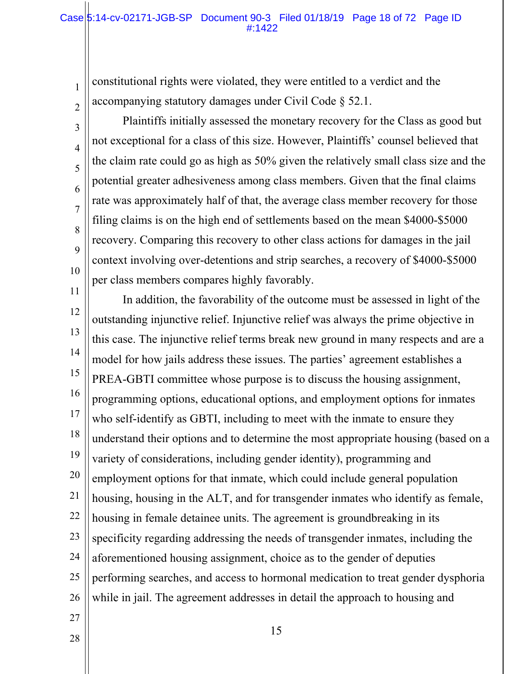#### Case 5:14-cv-02171-JGB-SP Document 90-3 Filed 01/18/19 Page 18 of 72 Page ID #:1422

constitutional rights were violated, they were entitled to a verdict and the accompanying statutory damages under Civil Code § 52.1.

Plaintiffs initially assessed the monetary recovery for the Class as good but not exceptional for a class of this size. However, Plaintiffs' counsel believed that the claim rate could go as high as 50% given the relatively small class size and the potential greater adhesiveness among class members. Given that the final claims rate was approximately half of that, the average class member recovery for those filing claims is on the high end of settlements based on the mean \$4000-\$5000 recovery. Comparing this recovery to other class actions for damages in the jail context involving over-detentions and strip searches, a recovery of \$4000-\$5000 per class members compares highly favorably.

11 12 13 14 15 16 17 18 19 20 21 22 23 24 25 26 In addition, the favorability of the outcome must be assessed in light of the outstanding injunctive relief. Injunctive relief was always the prime objective in this case. The injunctive relief terms break new ground in many respects and are a model for how jails address these issues. The parties' agreement establishes a PREA-GBTI committee whose purpose is to discuss the housing assignment, programming options, educational options, and employment options for inmates who self-identify as GBTI, including to meet with the inmate to ensure they understand their options and to determine the most appropriate housing (based on a variety of considerations, including gender identity), programming and employment options for that inmate, which could include general population housing, housing in the ALT, and for transgender inmates who identify as female, housing in female detainee units. The agreement is groundbreaking in its specificity regarding addressing the needs of transgender inmates, including the aforementioned housing assignment, choice as to the gender of deputies performing searches, and access to hormonal medication to treat gender dysphoria while in jail. The agreement addresses in detail the approach to housing and

27 28

1

2

3

4

5

6

7

8

9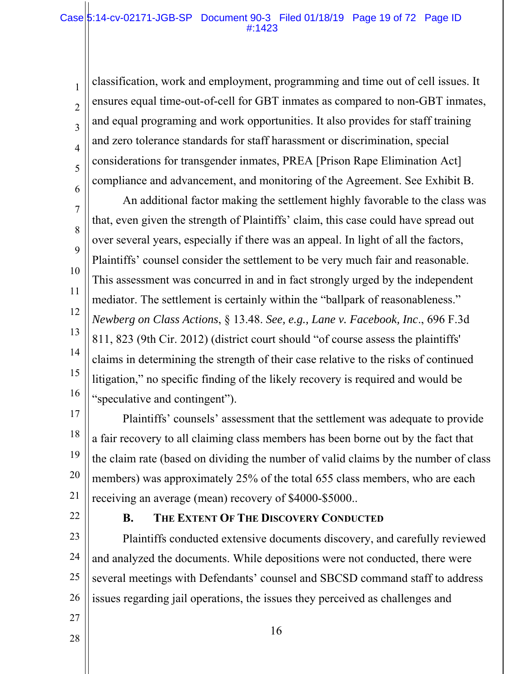#### Case 5:14-cv-02171-JGB-SP Document 90-3 Filed 01/18/19 Page 19 of 72 Page ID #:1423

classification, work and employment, programming and time out of cell issues. It ensures equal time-out-of-cell for GBT inmates as compared to non-GBT inmates, and equal programing and work opportunities. It also provides for staff training and zero tolerance standards for staff harassment or discrimination, special considerations for transgender inmates, PREA [Prison Rape Elimination Act] compliance and advancement, and monitoring of the Agreement. See Exhibit B.

7 8 9 10 11 12 13 14 15 16 An additional factor making the settlement highly favorable to the class was that, even given the strength of Plaintiffs' claim, this case could have spread out over several years, especially if there was an appeal. In light of all the factors, Plaintiffs' counsel consider the settlement to be very much fair and reasonable. This assessment was concurred in and in fact strongly urged by the independent mediator. The settlement is certainly within the "ballpark of reasonableness." *Newberg on Class Actions*, § 13.48. *See, e.g., Lane v. Facebook, Inc*., 696 F.3d 811, 823 (9th Cir. 2012) (district court should "of course assess the plaintiffs' claims in determining the strength of their case relative to the risks of continued litigation," no specific finding of the likely recovery is required and would be "speculative and contingent").

17 18 19 20 21 Plaintiffs' counsels' assessment that the settlement was adequate to provide a fair recovery to all claiming class members has been borne out by the fact that the claim rate (based on dividing the number of valid claims by the number of class members) was approximately 25% of the total 655 class members, who are each receiving an average (mean) recovery of \$4000-\$5000..

22

27

28

1

2

3

4

5

6

#### **B. THE EXTENT OF THE DISCOVERY CONDUCTED**

23 24 25 26 Plaintiffs conducted extensive documents discovery, and carefully reviewed and analyzed the documents. While depositions were not conducted, there were several meetings with Defendants' counsel and SBCSD command staff to address issues regarding jail operations, the issues they perceived as challenges and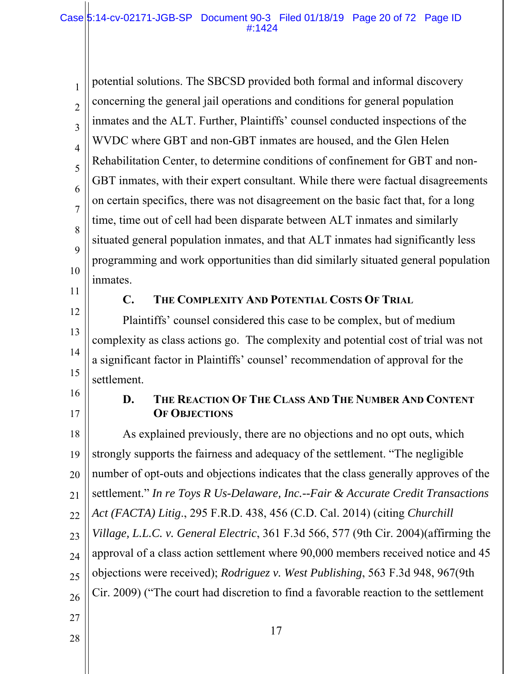1 2 3 4 5 6 7 8 9 10 potential solutions. The SBCSD provided both formal and informal discovery concerning the general jail operations and conditions for general population inmates and the ALT. Further, Plaintiffs' counsel conducted inspections of the WVDC where GBT and non-GBT inmates are housed, and the Glen Helen Rehabilitation Center, to determine conditions of confinement for GBT and non-GBT inmates, with their expert consultant. While there were factual disagreements on certain specifics, there was not disagreement on the basic fact that, for a long time, time out of cell had been disparate between ALT inmates and similarly situated general population inmates, and that ALT inmates had significantly less programming and work opportunities than did similarly situated general population inmates.

11 12

13

14

15

#### **C. THE COMPLEXITY AND POTENTIAL COSTS OF TRIAL**

Plaintiffs' counsel considered this case to be complex, but of medium complexity as class actions go. The complexity and potential cost of trial was not a significant factor in Plaintiffs' counsel' recommendation of approval for the settlement.

16 17

## **D. THE REACTION OF THE CLASS AND THE NUMBER AND CONTENT OF OBJECTIONS**

18 19 20 21 22 23 24 25 26 27 As explained previously, there are no objections and no opt outs, which strongly supports the fairness and adequacy of the settlement. "The negligible number of opt-outs and objections indicates that the class generally approves of the settlement." *In re Toys R Us-Delaware, Inc.--Fair & Accurate Credit Transactions Act (FACTA) Litig*., 295 F.R.D. 438, 456 (C.D. Cal. 2014) (citing *Churchill Village, L.L.C. v. General Electric*, 361 F.3d 566, 577 (9th Cir. 2004)(affirming the approval of a class action settlement where 90,000 members received notice and 45 objections were received); *Rodriguez v. West Publishing*, 563 F.3d 948, 967(9th Cir. 2009) ("The court had discretion to find a favorable reaction to the settlement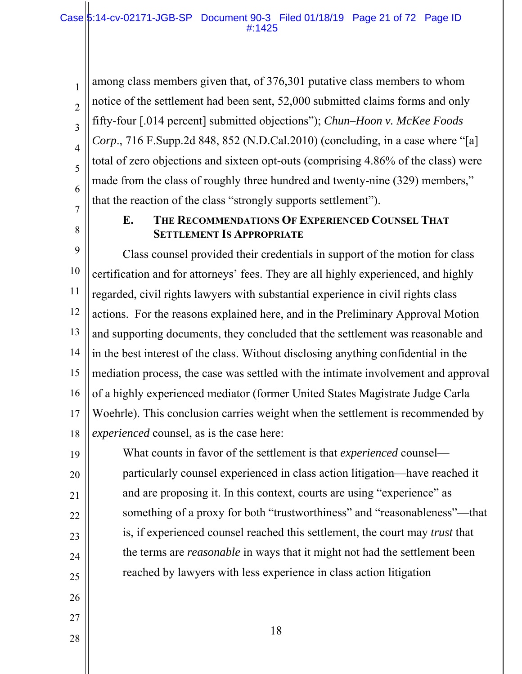among class members given that, of 376,301 putative class members to whom notice of the settlement had been sent, 52,000 submitted claims forms and only fifty-four [.014 percent] submitted objections"); *Chun–Hoon v. McKee Foods Corp*., 716 F.Supp.2d 848, 852 (N.D.Cal.2010) (concluding, in a case where "[a] total of zero objections and sixteen opt-outs (comprising 4.86% of the class) were made from the class of roughly three hundred and twenty-nine (329) members," that the reaction of the class "strongly supports settlement").

7 8

1

2

3

4

5

6

## **E. THE RECOMMENDATIONS OF EXPERIENCED COUNSEL THAT SETTLEMENT IS APPROPRIATE**

9 10 11 12 13 14 15 16 17 18 Class counsel provided their credentials in support of the motion for class certification and for attorneys' fees. They are all highly experienced, and highly regarded, civil rights lawyers with substantial experience in civil rights class actions. For the reasons explained here, and in the Preliminary Approval Motion and supporting documents, they concluded that the settlement was reasonable and in the best interest of the class. Without disclosing anything confidential in the mediation process, the case was settled with the intimate involvement and approval of a highly experienced mediator (former United States Magistrate Judge Carla Woehrle). This conclusion carries weight when the settlement is recommended by *experienced* counsel, as is the case here:

19 20 21 22 23 24 25 What counts in favor of the settlement is that *experienced* counsel particularly counsel experienced in class action litigation—have reached it and are proposing it. In this context, courts are using "experience" as something of a proxy for both "trustworthiness" and "reasonableness"—that is, if experienced counsel reached this settlement, the court may *trust* that the terms are *reasonable* in ways that it might not had the settlement been reached by lawyers with less experience in class action litigation

- 26
- 27 28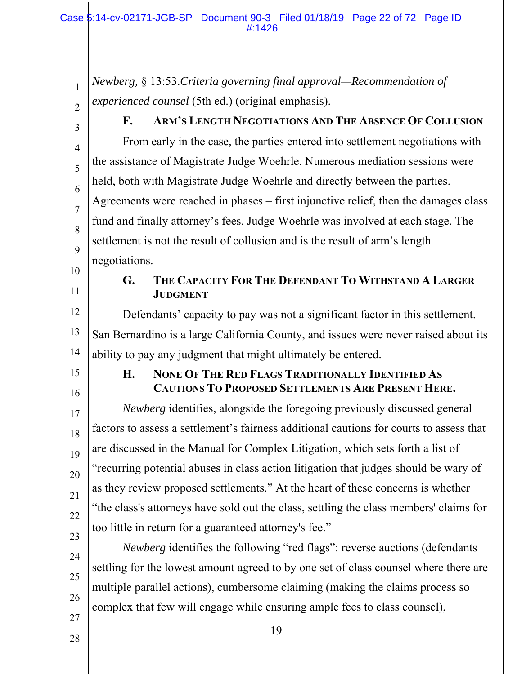*Newberg,* § 13:53.*Criteria governing final approval—Recommendation of experienced counsel* (5th ed.) (original emphasis).

2 3

4

5

6

7

8

9

1

# **F. ARM'S LENGTH NEGOTIATIONS AND THE ABSENCE OF COLLUSION**

From early in the case, the parties entered into settlement negotiations with the assistance of Magistrate Judge Woehrle. Numerous mediation sessions were held, both with Magistrate Judge Woehrle and directly between the parties. Agreements were reached in phases – first injunctive relief, then the damages class fund and finally attorney's fees. Judge Woehrle was involved at each stage. The settlement is not the result of collusion and is the result of arm's length negotiations.

- 10
- 11

## **G. THE CAPACITY FOR THE DEFENDANT TO WITHSTAND A LARGER JUDGMENT**

12 13 14 Defendants' capacity to pay was not a significant factor in this settlement. San Bernardino is a large California County, and issues were never raised about its ability to pay any judgment that might ultimately be entered.

15

16

17

18

19

20

21

22

23

## **H. NONE OF THE RED FLAGS TRADITIONALLY IDENTIFIED AS CAUTIONS TO PROPOSED SETTLEMENTS ARE PRESENT HERE.**

*Newberg* identifies, alongside the foregoing previously discussed general factors to assess a settlement's fairness additional cautions for courts to assess that are discussed in the Manual for Complex Litigation, which sets forth a list of "recurring potential abuses in class action litigation that judges should be wary of as they review proposed settlements." At the heart of these concerns is whether "the class's attorneys have sold out the class, settling the class members' claims for too little in return for a guaranteed attorney's fee."

*Newberg* identifies the following "red flags": reverse auctions (defendants

settling for the lowest amount agreed to by one set of class counsel where there are

multiple parallel actions), cumbersome claiming (making the claims process so

- 24
- 25

26

27 28 complex that few will engage while ensuring ample fees to class counsel),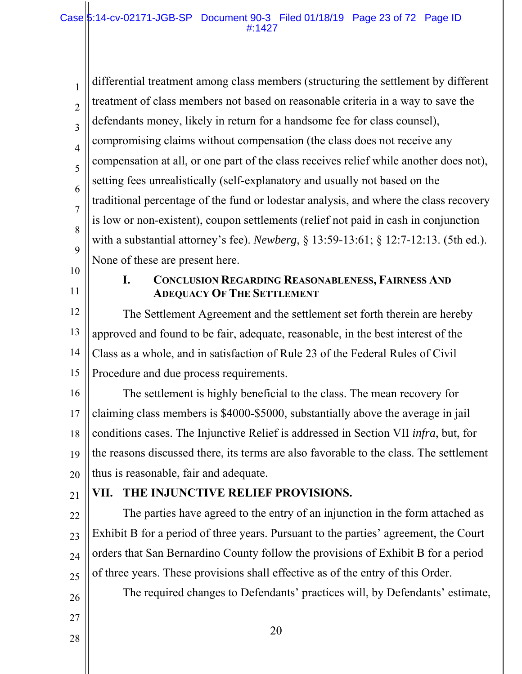1 2 3 4 5 6 7 8 9 differential treatment among class members (structuring the settlement by different treatment of class members not based on reasonable criteria in a way to save the defendants money, likely in return for a handsome fee for class counsel), compromising claims without compensation (the class does not receive any compensation at all, or one part of the class receives relief while another does not), setting fees unrealistically (self-explanatory and usually not based on the traditional percentage of the fund or lodestar analysis, and where the class recovery is low or non-existent), coupon settlements (relief not paid in cash in conjunction with a substantial attorney's fee). *Newberg*, § 13:59-13:61; § 12:7-12:13. (5th ed.). None of these are present here.

- 10
- 11

#### **I. CONCLUSION REGARDING REASONABLENESS, FAIRNESS AND ADEQUACY OF THE SETTLEMENT**

12 13 14 15 The Settlement Agreement and the settlement set forth therein are hereby approved and found to be fair, adequate, reasonable, in the best interest of the Class as a whole, and in satisfaction of Rule 23 of the Federal Rules of Civil Procedure and due process requirements.

16 17 18 19 20 The settlement is highly beneficial to the class. The mean recovery for claiming class members is \$4000-\$5000, substantially above the average in jail conditions cases. The Injunctive Relief is addressed in Section VII *infra*, but, for the reasons discussed there, its terms are also favorable to the class. The settlement thus is reasonable, fair and adequate.

21

## **VII. THE INJUNCTIVE RELIEF PROVISIONS.**

22 23 24 25 The parties have agreed to the entry of an injunction in the form attached as Exhibit B for a period of three years. Pursuant to the parties' agreement, the Court orders that San Bernardino County follow the provisions of Exhibit B for a period of three years. These provisions shall effective as of the entry of this Order.

- The required changes to Defendants' practices will, by Defendants' estimate,
- 27 28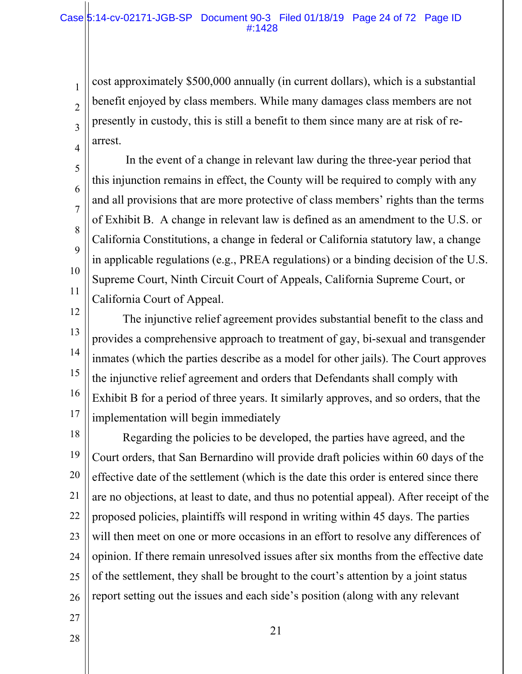cost approximately \$500,000 annually (in current dollars), which is a substantial benefit enjoyed by class members. While many damages class members are not presently in custody, this is still a benefit to them since many are at risk of rearrest.

 In the event of a change in relevant law during the three-year period that this injunction remains in effect, the County will be required to comply with any and all provisions that are more protective of class members' rights than the terms of Exhibit B. A change in relevant law is defined as an amendment to the U.S. or California Constitutions, a change in federal or California statutory law, a change in applicable regulations (e.g., PREA regulations) or a binding decision of the U.S. Supreme Court, Ninth Circuit Court of Appeals, California Supreme Court, or California Court of Appeal.

12 13 14 15 16 17 The injunctive relief agreement provides substantial benefit to the class and provides a comprehensive approach to treatment of gay, bi-sexual and transgender inmates (which the parties describe as a model for other jails). The Court approves the injunctive relief agreement and orders that Defendants shall comply with Exhibit B for a period of three years. It similarly approves, and so orders, that the implementation will begin immediately

18 19 20 21 22 23 24 25 26 Regarding the policies to be developed, the parties have agreed, and the Court orders, that San Bernardino will provide draft policies within 60 days of the effective date of the settlement (which is the date this order is entered since there are no objections, at least to date, and thus no potential appeal). After receipt of the proposed policies, plaintiffs will respond in writing within 45 days. The parties will then meet on one or more occasions in an effort to resolve any differences of opinion. If there remain unresolved issues after six months from the effective date of the settlement, they shall be brought to the court's attention by a joint status report setting out the issues and each side's position (along with any relevant

- 27
- 28

1

2

3

4

5

6

7

8

9

10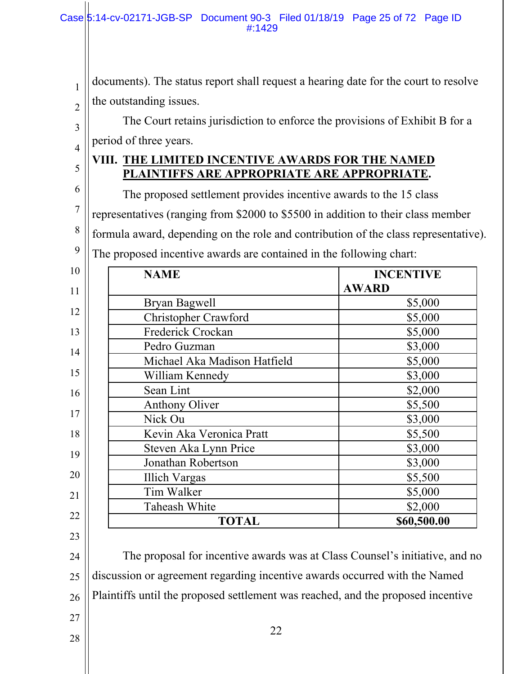documents). The status report shall request a hearing date for the court to resolve the outstanding issues.

The Court retains jurisdiction to enforce the provisions of Exhibit B for a period of three years.

## **VIII. THE LIMITED INCENTIVE AWARDS FOR THE NAMED PLAINTIFFS ARE APPROPRIATE ARE APPROPRIATE.**

6 7 8 9 The proposed settlement provides incentive awards to the 15 class representatives (ranging from \$2000 to \$5500 in addition to their class member formula award, depending on the role and contribution of the class representative). The proposed incentive awards are contained in the following chart:

| <b>NAME</b>                  | <b>INCENTIVE</b><br><b>AWARD</b> |
|------------------------------|----------------------------------|
| Bryan Bagwell                | \$5,000                          |
| Christopher Crawford         | \$5,000                          |
| Frederick Crockan            | \$5,000                          |
| Pedro Guzman                 | \$3,000                          |
| Michael Aka Madison Hatfield | \$5,000                          |
| William Kennedy              | \$3,000                          |
| Sean Lint                    | \$2,000                          |
| Anthony Oliver               | \$5,500                          |
| Nick Ou                      | \$3,000                          |
| Kevin Aka Veronica Pratt     | \$5,500                          |
| Steven Aka Lynn Price        | \$3,000                          |
| Jonathan Robertson           | \$3,000                          |
| <b>Illich Vargas</b>         | \$5,500                          |
| Tim Walker                   | \$5,000                          |
| Taheash White                | \$2,000                          |
| <b>TOTAL</b>                 | \$60,500.00                      |

1

2

3

4

5

24 25 26 The proposal for incentive awards was at Class Counsel's initiative, and no discussion or agreement regarding incentive awards occurred with the Named Plaintiffs until the proposed settlement was reached, and the proposed incentive

22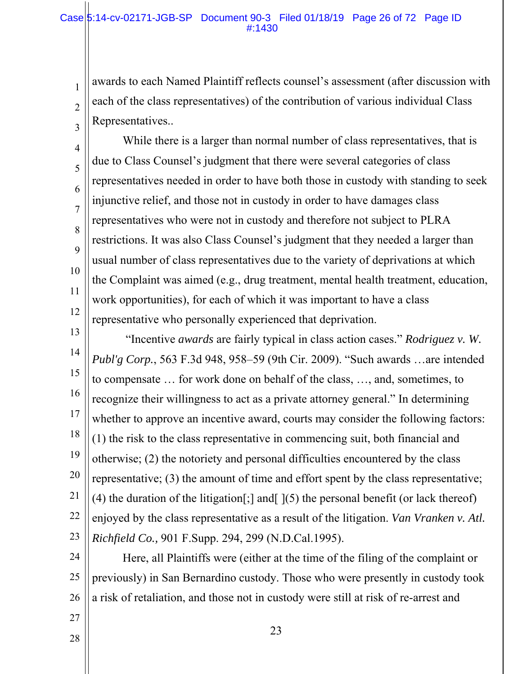1

2

3

4

5

6

7

8

9

11

27

28

awards to each Named Plaintiff reflects counsel's assessment (after discussion with each of the class representatives) of the contribution of various individual Class Representatives..

10 12 While there is a larger than normal number of class representatives, that is due to Class Counsel's judgment that there were several categories of class representatives needed in order to have both those in custody with standing to seek injunctive relief, and those not in custody in order to have damages class representatives who were not in custody and therefore not subject to PLRA restrictions. It was also Class Counsel's judgment that they needed a larger than usual number of class representatives due to the variety of deprivations at which the Complaint was aimed (e.g., drug treatment, mental health treatment, education, work opportunities), for each of which it was important to have a class representative who personally experienced that deprivation.

13 14 15 16 17 18 19 20 21 22 23 "Incentive *awards* are fairly typical in class action cases." *Rodriguez v. W. Publ'g Corp.*, 563 F.3d 948, 958–59 (9th Cir. 2009). "Such awards …are intended to compensate … for work done on behalf of the class, …, and, sometimes, to recognize their willingness to act as a private attorney general." In determining whether to approve an incentive award, courts may consider the following factors: (1) the risk to the class representative in commencing suit, both financial and otherwise; (2) the notoriety and personal difficulties encountered by the class representative; (3) the amount of time and effort spent by the class representative; (4) the duration of the litigation [;] and  $(5)$  the personal benefit (or lack thereof) enjoyed by the class representative as a result of the litigation. *Van Vranken v. Atl. Richfield Co.,* 901 F.Supp. 294, 299 (N.D.Cal.1995).

24 25 26 Here, all Plaintiffs were (either at the time of the filing of the complaint or previously) in San Bernardino custody. Those who were presently in custody took a risk of retaliation, and those not in custody were still at risk of re-arrest and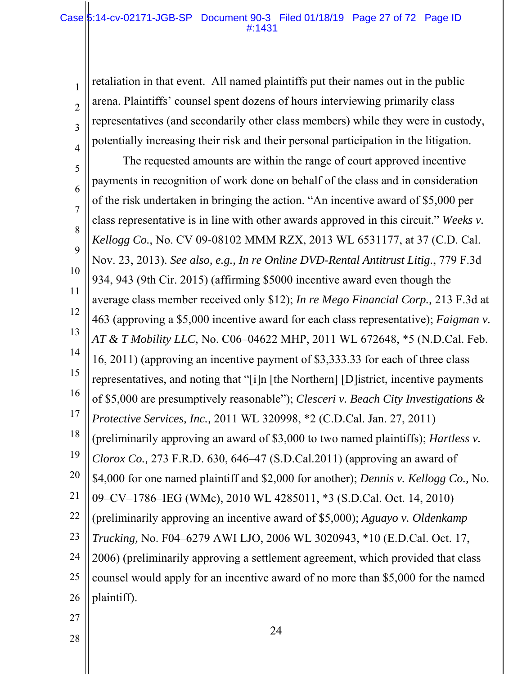#### Case 5:14-cv-02171-JGB-SP Document 90-3 Filed 01/18/19 Page 27 of 72 Page ID #:1431

retaliation in that event. All named plaintiffs put their names out in the public arena. Plaintiffs' counsel spent dozens of hours interviewing primarily class representatives (and secondarily other class members) while they were in custody, potentially increasing their risk and their personal participation in the litigation.

5 6 7 8 9 10 11 12 13 14 15 16 17 18 19 20 21 22 23 24 25 26 The requested amounts are within the range of court approved incentive payments in recognition of work done on behalf of the class and in consideration of the risk undertaken in bringing the action. "An incentive award of \$5,000 per class representative is in line with other awards approved in this circuit." *Weeks v. Kellogg Co.*, No. CV 09-08102 MMM RZX, 2013 WL 6531177, at 37 (C.D. Cal. Nov. 23, 2013). *See also, e.g., In re Online DVD-Rental Antitrust Litig*., 779 F.3d 934, 943 (9th Cir. 2015) (affirming \$5000 incentive award even though the average class member received only \$12); *In re Mego Financial Corp.,* 213 F.3d at 463 (approving a \$5,000 incentive award for each class representative); *Faigman v. AT & T Mobility LLC,* No. C06–04622 MHP, 2011 WL 672648, \*5 (N.D.Cal. Feb. 16, 2011) (approving an incentive payment of \$3,333.33 for each of three class representatives, and noting that "[i]n [the Northern] [D]istrict, incentive payments of \$5,000 are presumptively reasonable"); *Clesceri v. Beach City Investigations & Protective Services, Inc.,* 2011 WL 320998, \*2 (C.D.Cal. Jan. 27, 2011) (preliminarily approving an award of \$3,000 to two named plaintiffs); *Hartless v. Clorox Co.,* 273 F.R.D. 630, 646–47 (S.D.Cal.2011) (approving an award of \$4,000 for one named plaintiff and \$2,000 for another); *Dennis v. Kellogg Co.,* No. 09–CV–1786–IEG (WMc), 2010 WL 4285011, \*3 (S.D.Cal. Oct. 14, 2010) (preliminarily approving an incentive award of \$5,000); *Aguayo v. Oldenkamp Trucking,* No. F04–6279 AWI LJO, 2006 WL 3020943, \*10 (E.D.Cal. Oct. 17, 2006) (preliminarily approving a settlement agreement, which provided that class counsel would apply for an incentive award of no more than \$5,000 for the named plaintiff).

27 28

1

2

3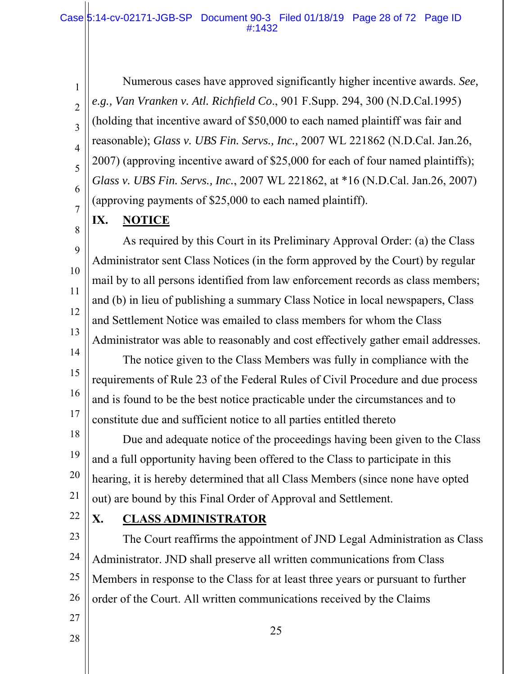Numerous cases have approved significantly higher incentive awards. *See, e.g., Van Vranken v. Atl. Richfield Co*., 901 F.Supp. 294, 300 (N.D.Cal.1995) (holding that incentive award of \$50,000 to each named plaintiff was fair and reasonable); *Glass v. UBS Fin. Servs., Inc.,* 2007 WL 221862 (N.D.Cal. Jan.26, 2007) (approving incentive award of \$25,000 for each of four named plaintiffs); *Glass v. UBS Fin. Servs., Inc.*, 2007 WL 221862, at \*16 (N.D.Cal. Jan.26, 2007) (approving payments of \$25,000 to each named plaintiff).

**IX. NOTICE** 

1

2

3

4

5

6

7

8

9

10

11

12

13

As required by this Court in its Preliminary Approval Order: (a) the Class Administrator sent Class Notices (in the form approved by the Court) by regular mail by to all persons identified from law enforcement records as class members; and (b) in lieu of publishing a summary Class Notice in local newspapers, Class and Settlement Notice was emailed to class members for whom the Class Administrator was able to reasonably and cost effectively gather email addresses.

14 15 16 17 The notice given to the Class Members was fully in compliance with the requirements of Rule 23 of the Federal Rules of Civil Procedure and due process and is found to be the best notice practicable under the circumstances and to constitute due and sufficient notice to all parties entitled thereto

18 19 20 21 Due and adequate notice of the proceedings having been given to the Class and a full opportunity having been offered to the Class to participate in this hearing, it is hereby determined that all Class Members (since none have opted out) are bound by this Final Order of Approval and Settlement.

22

27

28

#### **X. CLASS ADMINISTRATOR**

23 24 25 26 The Court reaffirms the appointment of JND Legal Administration as Class Administrator. JND shall preserve all written communications from Class Members in response to the Class for at least three years or pursuant to further order of the Court. All written communications received by the Claims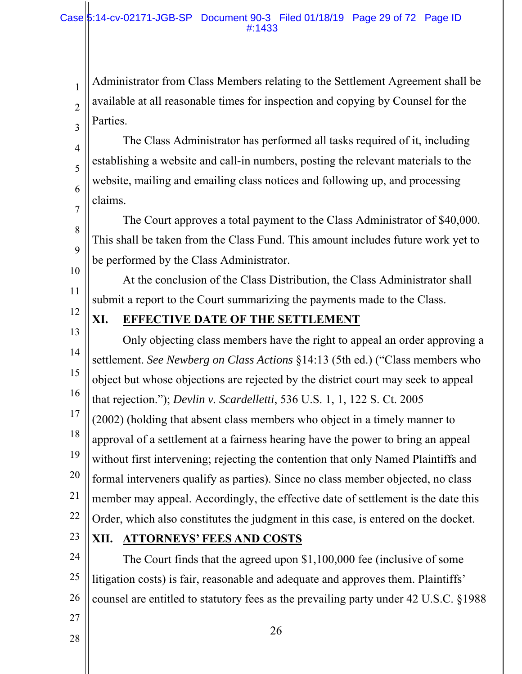Administrator from Class Members relating to the Settlement Agreement shall be available at all reasonable times for inspection and copying by Counsel for the Parties.

The Class Administrator has performed all tasks required of it, including establishing a website and call-in numbers, posting the relevant materials to the website, mailing and emailing class notices and following up, and processing claims.

The Court approves a total payment to the Class Administrator of \$40,000. This shall be taken from the Class Fund. This amount includes future work yet to be performed by the Class Administrator.

At the conclusion of the Class Distribution, the Class Administrator shall submit a report to the Court summarizing the payments made to the Class.

12

1

2

3

4

5

6

7

8

9

10

11

## **XI. EFFECTIVE DATE OF THE SETTLEMENT**

13 14 15 16 17 18 19 20 21 22 Only objecting class members have the right to appeal an order approving a settlement. *See Newberg on Class Actions* §14:13 (5th ed.) ("Class members who object but whose objections are rejected by the district court may seek to appeal that rejection."); *Devlin v. Scardelletti*, 536 U.S. 1, 1, 122 S. Ct. 2005 (2002) (holding that absent class members who object in a timely manner to approval of a settlement at a fairness hearing have the power to bring an appeal without first intervening; rejecting the contention that only Named Plaintiffs and formal interveners qualify as parties). Since no class member objected, no class member may appeal. Accordingly, the effective date of settlement is the date this Order, which also constitutes the judgment in this case, is entered on the docket.

23

27

28

#### **XII. ATTORNEYS' FEES AND COSTS**

24 25 26 The Court finds that the agreed upon \$1,100,000 fee (inclusive of some litigation costs) is fair, reasonable and adequate and approves them. Plaintiffs' counsel are entitled to statutory fees as the prevailing party under 42 U.S.C. §1988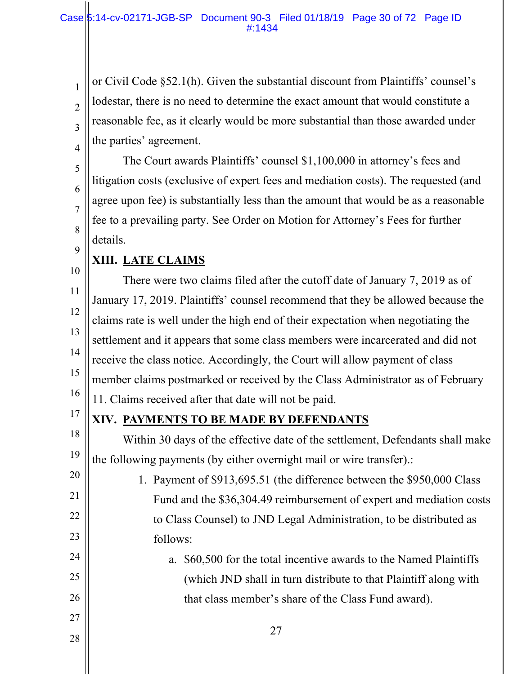or Civil Code §52.1(h). Given the substantial discount from Plaintiffs' counsel's lodestar, there is no need to determine the exact amount that would constitute a reasonable fee, as it clearly would be more substantial than those awarded under the parties' agreement.

The Court awards Plaintiffs' counsel \$1,100,000 in attorney's fees and litigation costs (exclusive of expert fees and mediation costs). The requested (and agree upon fee) is substantially less than the amount that would be as a reasonable fee to a prevailing party. See Order on Motion for Attorney's Fees for further details.

## **XIII. LATE CLAIMS**

1

2

3

4

5

6

7

8

9

17

20

21

22

23

24

25

26

27

28

10 11 12 13 14 15 16 There were two claims filed after the cutoff date of January 7, 2019 as of January 17, 2019. Plaintiffs' counsel recommend that they be allowed because the claims rate is well under the high end of their expectation when negotiating the settlement and it appears that some class members were incarcerated and did not receive the class notice. Accordingly, the Court will allow payment of class member claims postmarked or received by the Class Administrator as of February 11. Claims received after that date will not be paid.

## **XIV. PAYMENTS TO BE MADE BY DEFENDANTS**

18 19 Within 30 days of the effective date of the settlement, Defendants shall make the following payments (by either overnight mail or wire transfer).:

1. Payment of \$913,695.51 (the difference between the \$950,000 Class Fund and the \$36,304.49 reimbursement of expert and mediation costs to Class Counsel) to JND Legal Administration, to be distributed as follows:

# a. \$60,500 for the total incentive awards to the Named Plaintiffs (which JND shall in turn distribute to that Plaintiff along with that class member's share of the Class Fund award).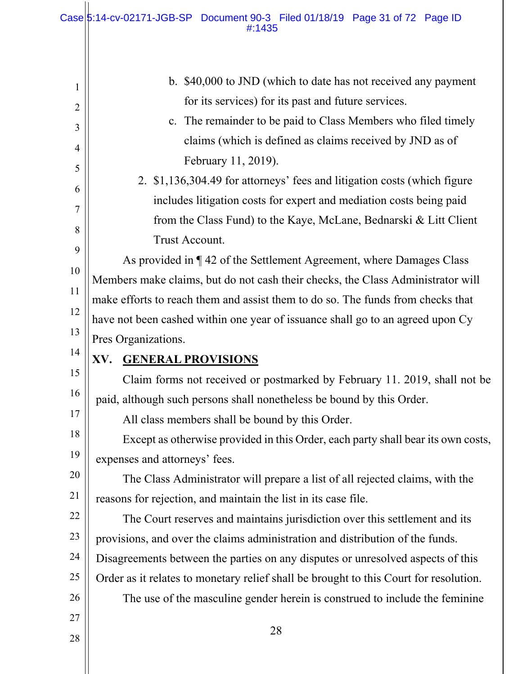| 1              | b. \$40,000 to JND (which to date has not received any payment                        |  |
|----------------|---------------------------------------------------------------------------------------|--|
| $\overline{2}$ | for its services) for its past and future services.                                   |  |
| 3              | c. The remainder to be paid to Class Members who filed timely                         |  |
| $\overline{4}$ | claims (which is defined as claims received by JND as of                              |  |
| 5              | February 11, 2019).                                                                   |  |
| 6              | 2. \$1,136,304.49 for attorneys' fees and litigation costs (which figure              |  |
| 7              | includes litigation costs for expert and mediation costs being paid                   |  |
| 8              | from the Class Fund) to the Kaye, McLane, Bednarski & Litt Client                     |  |
| 9              | Trust Account.                                                                        |  |
| 10             | As provided in ¶42 of the Settlement Agreement, where Damages Class                   |  |
| 11             | Members make claims, but do not cash their checks, the Class Administrator will       |  |
|                | make efforts to reach them and assist them to do so. The funds from checks that       |  |
| 12             | have not been cashed within one year of issuance shall go to an agreed upon Cy        |  |
| 13             | Pres Organizations.                                                                   |  |
| 14             |                                                                                       |  |
|                | <b>GENERAL PROVISIONS</b><br>XV.                                                      |  |
| 15             | Claim forms not received or postmarked by February 11. 2019, shall not be             |  |
| 16             | paid, although such persons shall nonetheless be bound by this Order.                 |  |
| 17             | All class members shall be bound by this Order.                                       |  |
|                | Except as otherwise provided in this Order, each party shall bear its own costs,      |  |
| 19             | expenses and attorneys' fees.                                                         |  |
| 20             | The Class Administrator will prepare a list of all rejected claims, with the          |  |
| 21             | reasons for rejection, and maintain the list in its case file.                        |  |
| 22             | The Court reserves and maintains jurisdiction over this settlement and its            |  |
| 23             | provisions, and over the claims administration and distribution of the funds.         |  |
| 24             | Disagreements between the parties on any disputes or unresolved aspects of this       |  |
| 18<br>25       | Order as it relates to monetary relief shall be brought to this Court for resolution. |  |
| 26             | The use of the masculine gender herein is construed to include the feminine           |  |
| 27             | 28                                                                                    |  |

 $\begin{array}{c} \hline \end{array}$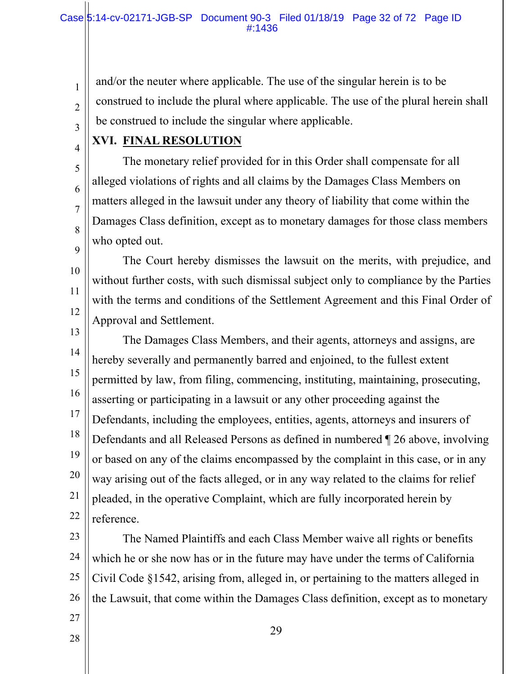and/or the neuter where applicable. The use of the singular herein is to be construed to include the plural where applicable. The use of the plural herein shall be construed to include the singular where applicable.

4

5

6

7

8

9

10

11

12

27

28

1

2

3

## **XVI. FINAL RESOLUTION**

The monetary relief provided for in this Order shall compensate for all alleged violations of rights and all claims by the Damages Class Members on matters alleged in the lawsuit under any theory of liability that come within the Damages Class definition, except as to monetary damages for those class members who opted out.

The Court hereby dismisses the lawsuit on the merits, with prejudice, and without further costs, with such dismissal subject only to compliance by the Parties with the terms and conditions of the Settlement Agreement and this Final Order of Approval and Settlement.

13 14 15 16 17 18 19 20 21 22 The Damages Class Members, and their agents, attorneys and assigns, are hereby severally and permanently barred and enjoined, to the fullest extent permitted by law, from filing, commencing, instituting, maintaining, prosecuting, asserting or participating in a lawsuit or any other proceeding against the Defendants, including the employees, entities, agents, attorneys and insurers of Defendants and all Released Persons as defined in numbered ¶ 26 above, involving or based on any of the claims encompassed by the complaint in this case, or in any way arising out of the facts alleged, or in any way related to the claims for relief pleaded, in the operative Complaint, which are fully incorporated herein by reference.

23 24 25 26 The Named Plaintiffs and each Class Member waive all rights or benefits which he or she now has or in the future may have under the terms of California Civil Code §1542, arising from, alleged in, or pertaining to the matters alleged in the Lawsuit, that come within the Damages Class definition, except as to monetary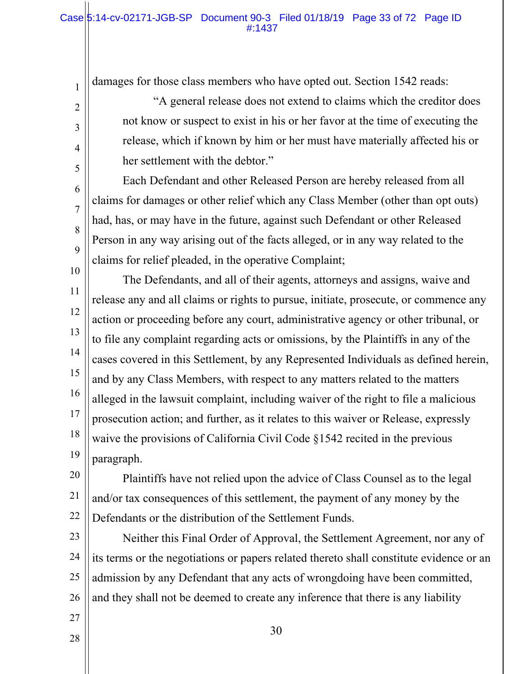damages for those class members who have opted out. Section 1542 reads:

1

2

3

4

5

6

7

8

9

27

28

"A general release does not extend to claims which the creditor does not know or suspect to exist in his or her favor at the time of executing the release, which if known by him or her must have materially affected his or her settlement with the debtor."

Each Defendant and other Released Person are hereby released from all claims for damages or other relief which any Class Member (other than opt outs) had, has, or may have in the future, against such Defendant or other Released Person in any way arising out of the facts alleged, or in any way related to the claims for relief pleaded, in the operative Complaint;

10 11 12 13 14 15 16 17 18 19 The Defendants, and all of their agents, attorneys and assigns, waive and release any and all claims or rights to pursue, initiate, prosecute, or commence any action or proceeding before any court, administrative agency or other tribunal, or to file any complaint regarding acts or omissions, by the Plaintiffs in any of the cases covered in this Settlement, by any Represented Individuals as defined herein, and by any Class Members, with respect to any matters related to the matters alleged in the lawsuit complaint, including waiver of the right to file a malicious prosecution action; and further, as it relates to this waiver or Release, expressly waive the provisions of California Civil Code §1542 recited in the previous paragraph.

20 21 22 Plaintiffs have not relied upon the advice of Class Counsel as to the legal and/or tax consequences of this settlement, the payment of any money by the Defendants or the distribution of the Settlement Funds.

23 24 25 26 Neither this Final Order of Approval, the Settlement Agreement, nor any of its terms or the negotiations or papers related thereto shall constitute evidence or an admission by any Defendant that any acts of wrongdoing have been committed, and they shall not be deemed to create any inference that there is any liability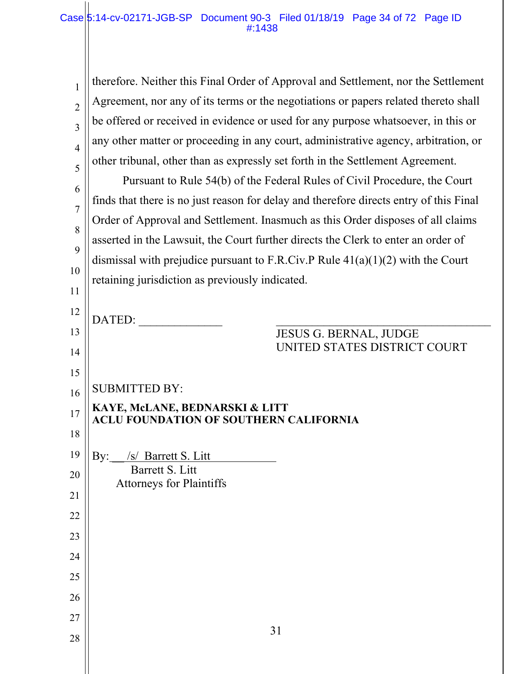| $\mathbf{1}$   | therefore. Neither this Final Order of Approval and Settlement, nor the Settlement     |
|----------------|----------------------------------------------------------------------------------------|
| $\overline{2}$ | Agreement, nor any of its terms or the negotiations or papers related thereto shall    |
| $\overline{3}$ | be offered or received in evidence or used for any purpose whatsoever, in this or      |
| $\overline{4}$ | any other matter or proceeding in any court, administrative agency, arbitration, or    |
| 5              | other tribunal, other than as expressly set forth in the Settlement Agreement.         |
| 6              | Pursuant to Rule 54(b) of the Federal Rules of Civil Procedure, the Court              |
| $\overline{7}$ | finds that there is no just reason for delay and therefore directs entry of this Final |
| 8              | Order of Approval and Settlement. Inasmuch as this Order disposes of all claims        |
| 9              | asserted in the Lawsuit, the Court further directs the Clerk to enter an order of      |
|                | dismissal with prejudice pursuant to F.R.Civ.P Rule $41(a)(1)(2)$ with the Court       |
| 10             | retaining jurisdiction as previously indicated.                                        |
| 11             |                                                                                        |
| 12             | DATED:                                                                                 |
| 13             | <b>JESUS G. BERNAL, JUDGE</b><br>UNITED STATES DISTRICT COURT                          |
| 14             |                                                                                        |
| 15             | <b>SUBMITTED BY:</b>                                                                   |
| 16             | KAYE, McLANE, BEDNARSKI & LITT                                                         |
| 17             | <b>ACLU FOUNDATION OF SOUTHERN CALIFORNIA</b>                                          |
| 18             |                                                                                        |
| 19             | By:<br>/s/ Barrett S. Litt<br>Barrett S. Litt                                          |
| 20             | <b>Attorneys for Plaintiffs</b>                                                        |
| 21             |                                                                                        |
| 22             |                                                                                        |
| 23             |                                                                                        |
| 24             |                                                                                        |
| 25             |                                                                                        |
| 26             |                                                                                        |
| 27             | 31                                                                                     |
| 28             |                                                                                        |
|                |                                                                                        |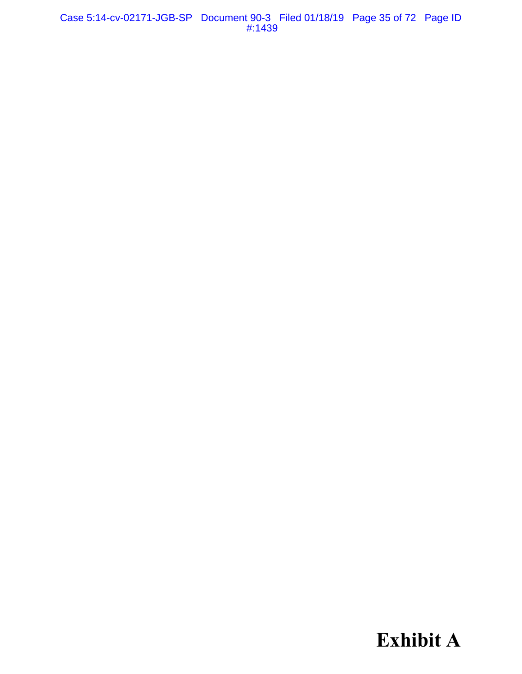Case 5:14-cv-02171-JGB-SP Document 90-3 Filed 01/18/19 Page 35 of 72 Page ID #:1439

**Exhibit A**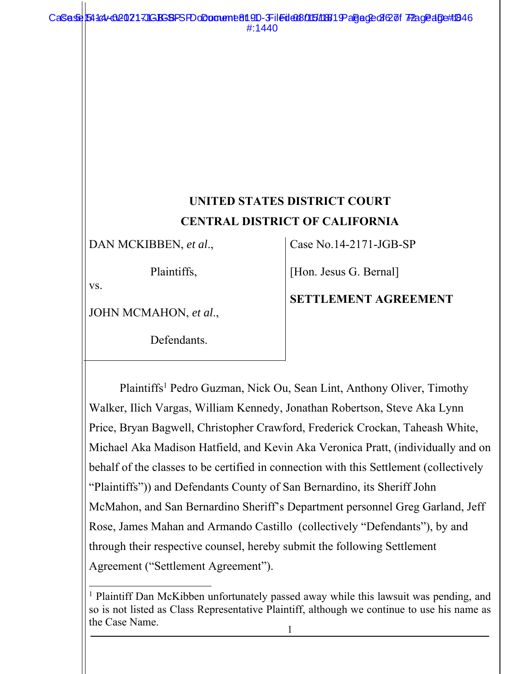## **UNITED STATES DISTRICT COURT CENTRAL DISTRICT OF CALIFORNIA**

DAN MCKIBBEN, *et al*.,

Plaintiffs,

vs.

l

JOHN MCMAHON, *et al*.,

Defendants.

Case No.14-2171-JGB-SP

[Hon. Jesus G. Bernal]

**SETTLEMENT AGREEMENT** 

Plaintiffs<sup>1</sup> Pedro Guzman, Nick Ou, Sean Lint, Anthony Oliver, Timothy Walker, Ilich Vargas, William Kennedy, Jonathan Robertson, Steve Aka Lynn Price, Bryan Bagwell, Christopher Crawford, Frederick Crockan, Taheash White, Michael Aka Madison Hatfield, and Kevin Aka Veronica Pratt, (individually and on behalf of the classes to be certified in connection with this Settlement (collectively "Plaintiffs")) and Defendants County of San Bernardino, its Sheriff John McMahon, and San Bernardino Sheriff's Department personnel Greg Garland, Jeff Rose, James Mahan and Armando Castillo (collectively "Defendants"), by and through their respective counsel, hereby submit the following Settlement Agreement ("Settlement Agreement").

<sup>&</sup>lt;sup>1</sup> Plaintiff Dan McKibben unfortunately passed away while this lawsuit was pending, and so is not listed as Class Representative Plaintiff, although we continue to use his name as the Case Name.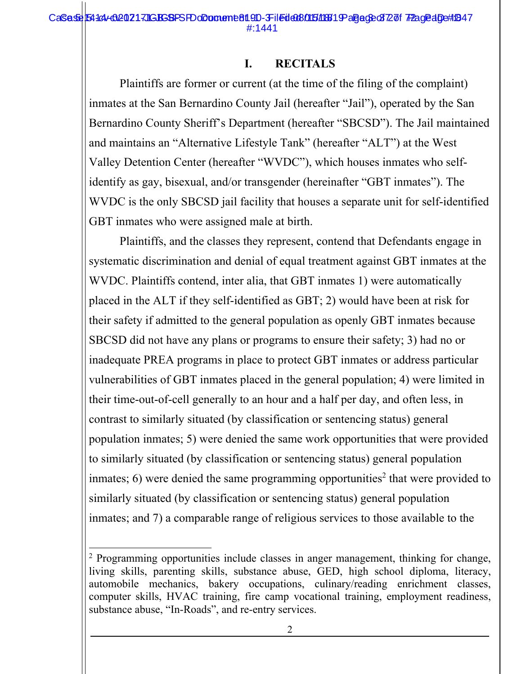# **I. RECITALS**

Plaintiffs are former or current (at the time of the filing of the complaint) inmates at the San Bernardino County Jail (hereafter "Jail"), operated by the San Bernardino County Sheriff's Department (hereafter "SBCSD"). The Jail maintained and maintains an "Alternative Lifestyle Tank" (hereafter "ALT") at the West Valley Detention Center (hereafter "WVDC"), which houses inmates who selfidentify as gay, bisexual, and/or transgender (hereinafter "GBT inmates"). The WVDC is the only SBCSD jail facility that houses a separate unit for self-identified GBT inmates who were assigned male at birth.

Plaintiffs, and the classes they represent, contend that Defendants engage in systematic discrimination and denial of equal treatment against GBT inmates at the WVDC. Plaintiffs contend, inter alia, that GBT inmates 1) were automatically placed in the ALT if they self-identified as GBT; 2) would have been at risk for their safety if admitted to the general population as openly GBT inmates because SBCSD did not have any plans or programs to ensure their safety; 3) had no or inadequate PREA programs in place to protect GBT inmates or address particular vulnerabilities of GBT inmates placed in the general population; 4) were limited in their time-out-of-cell generally to an hour and a half per day, and often less, in contrast to similarly situated (by classification or sentencing status) general population inmates; 5) were denied the same work opportunities that were provided to similarly situated (by classification or sentencing status) general population inmates; 6) were denied the same programming opportunities<sup>2</sup> that were provided to similarly situated (by classification or sentencing status) general population inmates; and 7) a comparable range of religious services to those available to the

l

<sup>&</sup>lt;sup>2</sup> Programming opportunities include classes in anger management, thinking for change, living skills, parenting skills, substance abuse, GED, high school diploma, literacy, automobile mechanics, bakery occupations, culinary/reading enrichment classes, computer skills, HVAC training, fire camp vocational training, employment readiness, substance abuse, "In-Roads", and re-entry services.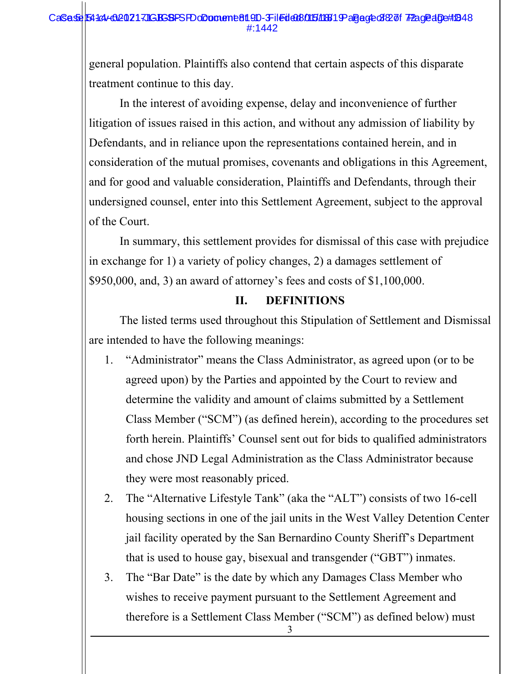### CaSese 54144-020217JGBSBPSFDoDoment 81.9D-3Filed 008/015/18819 aBege of 827 of 7Page aDett1848 #:1442

general population. Plaintiffs also contend that certain aspects of this disparate treatment continue to this day.

In the interest of avoiding expense, delay and inconvenience of further litigation of issues raised in this action, and without any admission of liability by Defendants, and in reliance upon the representations contained herein, and in consideration of the mutual promises, covenants and obligations in this Agreement, and for good and valuable consideration, Plaintiffs and Defendants, through their undersigned counsel, enter into this Settlement Agreement, subject to the approval of the Court.

In summary, this settlement provides for dismissal of this case with prejudice in exchange for 1) a variety of policy changes, 2) a damages settlement of \$950,000, and, 3) an award of attorney's fees and costs of \$1,100,000.

### **II. DEFINITIONS**

The listed terms used throughout this Stipulation of Settlement and Dismissal are intended to have the following meanings:

- 1. "Administrator" means the Class Administrator, as agreed upon (or to be agreed upon) by the Parties and appointed by the Court to review and determine the validity and amount of claims submitted by a Settlement Class Member ("SCM") (as defined herein), according to the procedures set forth herein. Plaintiffs' Counsel sent out for bids to qualified administrators and chose JND Legal Administration as the Class Administrator because they were most reasonably priced.
- 2. The "Alternative Lifestyle Tank" (aka the "ALT") consists of two 16-cell housing sections in one of the jail units in the West Valley Detention Center jail facility operated by the San Bernardino County Sheriff's Department that is used to house gay, bisexual and transgender ("GBT") inmates.
- 3. The "Bar Date" is the date by which any Damages Class Member who wishes to receive payment pursuant to the Settlement Agreement and therefore is a Settlement Class Member ("SCM") as defined below) must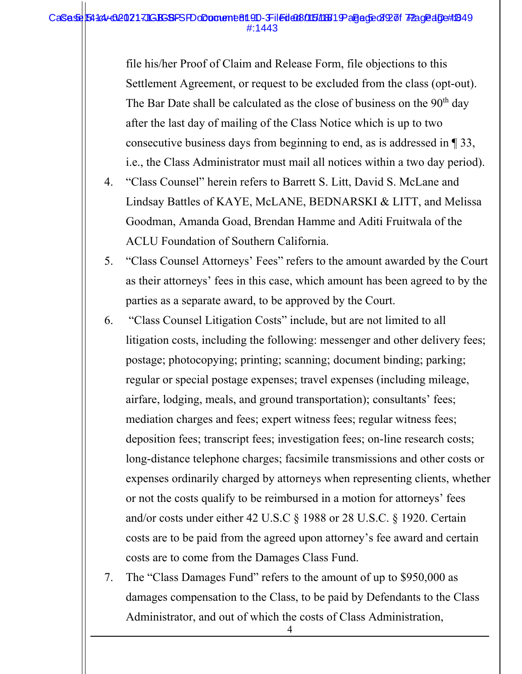#### CaSese 54144-020217JGBSBPSFDoDoment 819D-Filed 008015/18819 aBege 392 of 72 age aDe#1849 #:1443

file his/her Proof of Claim and Release Form, file objections to this Settlement Agreement, or request to be excluded from the class (opt-out). The Bar Date shall be calculated as the close of business on the  $90<sup>th</sup>$  day after the last day of mailing of the Class Notice which is up to two consecutive business days from beginning to end, as is addressed in ¶ 33, i.e., the Class Administrator must mail all notices within a two day period).

- 4. "Class Counsel" herein refers to Barrett S. Litt, David S. McLane and Lindsay Battles of KAYE, McLANE, BEDNARSKI & LITT, and Melissa Goodman, Amanda Goad, Brendan Hamme and Aditi Fruitwala of the ACLU Foundation of Southern California.
- 5. "Class Counsel Attorneys' Fees" refers to the amount awarded by the Court as their attorneys' fees in this case, which amount has been agreed to by the parties as a separate award, to be approved by the Court.
- 6. "Class Counsel Litigation Costs" include, but are not limited to all litigation costs, including the following: messenger and other delivery fees; postage; photocopying; printing; scanning; document binding; parking; regular or special postage expenses; travel expenses (including mileage, airfare, lodging, meals, and ground transportation); consultants' fees; mediation charges and fees; expert witness fees; regular witness fees; deposition fees; transcript fees; investigation fees; on-line research costs; long-distance telephone charges; facsimile transmissions and other costs or expenses ordinarily charged by attorneys when representing clients, whether or not the costs qualify to be reimbursed in a motion for attorneys' fees and/or costs under either 42 U.S.C § 1988 or 28 U.S.C. § 1920. Certain costs are to be paid from the agreed upon attorney's fee award and certain costs are to come from the Damages Class Fund.
- 7. The "Class Damages Fund" refers to the amount of up to \$950,000 as damages compensation to the Class, to be paid by Defendants to the Class Administrator, and out of which the costs of Class Administration,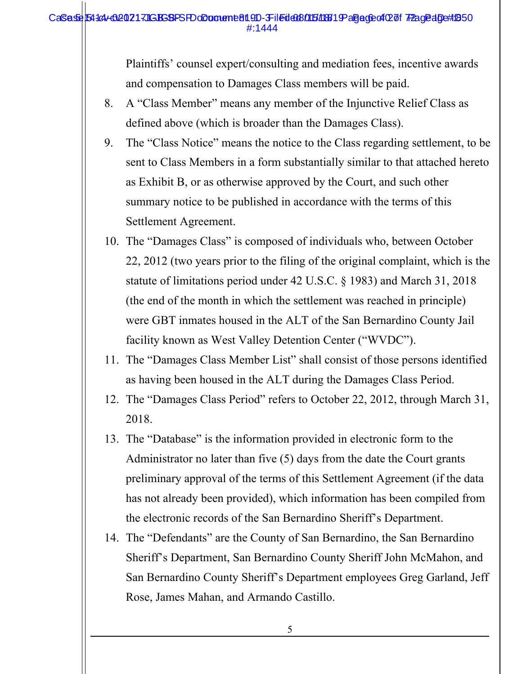#### CaSese 54144-020217JGBSBPSFDoDoment 819D-3Filed 008015/18819 aBege of 02 of 7Page aDe#1850 #:1444

Plaintiffs' counsel expert/consulting and mediation fees, incentive awards and compensation to Damages Class members will be paid.

- 8. A "Class Member" means any member of the Injunctive Relief Class as defined above (which is broader than the Damages Class).
- 9. The "Class Notice" means the notice to the Class regarding settlement, to be sent to Class Members in a form substantially similar to that attached hereto as Exhibit B, or as otherwise approved by the Court, and such other summary notice to be published in accordance with the terms of this Settlement Agreement.
- 10. The "Damages Class" is composed of individuals who, between October 22, 2012 (two years prior to the filing of the original complaint, which is the statute of limitations period under 42 U.S.C. § 1983) and March 31, 2018 (the end of the month in which the settlement was reached in principle) were GBT inmates housed in the ALT of the San Bernardino County Jail facility known as West Valley Detention Center ("WVDC").
- 11. The "Damages Class Member List" shall consist of those persons identified as having been housed in the ALT during the Damages Class Period.
- 12. The "Damages Class Period" refers to October 22, 2012, through March 31, 2018.
- 13. The "Database" is the information provided in electronic form to the Administrator no later than five (5) days from the date the Court grants preliminary approval of the terms of this Settlement Agreement (if the data has not already been provided), which information has been compiled from the electronic records of the San Bernardino Sheriff's Department.
- 14. The "Defendants" are the County of San Bernardino, the San Bernardino Sheriff's Department, San Bernardino County Sheriff John McMahon, and San Bernardino County Sheriff's Department employees Greg Garland, Jeff Rose, James Mahan, and Armando Castillo.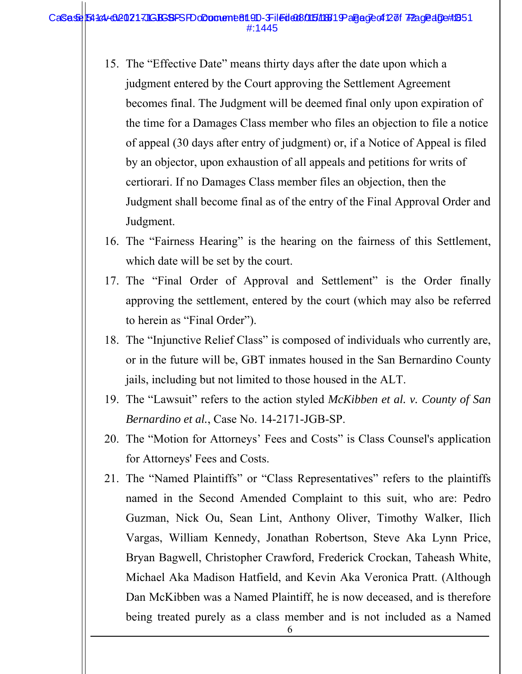#### CaSese 54144-020217JGBSBPSFDoDoment 819D-3Filed 008015/18819 aBege of 27 TPage aDe#1851 #:1445

- 15. The "Effective Date" means thirty days after the date upon which a judgment entered by the Court approving the Settlement Agreement becomes final. The Judgment will be deemed final only upon expiration of the time for a Damages Class member who files an objection to file a notice of appeal (30 days after entry of judgment) or, if a Notice of Appeal is filed by an objector, upon exhaustion of all appeals and petitions for writs of certiorari. If no Damages Class member files an objection, then the Judgment shall become final as of the entry of the Final Approval Order and Judgment.
- 16. The "Fairness Hearing" is the hearing on the fairness of this Settlement, which date will be set by the court.
- 17. The "Final Order of Approval and Settlement" is the Order finally approving the settlement, entered by the court (which may also be referred to herein as "Final Order").
- 18. The "Injunctive Relief Class" is composed of individuals who currently are, or in the future will be, GBT inmates housed in the San Bernardino County jails, including but not limited to those housed in the ALT.
- 19. The "Lawsuit" refers to the action styled *McKibben et al. v. County of San Bernardino et al.*, Case No. 14-2171-JGB-SP.
- 20. The "Motion for Attorneys' Fees and Costs" is Class Counsel's application for Attorneys' Fees and Costs.
- 21. The "Named Plaintiffs" or "Class Representatives" refers to the plaintiffs named in the Second Amended Complaint to this suit, who are: Pedro Guzman, Nick Ou, Sean Lint, Anthony Oliver, Timothy Walker, Ilich Vargas, William Kennedy, Jonathan Robertson, Steve Aka Lynn Price, Bryan Bagwell, Christopher Crawford, Frederick Crockan, Taheash White, Michael Aka Madison Hatfield, and Kevin Aka Veronica Pratt. (Although Dan McKibben was a Named Plaintiff, he is now deceased, and is therefore being treated purely as a class member and is not included as a Named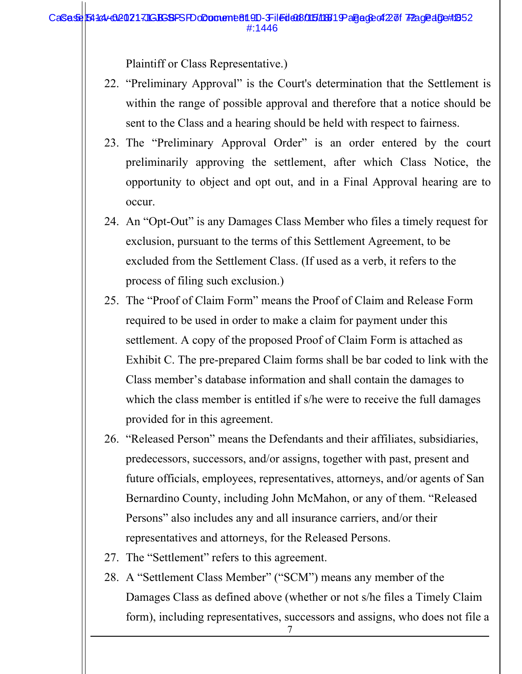Plaintiff or Class Representative.)

- 22. "Preliminary Approval" is the Court's determination that the Settlement is within the range of possible approval and therefore that a notice should be sent to the Class and a hearing should be held with respect to fairness.
- 23. The "Preliminary Approval Order" is an order entered by the court preliminarily approving the settlement, after which Class Notice, the opportunity to object and opt out, and in a Final Approval hearing are to occur.
- 24. An "Opt-Out" is any Damages Class Member who files a timely request for exclusion, pursuant to the terms of this Settlement Agreement, to be excluded from the Settlement Class. (If used as a verb, it refers to the process of filing such exclusion.)
- 25. The "Proof of Claim Form" means the Proof of Claim and Release Form required to be used in order to make a claim for payment under this settlement. A copy of the proposed Proof of Claim Form is attached as Exhibit C. The pre-prepared Claim forms shall be bar coded to link with the Class member's database information and shall contain the damages to which the class member is entitled if s/he were to receive the full damages provided for in this agreement.
- 26. "Released Person" means the Defendants and their affiliates, subsidiaries, predecessors, successors, and/or assigns, together with past, present and future officials, employees, representatives, attorneys, and/or agents of San Bernardino County, including John McMahon, or any of them. "Released Persons" also includes any and all insurance carriers, and/or their representatives and attorneys, for the Released Persons.
- 27. The "Settlement" refers to this agreement.
- 28. A "Settlement Class Member" ("SCM") means any member of the Damages Class as defined above (whether or not s/he files a Timely Claim form), including representatives, successors and assigns, who does not file a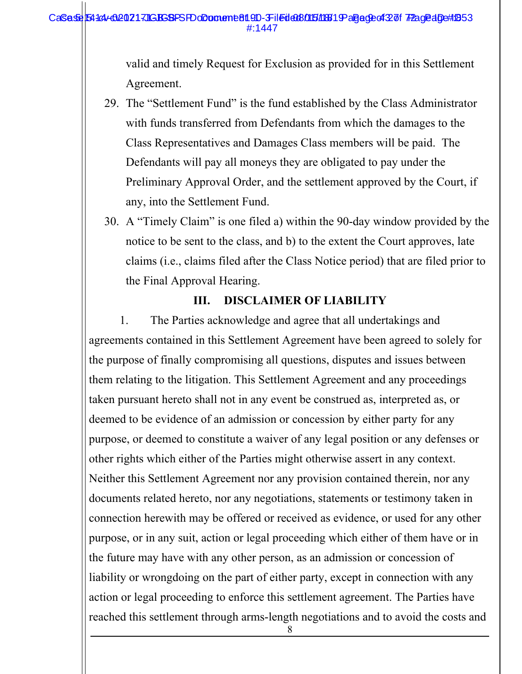#### CaSese 54144-020217JGBSBPSFDoDoment 81.9D-3Filed 608/015/18819 aBege of 327 of 7Page algett 1853  $\pm 1$ <sub>1</sub> $\pm 1$

valid and timely Request for Exclusion as provided for in this Settlement Agreement.

- 29. The "Settlement Fund" is the fund established by the Class Administrator with funds transferred from Defendants from which the damages to the Class Representatives and Damages Class members will be paid. The Defendants will pay all moneys they are obligated to pay under the Preliminary Approval Order, and the settlement approved by the Court, if any, into the Settlement Fund.
- 30. A "Timely Claim" is one filed a) within the 90-day window provided by the notice to be sent to the class, and b) to the extent the Court approves, late claims (i.e., claims filed after the Class Notice period) that are filed prior to the Final Approval Hearing.

## **III. DISCLAIMER OF LIABILITY**

1. The Parties acknowledge and agree that all undertakings and agreements contained in this Settlement Agreement have been agreed to solely for the purpose of finally compromising all questions, disputes and issues between them relating to the litigation. This Settlement Agreement and any proceedings taken pursuant hereto shall not in any event be construed as, interpreted as, or deemed to be evidence of an admission or concession by either party for any purpose, or deemed to constitute a waiver of any legal position or any defenses or other rights which either of the Parties might otherwise assert in any context. Neither this Settlement Agreement nor any provision contained therein, nor any documents related hereto, nor any negotiations, statements or testimony taken in connection herewith may be offered or received as evidence, or used for any other purpose, or in any suit, action or legal proceeding which either of them have or in the future may have with any other person, as an admission or concession of liability or wrongdoing on the part of either party, except in connection with any action or legal proceeding to enforce this settlement agreement. The Parties have reached this settlement through arms-length negotiations and to avoid the costs and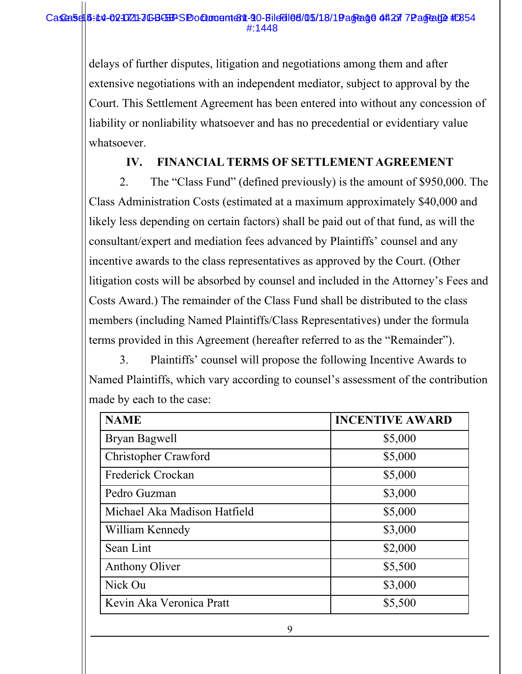delays of further disputes, litigation and negotiations among them and after extensive negotiations with an independent mediator, subject to approval by the Court. This Settlement Agreement has been entered into without any concession of liability or nonliability whatsoever and has no precedential or evidentiary value whatsoever.

# **IV. FINANCIAL TERMS OF SETTLEMENT AGREEMENT**

2. The "Class Fund" (defined previously) is the amount of \$950,000. The Class Administration Costs (estimated at a maximum approximately \$40,000 and likely less depending on certain factors) shall be paid out of that fund, as will the consultant/expert and mediation fees advanced by Plaintiffs' counsel and any incentive awards to the class representatives as approved by the Court. (Other litigation costs will be absorbed by counsel and included in the Attorney's Fees and Costs Award.) The remainder of the Class Fund shall be distributed to the class members (including Named Plaintiffs/Class Representatives) under the formula terms provided in this Agreement (hereafter referred to as the "Remainder").

3. Plaintiffs' counsel will propose the following Incentive Awards to Named Plaintiffs, which vary according to counsel's assessment of the contribution made by each to the case:

| <b>NAME</b>                  | <b>INCENTIVE AWARD</b> |
|------------------------------|------------------------|
| Bryan Bagwell                | \$5,000                |
| Christopher Crawford         | \$5,000                |
| Frederick Crockan            | \$5,000                |
| Pedro Guzman                 | \$3,000                |
| Michael Aka Madison Hatfield | \$5,000                |
| William Kennedy              | \$3,000                |
| Sean Lint                    | \$2,000                |
| Anthony Oliver               | \$5,500                |
| Nick Ou                      | \$3,000                |
| Kevin Aka Veronica Pratt     | \$5,500                |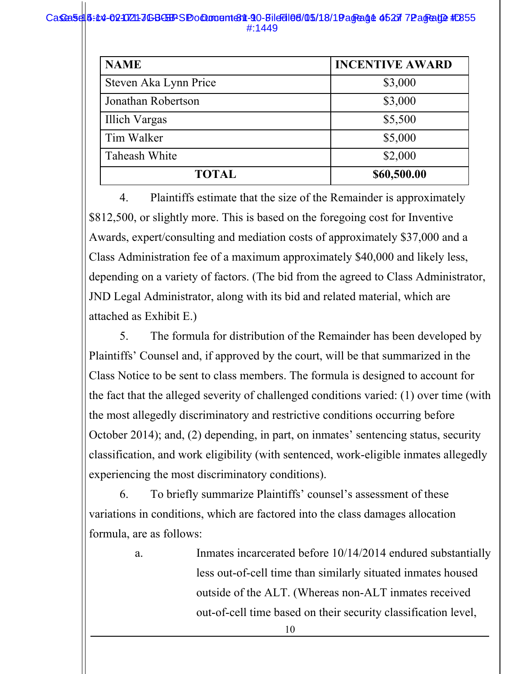#### Case 5:45-02-02-1021-JGB-SEP SP Document 811-90-Bild 5105/18/19 age 14 05 27 72 age 102 # 255 #:1449

| <b>NAME</b>           | <b>INCENTIVE AWARD</b> |  |
|-----------------------|------------------------|--|
| Steven Aka Lynn Price | \$3,000                |  |
| Jonathan Robertson    | \$3,000                |  |
| Illich Vargas         | \$5,500                |  |
| Tim Walker            | \$5,000                |  |
| Taheash White         | \$2,000                |  |
| <b>TOTAL</b>          | \$60,500.00            |  |

4. Plaintiffs estimate that the size of the Remainder is approximately \$812,500, or slightly more. This is based on the foregoing cost for Inventive Awards, expert/consulting and mediation costs of approximately \$37,000 and a Class Administration fee of a maximum approximately \$40,000 and likely less, depending on a variety of factors. (The bid from the agreed to Class Administrator, JND Legal Administrator, along with its bid and related material, which are attached as Exhibit E.)

5. The formula for distribution of the Remainder has been developed by Plaintiffs' Counsel and, if approved by the court, will be that summarized in the Class Notice to be sent to class members. The formula is designed to account for the fact that the alleged severity of challenged conditions varied: (1) over time (with the most allegedly discriminatory and restrictive conditions occurring before October 2014); and, (2) depending, in part, on inmates' sentencing status, security classification, and work eligibility (with sentenced, work-eligible inmates allegedly experiencing the most discriminatory conditions).

6. To briefly summarize Plaintiffs' counsel's assessment of these variations in conditions, which are factored into the class damages allocation formula, are as follows:

> a. Inmates incarcerated before 10/14/2014 endured substantially less out-of-cell time than similarly situated inmates housed outside of the ALT. (Whereas non-ALT inmates received out-of-cell time based on their security classification level,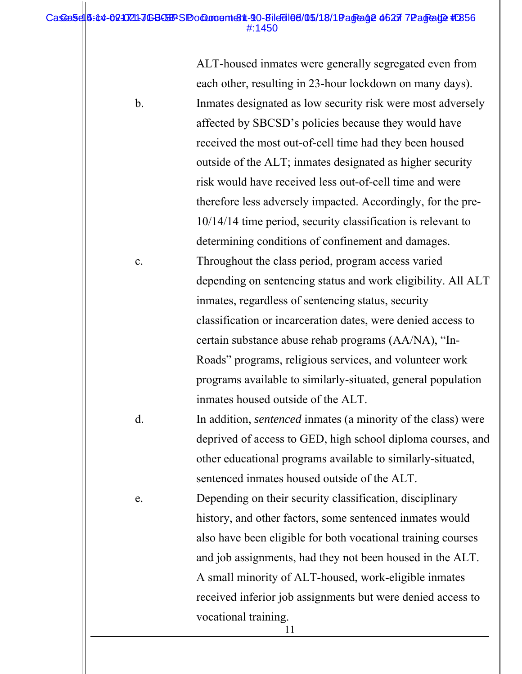#### Case 5:14-02-0210211-JGBGEPS Pocument 811-90-Bild 5105/18/19 age 01:27 7Page 102 #:256 #:1450

ALT-housed inmates were generally segregated even from each other, resulting in 23-hour lockdown on many days). b. Inmates designated as low security risk were most adversely affected by SBCSD's policies because they would have received the most out-of-cell time had they been housed outside of the ALT; inmates designated as higher security risk would have received less out-of-cell time and were therefore less adversely impacted. Accordingly, for the pre-10/14/14 time period, security classification is relevant to determining conditions of confinement and damages. c. Throughout the class period, program access varied depending on sentencing status and work eligibility. All ALT inmates, regardless of sentencing status, security classification or incarceration dates, were denied access to certain substance abuse rehab programs (AA/NA), "In-Roads" programs, religious services, and volunteer work programs available to similarly-situated, general population inmates housed outside of the ALT. d. In addition, *sentenced* inmates (a minority of the class) were deprived of access to GED, high school diploma courses, and other educational programs available to similarly-situated, sentenced inmates housed outside of the ALT. e. Depending on their security classification, disciplinary history, and other factors, some sentenced inmates would also have been eligible for both vocational training courses and job assignments, had they not been housed in the ALT. A small minority of ALT-housed, work-eligible inmates received inferior job assignments but were denied access to vocational training.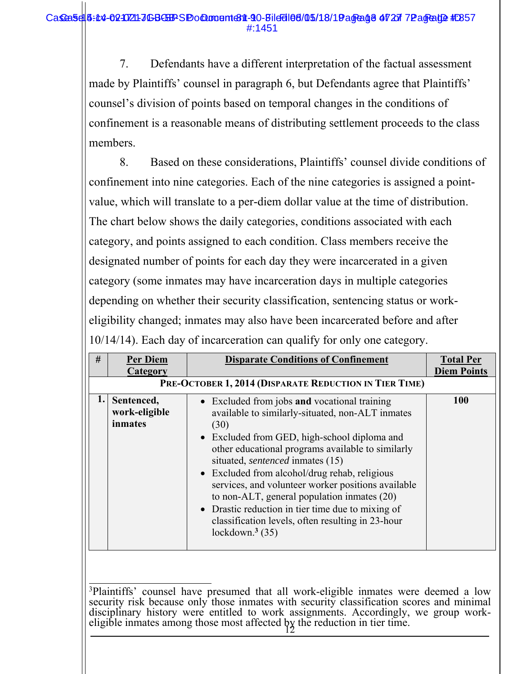7. Defendants have a different interpretation of the factual assessment made by Plaintiffs' counsel in paragraph 6, but Defendants agree that Plaintiffs' counsel's division of points based on temporal changes in the conditions of confinement is a reasonable means of distributing settlement proceeds to the class members.

8. Based on these considerations, Plaintiffs' counsel divide conditions of confinement into nine categories. Each of the nine categories is assigned a pointvalue, which will translate to a per-diem dollar value at the time of distribution. The chart below shows the daily categories, conditions associated with each category, and points assigned to each condition. Class members receive the designated number of points for each day they were incarcerated in a given category (some inmates may have incarceration days in multiple categories depending on whether their security classification, sentencing status or workeligibility changed; inmates may also have been incarcerated before and after 10/14/14). Each day of incarceration can qualify for only one category.

| #  | <b>Per Diem</b><br>Category            | <b>Disparate Conditions of Confinement</b>                                                                                                                                                                                                                                                                                                                                                                                                                                                                                                    | <b>Total Per</b><br><b>Diem Points</b> |
|----|----------------------------------------|-----------------------------------------------------------------------------------------------------------------------------------------------------------------------------------------------------------------------------------------------------------------------------------------------------------------------------------------------------------------------------------------------------------------------------------------------------------------------------------------------------------------------------------------------|----------------------------------------|
|    |                                        | PRE-OCTOBER 1, 2014 (DISPARATE REDUCTION IN TIER TIME)                                                                                                                                                                                                                                                                                                                                                                                                                                                                                        |                                        |
| ı. | Sentenced,<br>work-eligible<br>inmates | • Excluded from jobs and vocational training<br>available to similarly-situated, non-ALT inmates<br>(30)<br>• Excluded from GED, high-school diploma and<br>other educational programs available to similarly<br>situated, <i>sentenced</i> inmates (15)<br>• Excluded from alcohol/drug rehab, religious<br>services, and volunteer worker positions available<br>to non-ALT, general population inmates (20)<br>• Drastic reduction in tier time due to mixing of<br>classification levels, often resulting in 23-hour<br>lockdown. $3(35)$ | 100                                    |

eligible inmates among those most affected  $bg$  the reduction in tier time.  $\overline{a}$ <sup>3</sup>Plaintiffs' counsel have presumed that all work-eligible inmates were deemed a low security risk because only those inmates with security classification scores and minimal disciplinary history were entitled to work assignments. Accordingly, we group work-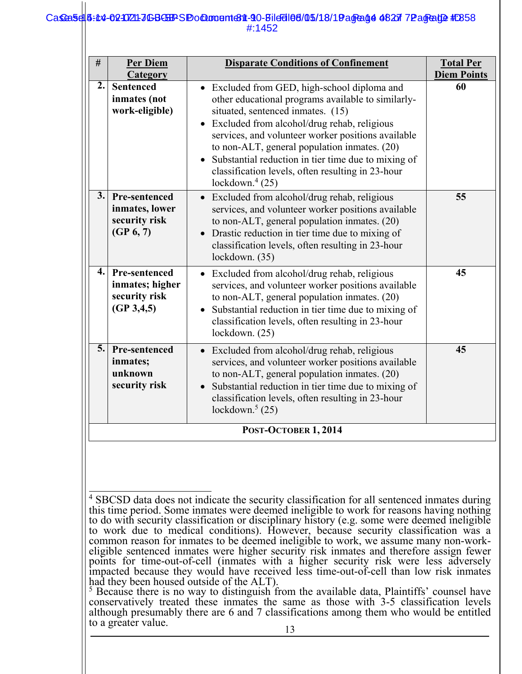#### Case 5:14-021721-JGBGBB-SP Ocument 6311-90-Bild 01 015/18/19 Agread 4 08 27 Page at 25:3 #:1452

| #                | Per Diem<br>Category                                                     | <b>Disparate Conditions of Confinement</b>                                                                                                                                                                                                                                                                                                                                                                                    | <b>Total Per</b><br><b>Diem Points</b> |
|------------------|--------------------------------------------------------------------------|-------------------------------------------------------------------------------------------------------------------------------------------------------------------------------------------------------------------------------------------------------------------------------------------------------------------------------------------------------------------------------------------------------------------------------|----------------------------------------|
| 2.               | <b>Sentenced</b><br>inmates (not<br>work-eligible)                       | • Excluded from GED, high-school diploma and<br>other educational programs available to similarly-<br>situated, sentenced inmates. (15)<br>Excluded from alcohol/drug rehab, religious<br>services, and volunteer worker positions available<br>to non-ALT, general population inmates. (20)<br>Substantial reduction in tier time due to mixing of<br>classification levels, often resulting in 23-hour<br>lockdown. $4(25)$ | 60                                     |
| $\overline{3}$ . | <b>Pre-sentenced</b><br>inmates, lower<br>security risk<br>(GP 6, 7)     | • Excluded from alcohol/drug rehab, religious<br>services, and volunteer worker positions available<br>to non-ALT, general population inmates. (20)<br>Drastic reduction in tier time due to mixing of<br>classification levels, often resulting in 23-hour<br>lockdown. (35)                                                                                                                                                 | 55                                     |
| $\mathbf{4}$ .   | <b>Pre-sentenced</b><br>inmates; higher<br>security risk<br>(GP 3, 4, 5) | Excluded from alcohol/drug rehab, religious<br>$\bullet$<br>services, and volunteer worker positions available<br>to non-ALT, general population inmates. (20)<br>Substantial reduction in tier time due to mixing of<br>classification levels, often resulting in 23-hour<br>lockdown. (25)                                                                                                                                  | 45                                     |
| 5.               | Pre-sentenced<br>inmates;<br>unknown<br>security risk                    | Excluded from alcohol/drug rehab, religious<br>$\bullet$<br>services, and volunteer worker positions available<br>to non-ALT, general population inmates. (20)<br>Substantial reduction in tier time due to mixing of<br>classification levels, often resulting in 23-hour<br>lockdown. $5(25)$                                                                                                                               | 45                                     |
|                  |                                                                          | POST-OCTOBER 1, 2014                                                                                                                                                                                                                                                                                                                                                                                                          |                                        |

l <sup>4</sup> SBCSD data does not indicate the security classification for all sentenced inmates during this time period. Some inmates were deemed ineligible to work for reasons having nothing to do with security classification or disciplinary history (e.g. some were deemed ineligible to work due to medical conditions). However, because security classification was a common reason for inmates to be deemed ineligible to work, we assume many non-workeligible sentenced inmates were higher security risk inmates and therefore assign fewer points for time-out-of-cell (inmates with a higher security risk were less adversely impacted because they would have received less time-out-of-cell than low risk inmates had they been housed outside of the ALT).

 $5$  Because there is no way to distinguish from the available data, Plaintiffs' counsel have conservatively treated these inmates the same as those with 3-5 classification levels although presumably there are 6 and 7 classifications among them who would be entitled to a greater value.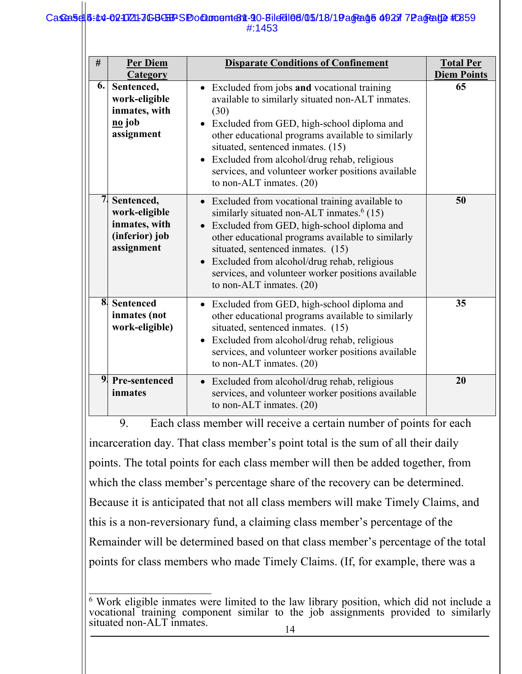#### Case 5:45-02-02-021-JGB-SP Document 81 - 90-Bild 510-16/18/19 age 15 49 27 72 age 102 # E859 #:1453

| #                       | Per Diem<br>Category                                                                        | <b>Disparate Conditions of Confinement</b>                                                                                                                                                                                                                                                                                                                                                                     | <b>Total Per</b><br><b>Diem Points</b> |
|-------------------------|---------------------------------------------------------------------------------------------|----------------------------------------------------------------------------------------------------------------------------------------------------------------------------------------------------------------------------------------------------------------------------------------------------------------------------------------------------------------------------------------------------------------|----------------------------------------|
| 6.                      | Sentenced,<br>work-eligible<br>inmates, with<br>$\underline{\mathbf{no}}$ job<br>assignment | • Excluded from jobs and vocational training<br>available to similarly situated non-ALT inmates.<br>(30)<br>• Excluded from GED, high-school diploma and<br>other educational programs available to similarly<br>situated, sentenced inmates. (15)<br>Excluded from alcohol/drug rehab, religious<br>$\bullet$<br>services, and volunteer worker positions available<br>to non-ALT inmates. $(20)$             | 65                                     |
| 7                       | Sentenced,<br>work-eligible<br>inmates, with<br>(inferior) job<br>assignment                | • Excluded from vocational training available to<br>similarly situated non-ALT inmates. <sup>6</sup> (15)<br>Excluded from GED, high-school diploma and<br>$\bullet$<br>other educational programs available to similarly<br>situated, sentenced inmates. (15)<br>Excluded from alcohol/drug rehab, religious<br>$\bullet$<br>services, and volunteer worker positions available<br>to non-ALT inmates. $(20)$ | 50                                     |
| $\overline{\mathbf{8}}$ | <b>Sentenced</b><br>inmates (not<br>work-eligible)                                          | • Excluded from GED, high-school diploma and<br>other educational programs available to similarly<br>situated, sentenced inmates. (15)<br>Excluded from alcohol/drug rehab, religious<br>$\bullet$<br>services, and volunteer worker positions available<br>to non-ALT inmates. (20)                                                                                                                           | 35                                     |
| 9 <sub>l</sub>          | Pre-sentenced<br>inmates                                                                    | Excluded from alcohol/drug rehab, religious<br>$\bullet$<br>services, and volunteer worker positions available<br>to non-ALT inmates. $(20)$                                                                                                                                                                                                                                                                   | 20                                     |

9. Each class member will receive a certain number of points for each incarceration day. That class member's point total is the sum of all their daily points. The total points for each class member will then be added together, from which the class member's percentage share of the recovery can be determined. Because it is anticipated that not all class members will make Timely Claims, and this is a non-reversionary fund, a claiming class member's percentage of the Remainder will be determined based on that class member's percentage of the total points for class members who made Timely Claims. (If, for example, there was a

 6 Work eligible inmates were limited to the law library position, which did not include a vocational training component similar to the job assignments provided to similarly situated non-ALT inmates.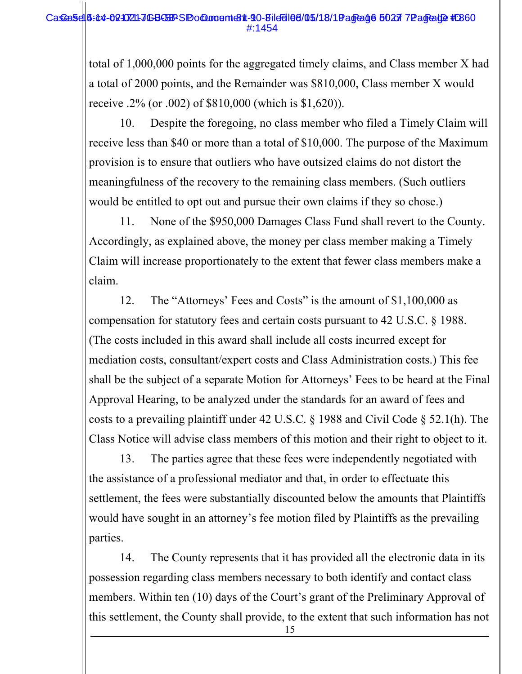### Case 5:14-02-0721-JGB-SP Document 811-90-Bild 5105/18/19 age 16 02 77 Page 102 # E860 #:1454

total of 1,000,000 points for the aggregated timely claims, and Class member X had a total of 2000 points, and the Remainder was \$810,000, Class member X would receive .2% (or .002) of \$810,000 (which is \$1,620)).

10. Despite the foregoing, no class member who filed a Timely Claim will receive less than \$40 or more than a total of \$10,000. The purpose of the Maximum provision is to ensure that outliers who have outsized claims do not distort the meaningfulness of the recovery to the remaining class members. (Such outliers would be entitled to opt out and pursue their own claims if they so chose.)

11. None of the \$950,000 Damages Class Fund shall revert to the County. Accordingly, as explained above, the money per class member making a Timely Claim will increase proportionately to the extent that fewer class members make a claim.

12. The "Attorneys' Fees and Costs" is the amount of \$1,100,000 as compensation for statutory fees and certain costs pursuant to 42 U.S.C. § 1988. (The costs included in this award shall include all costs incurred except for mediation costs, consultant/expert costs and Class Administration costs.) This fee shall be the subject of a separate Motion for Attorneys' Fees to be heard at the Final Approval Hearing, to be analyzed under the standards for an award of fees and costs to a prevailing plaintiff under 42 U.S.C. § 1988 and Civil Code § 52.1(h). The Class Notice will advise class members of this motion and their right to object to it.

13. The parties agree that these fees were independently negotiated with the assistance of a professional mediator and that, in order to effectuate this settlement, the fees were substantially discounted below the amounts that Plaintiffs would have sought in an attorney's fee motion filed by Plaintiffs as the prevailing parties.

14. The County represents that it has provided all the electronic data in its possession regarding class members necessary to both identify and contact class members. Within ten (10) days of the Court's grant of the Preliminary Approval of this settlement, the County shall provide, to the extent that such information has not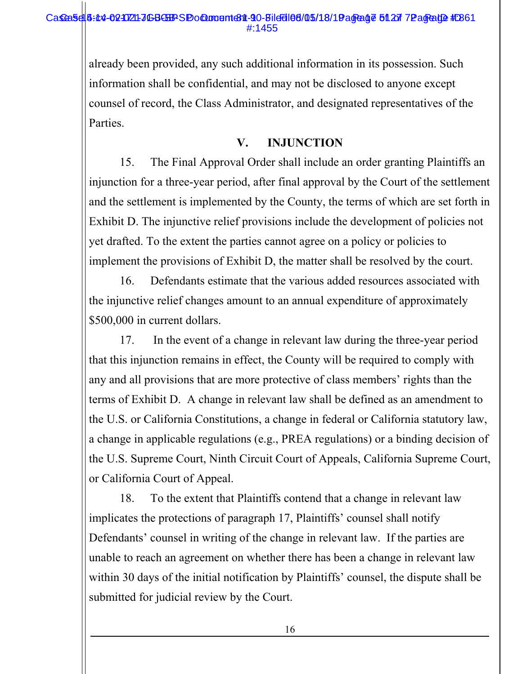### Case 5:14-02-0721-JGB-SP > Pocument 811-90-Bild 0105-05/18/19 age 01 27 7 Page 100 # 2861 #:1455

already been provided, any such additional information in its possession. Such information shall be confidential, and may not be disclosed to anyone except counsel of record, the Class Administrator, and designated representatives of the Parties.

## **V. INJUNCTION**

15. The Final Approval Order shall include an order granting Plaintiffs an injunction for a three-year period, after final approval by the Court of the settlement and the settlement is implemented by the County, the terms of which are set forth in Exhibit D. The injunctive relief provisions include the development of policies not yet drafted. To the extent the parties cannot agree on a policy or policies to implement the provisions of Exhibit D, the matter shall be resolved by the court.

16. Defendants estimate that the various added resources associated with the injunctive relief changes amount to an annual expenditure of approximately \$500,000 in current dollars.

17. In the event of a change in relevant law during the three-year period that this injunction remains in effect, the County will be required to comply with any and all provisions that are more protective of class members' rights than the terms of Exhibit D. A change in relevant law shall be defined as an amendment to the U.S. or California Constitutions, a change in federal or California statutory law, a change in applicable regulations (e.g., PREA regulations) or a binding decision of the U.S. Supreme Court, Ninth Circuit Court of Appeals, California Supreme Court, or California Court of Appeal.

18. To the extent that Plaintiffs contend that a change in relevant law implicates the protections of paragraph 17, Plaintiffs' counsel shall notify Defendants' counsel in writing of the change in relevant law. If the parties are unable to reach an agreement on whether there has been a change in relevant law within 30 days of the initial notification by Plaintiffs' counsel, the dispute shall be submitted for judicial review by the Court.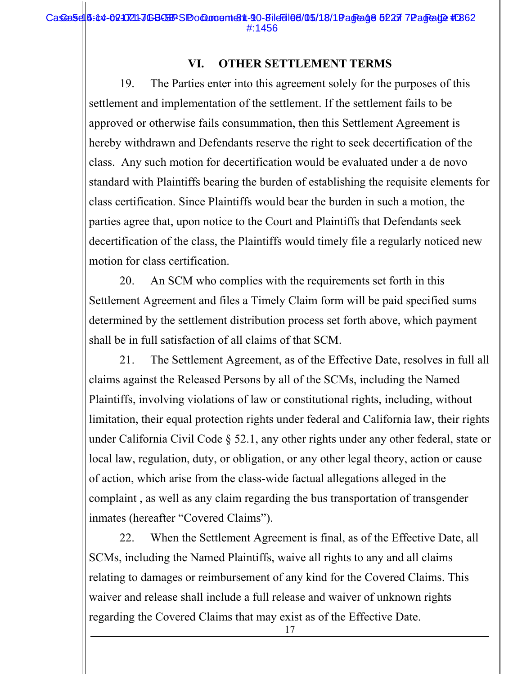# **VI. OTHER SETTLEMENT TERMS**

19. The Parties enter into this agreement solely for the purposes of this settlement and implementation of the settlement. If the settlement fails to be approved or otherwise fails consummation, then this Settlement Agreement is hereby withdrawn and Defendants reserve the right to seek decertification of the class. Any such motion for decertification would be evaluated under a de novo standard with Plaintiffs bearing the burden of establishing the requisite elements for class certification. Since Plaintiffs would bear the burden in such a motion, the parties agree that, upon notice to the Court and Plaintiffs that Defendants seek decertification of the class, the Plaintiffs would timely file a regularly noticed new motion for class certification.

20. An SCM who complies with the requirements set forth in this Settlement Agreement and files a Timely Claim form will be paid specified sums determined by the settlement distribution process set forth above, which payment shall be in full satisfaction of all claims of that SCM.

21. The Settlement Agreement, as of the Effective Date, resolves in full all claims against the Released Persons by all of the SCMs, including the Named Plaintiffs, involving violations of law or constitutional rights, including, without limitation, their equal protection rights under federal and California law, their rights under California Civil Code § 52.1, any other rights under any other federal, state or local law, regulation, duty, or obligation, or any other legal theory, action or cause of action, which arise from the class-wide factual allegations alleged in the complaint , as well as any claim regarding the bus transportation of transgender inmates (hereafter "Covered Claims").

22. When the Settlement Agreement is final, as of the Effective Date, all SCMs, including the Named Plaintiffs, waive all rights to any and all claims relating to damages or reimbursement of any kind for the Covered Claims. This waiver and release shall include a full release and waiver of unknown rights regarding the Covered Claims that may exist as of the Effective Date.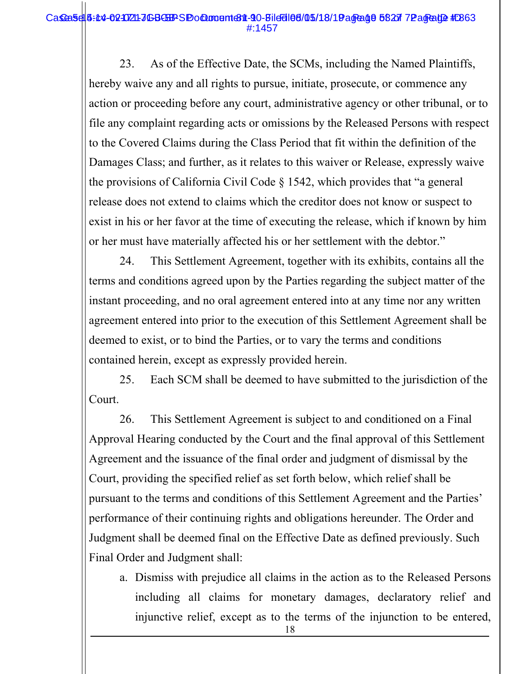#### Case 5:45-02-02-021-JGB-SP SP Document 81 - 90-Bild 51 05/18/19 age 010 512 TP age 102 # E863 #:1457

23. As of the Effective Date, the SCMs, including the Named Plaintiffs, hereby waive any and all rights to pursue, initiate, prosecute, or commence any action or proceeding before any court, administrative agency or other tribunal, or to file any complaint regarding acts or omissions by the Released Persons with respect to the Covered Claims during the Class Period that fit within the definition of the Damages Class; and further, as it relates to this waiver or Release, expressly waive the provisions of California Civil Code § 1542, which provides that "a general release does not extend to claims which the creditor does not know or suspect to exist in his or her favor at the time of executing the release, which if known by him or her must have materially affected his or her settlement with the debtor."

24. This Settlement Agreement, together with its exhibits, contains all the terms and conditions agreed upon by the Parties regarding the subject matter of the instant proceeding, and no oral agreement entered into at any time nor any written agreement entered into prior to the execution of this Settlement Agreement shall be deemed to exist, or to bind the Parties, or to vary the terms and conditions contained herein, except as expressly provided herein.

25. Each SCM shall be deemed to have submitted to the jurisdiction of the Court.

26. This Settlement Agreement is subject to and conditioned on a Final Approval Hearing conducted by the Court and the final approval of this Settlement Agreement and the issuance of the final order and judgment of dismissal by the Court, providing the specified relief as set forth below, which relief shall be pursuant to the terms and conditions of this Settlement Agreement and the Parties' performance of their continuing rights and obligations hereunder. The Order and Judgment shall be deemed final on the Effective Date as defined previously. Such Final Order and Judgment shall:

a. Dismiss with prejudice all claims in the action as to the Released Persons including all claims for monetary damages, declaratory relief and injunctive relief, except as to the terms of the injunction to be entered,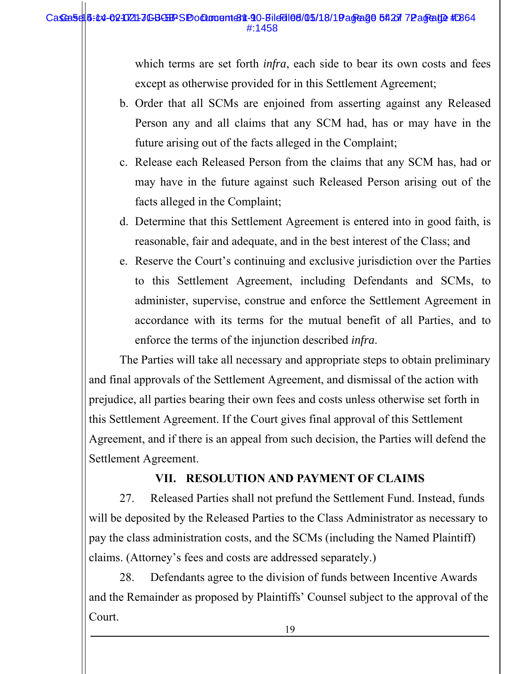#### Case 5:14-02-0721-JGB-SP Document 811-90-Bild 510-18/18/19 age 20 5:12 TP age alge # $264$ #:1458

which terms are set forth *infra*, each side to bear its own costs and fees except as otherwise provided for in this Settlement Agreement;

- b. Order that all SCMs are enjoined from asserting against any Released Person any and all claims that any SCM had, has or may have in the future arising out of the facts alleged in the Complaint;
- c. Release each Released Person from the claims that any SCM has, had or may have in the future against such Released Person arising out of the facts alleged in the Complaint;
- d. Determine that this Settlement Agreement is entered into in good faith, is reasonable, fair and adequate, and in the best interest of the Class; and
- e. Reserve the Court's continuing and exclusive jurisdiction over the Parties to this Settlement Agreement, including Defendants and SCMs, to administer, supervise, construe and enforce the Settlement Agreement in accordance with its terms for the mutual benefit of all Parties, and to enforce the terms of the injunction described *infra*.

The Parties will take all necessary and appropriate steps to obtain preliminary and final approvals of the Settlement Agreement, and dismissal of the action with prejudice, all parties bearing their own fees and costs unless otherwise set forth in this Settlement Agreement. If the Court gives final approval of this Settlement Agreement, and if there is an appeal from such decision, the Parties will defend the Settlement Agreement.

# **VII. RESOLUTION AND PAYMENT OF CLAIMS**

27. Released Parties shall not prefund the Settlement Fund. Instead, funds will be deposited by the Released Parties to the Class Administrator as necessary to pay the class administration costs, and the SCMs (including the Named Plaintiff) claims. (Attorney's fees and costs are addressed separately.)

28. Defendants agree to the division of funds between Incentive Awards and the Remainder as proposed by Plaintiffs' Counsel subject to the approval of the Court.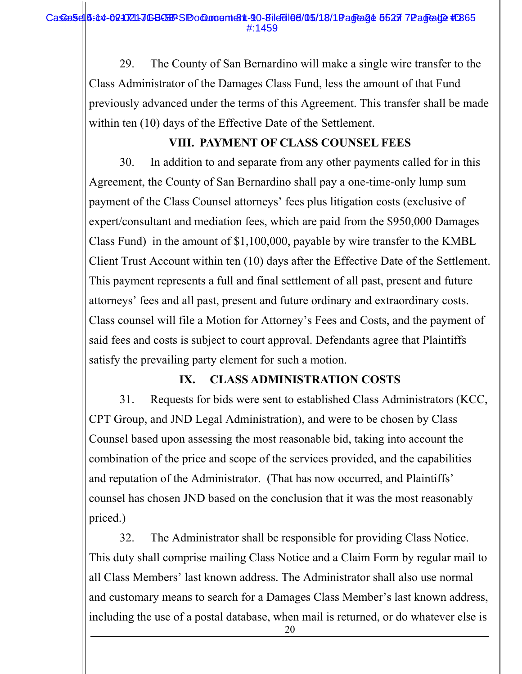29. The County of San Bernardino will make a single wire transfer to the Class Administrator of the Damages Class Fund, less the amount of that Fund previously advanced under the terms of this Agreement. This transfer shall be made within ten (10) days of the Effective Date of the Settlement.

# **VIII. PAYMENT OF CLASS COUNSEL FEES**

30. In addition to and separate from any other payments called for in this Agreement, the County of San Bernardino shall pay a one-time-only lump sum payment of the Class Counsel attorneys' fees plus litigation costs (exclusive of expert/consultant and mediation fees, which are paid from the \$950,000 Damages Class Fund) in the amount of \$1,100,000, payable by wire transfer to the KMBL Client Trust Account within ten (10) days after the Effective Date of the Settlement. This payment represents a full and final settlement of all past, present and future attorneys' fees and all past, present and future ordinary and extraordinary costs. Class counsel will file a Motion for Attorney's Fees and Costs, and the payment of said fees and costs is subject to court approval. Defendants agree that Plaintiffs satisfy the prevailing party element for such a motion.

# **IX. CLASS ADMINISTRATION COSTS**

31. Requests for bids were sent to established Class Administrators (KCC, CPT Group, and JND Legal Administration), and were to be chosen by Class Counsel based upon assessing the most reasonable bid, taking into account the combination of the price and scope of the services provided, and the capabilities and reputation of the Administrator. (That has now occurred, and Plaintiffs' counsel has chosen JND based on the conclusion that it was the most reasonably priced.)

32. The Administrator shall be responsible for providing Class Notice. This duty shall comprise mailing Class Notice and a Claim Form by regular mail to all Class Members' last known address. The Administrator shall also use normal and customary means to search for a Damages Class Member's last known address, including the use of a postal database, when mail is returned, or do whatever else is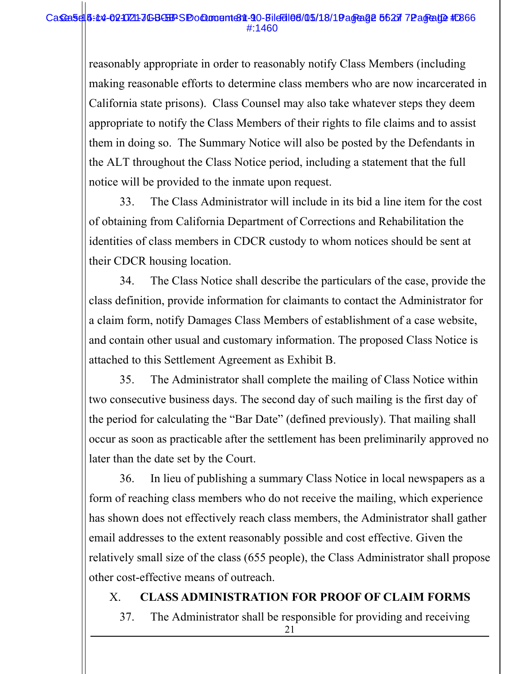#### Case 5:14-02-0721-JGB-SP Document 811-90-Bild 510-18/18/19 age 26 of 27 Page 102 # 266 #:1460

reasonably appropriate in order to reasonably notify Class Members (including making reasonable efforts to determine class members who are now incarcerated in California state prisons). Class Counsel may also take whatever steps they deem appropriate to notify the Class Members of their rights to file claims and to assist them in doing so. The Summary Notice will also be posted by the Defendants in the ALT throughout the Class Notice period, including a statement that the full notice will be provided to the inmate upon request.

33. The Class Administrator will include in its bid a line item for the cost of obtaining from California Department of Corrections and Rehabilitation the identities of class members in CDCR custody to whom notices should be sent at their CDCR housing location.

34. The Class Notice shall describe the particulars of the case, provide the class definition, provide information for claimants to contact the Administrator for a claim form, notify Damages Class Members of establishment of a case website, and contain other usual and customary information. The proposed Class Notice is attached to this Settlement Agreement as Exhibit B.

35. The Administrator shall complete the mailing of Class Notice within two consecutive business days. The second day of such mailing is the first day of the period for calculating the "Bar Date" (defined previously). That mailing shall occur as soon as practicable after the settlement has been preliminarily approved no later than the date set by the Court.

36. In lieu of publishing a summary Class Notice in local newspapers as a form of reaching class members who do not receive the mailing, which experience has shown does not effectively reach class members, the Administrator shall gather email addresses to the extent reasonably possible and cost effective. Given the relatively small size of the class (655 people), the Class Administrator shall propose other cost-effective means of outreach.

## X. **CLASS ADMINISTRATION FOR PROOF OF CLAIM FORMS**

37. The Administrator shall be responsible for providing and receiving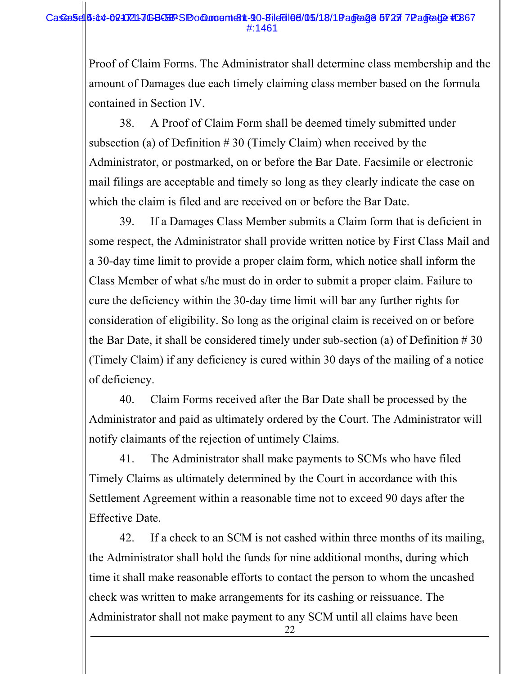### Case 5:45-02-02-021-JGB-SP SP Document 811-90-Bild 5105/18/19 age 23 of 27 7Page 20 #:267 #:1461

Proof of Claim Forms. The Administrator shall determine class membership and the amount of Damages due each timely claiming class member based on the formula contained in Section IV.

38. A Proof of Claim Form shall be deemed timely submitted under subsection (a) of Definition  $# 30$  (Timely Claim) when received by the Administrator, or postmarked, on or before the Bar Date. Facsimile or electronic mail filings are acceptable and timely so long as they clearly indicate the case on which the claim is filed and are received on or before the Bar Date.

39. If a Damages Class Member submits a Claim form that is deficient in some respect, the Administrator shall provide written notice by First Class Mail and a 30-day time limit to provide a proper claim form, which notice shall inform the Class Member of what s/he must do in order to submit a proper claim. Failure to cure the deficiency within the 30-day time limit will bar any further rights for consideration of eligibility. So long as the original claim is received on or before the Bar Date, it shall be considered timely under sub-section (a) of Definition  $\# 30$ (Timely Claim) if any deficiency is cured within 30 days of the mailing of a notice of deficiency.

40. Claim Forms received after the Bar Date shall be processed by the Administrator and paid as ultimately ordered by the Court. The Administrator will notify claimants of the rejection of untimely Claims.

41. The Administrator shall make payments to SCMs who have filed Timely Claims as ultimately determined by the Court in accordance with this Settlement Agreement within a reasonable time not to exceed 90 days after the Effective Date.

42. If a check to an SCM is not cashed within three months of its mailing, the Administrator shall hold the funds for nine additional months, during which time it shall make reasonable efforts to contact the person to whom the uncashed check was written to make arrangements for its cashing or reissuance. The Administrator shall not make payment to any SCM until all claims have been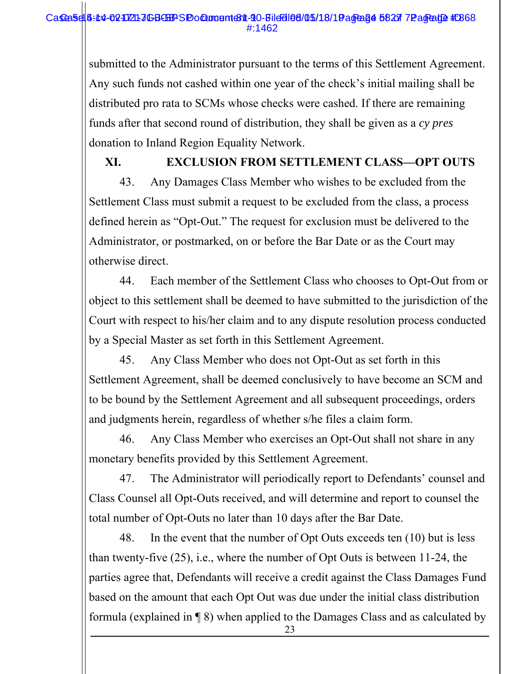#### Case 5:45-02-02-021-JGB-SP Document 81 - 90-Bild 01 05/18/19 age 01 017 Page 102 # 268 #:1462

submitted to the Administrator pursuant to the terms of this Settlement Agreement. Any such funds not cashed within one year of the check's initial mailing shall be distributed pro rata to SCMs whose checks were cashed. If there are remaining funds after that second round of distribution, they shall be given as a *cy pres*  donation to Inland Region Equality Network.

**XI. EXCLUSION FROM SETTLEMENT CLASS—OPT OUTS**  43. Any Damages Class Member who wishes to be excluded from the Settlement Class must submit a request to be excluded from the class, a process defined herein as "Opt-Out." The request for exclusion must be delivered to the Administrator, or postmarked, on or before the Bar Date or as the Court may

otherwise direct.

44. Each member of the Settlement Class who chooses to Opt-Out from or object to this settlement shall be deemed to have submitted to the jurisdiction of the Court with respect to his/her claim and to any dispute resolution process conducted by a Special Master as set forth in this Settlement Agreement.

45. Any Class Member who does not Opt-Out as set forth in this Settlement Agreement, shall be deemed conclusively to have become an SCM and to be bound by the Settlement Agreement and all subsequent proceedings, orders and judgments herein, regardless of whether s/he files a claim form.

46. Any Class Member who exercises an Opt-Out shall not share in any monetary benefits provided by this Settlement Agreement.

47. The Administrator will periodically report to Defendants' counsel and Class Counsel all Opt-Outs received, and will determine and report to counsel the total number of Opt-Outs no later than 10 days after the Bar Date.

48. In the event that the number of Opt Outs exceeds ten (10) but is less than twenty-five (25), i.e., where the number of Opt Outs is between 11-24, the parties agree that, Defendants will receive a credit against the Class Damages Fund based on the amount that each Opt Out was due under the initial class distribution formula (explained in ¶ 8) when applied to the Damages Class and as calculated by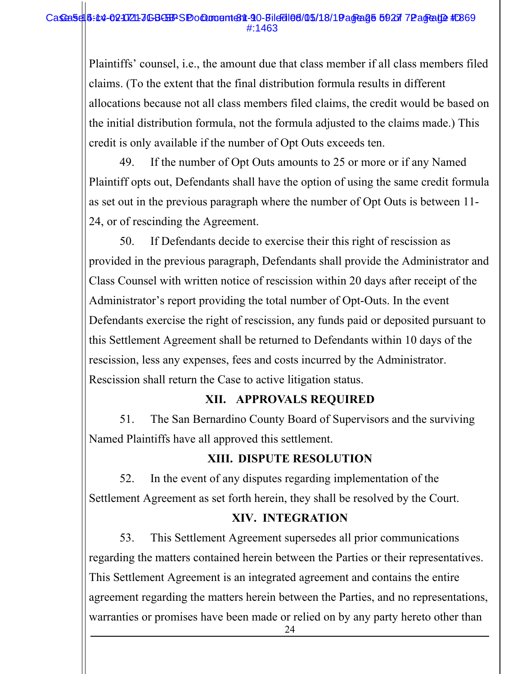#### Case 5:14-02-0721-JGB-SP > Pocument 811-90-Bild 5105/18/19 age 25 59 27 72 age 102 # E869 #:1463

Plaintiffs' counsel, i.e., the amount due that class member if all class members filed claims. (To the extent that the final distribution formula results in different allocations because not all class members filed claims, the credit would be based on the initial distribution formula, not the formula adjusted to the claims made.) This credit is only available if the number of Opt Outs exceeds ten.

49. If the number of Opt Outs amounts to 25 or more or if any Named Plaintiff opts out, Defendants shall have the option of using the same credit formula as set out in the previous paragraph where the number of Opt Outs is between 11- 24, or of rescinding the Agreement.

50. If Defendants decide to exercise their this right of rescission as provided in the previous paragraph, Defendants shall provide the Administrator and Class Counsel with written notice of rescission within 20 days after receipt of the Administrator's report providing the total number of Opt-Outs. In the event Defendants exercise the right of rescission, any funds paid or deposited pursuant to this Settlement Agreement shall be returned to Defendants within 10 days of the rescission, less any expenses, fees and costs incurred by the Administrator. Rescission shall return the Case to active litigation status.

## **XII. APPROVALS REQUIRED**

51. The San Bernardino County Board of Supervisors and the surviving Named Plaintiffs have all approved this settlement.

## **XIII. DISPUTE RESOLUTION**

52. In the event of any disputes regarding implementation of the Settlement Agreement as set forth herein, they shall be resolved by the Court.

### **XIV. INTEGRATION**

53. This Settlement Agreement supersedes all prior communications regarding the matters contained herein between the Parties or their representatives. This Settlement Agreement is an integrated agreement and contains the entire agreement regarding the matters herein between the Parties, and no representations, warranties or promises have been made or relied on by any party hereto other than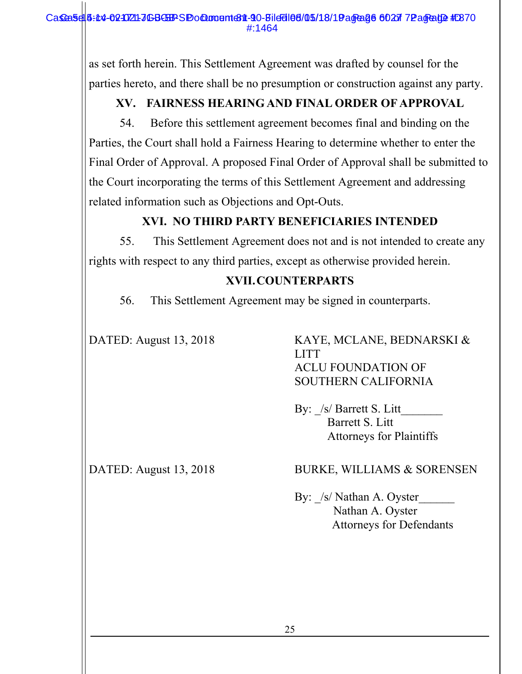as set forth herein. This Settlement Agreement was drafted by counsel for the parties hereto, and there shall be no presumption or construction against any party.

# **XV. FAIRNESS HEARING AND FINAL ORDER OF APPROVAL**

54. Before this settlement agreement becomes final and binding on the Parties, the Court shall hold a Fairness Hearing to determine whether to enter the Final Order of Approval. A proposed Final Order of Approval shall be submitted to the Court incorporating the terms of this Settlement Agreement and addressing related information such as Objections and Opt-Outs.

# **XVI. NO THIRD PARTY BENEFICIARIES INTENDED**

55. This Settlement Agreement does not and is not intended to create any rights with respect to any third parties, except as otherwise provided herein.

# **XVII.COUNTERPARTS**

56. This Settlement Agreement may be signed in counterparts.

DATED: August 13, 2018 KAYE, MCLANE, BEDNARSKI & LITT ACLU FOUNDATION OF SOUTHERN CALIFORNIA

> By:  $/s/$  Barrett S. Litt Barrett S. Litt Attorneys for Plaintiffs

# DATED: August 13, 2018 BURKE, WILLIAMS & SORENSEN

By: /s/ Nathan A. Oyster Nathan A. Oyster Attorneys for Defendants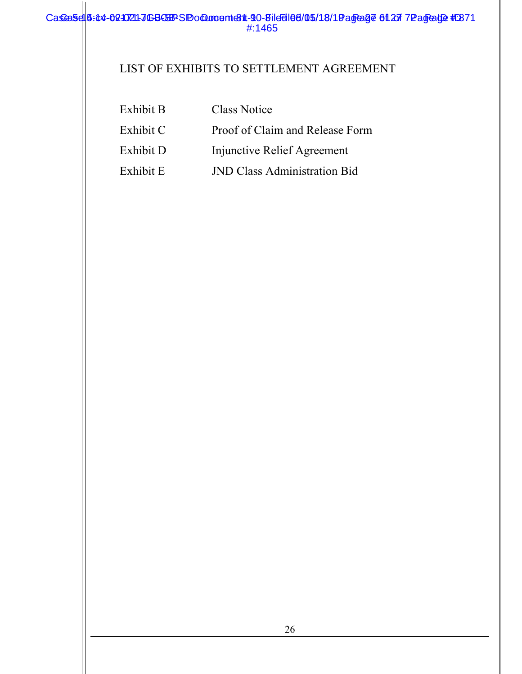# LIST OF EXHIBITS TO SETTLEMENT AGREEMENT

| Exhibit B | <b>Class Notice</b>                 |
|-----------|-------------------------------------|
| Exhibit C | Proof of Claim and Release Form     |
| Exhibit D | Injunctive Relief Agreement         |
| Exhibit E | <b>JND Class Administration Bid</b> |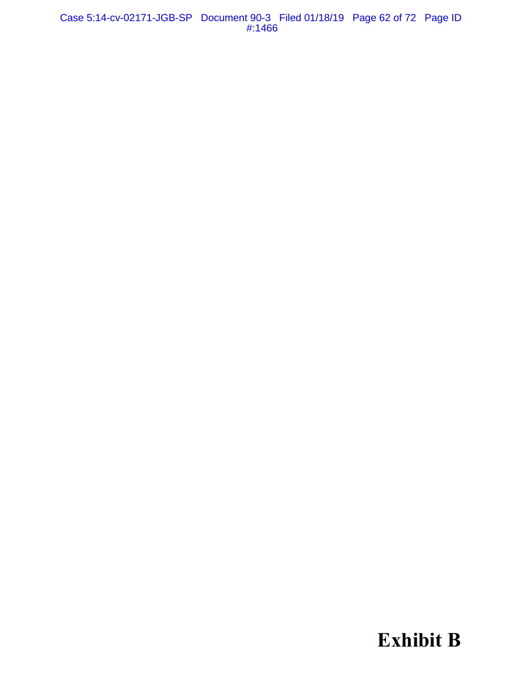Case 5:14-cv-02171-JGB-SP Document 90-3 Filed 01/18/19 Page 62 of 72 Page ID #:1466

**Exhibit B**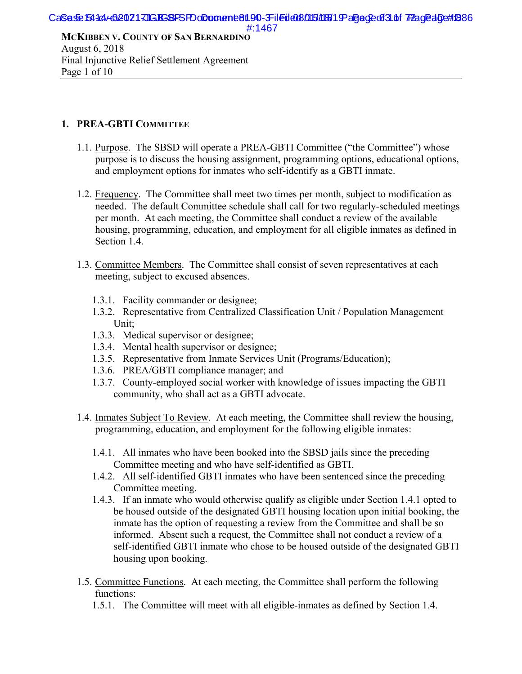**MCKIBBEN V. COUNTY OF SAN BERNARDINO** August 6, 2018 Final Injunctive Relief Settlement Agreement Page 1 of 10

#### **1. PREA-GBTI COMMITTEE**

- 1.1. Purpose. The SBSD will operate a PREA-GBTI Committee ("the Committee") whose purpose is to discuss the housing assignment, programming options, educational options, and employment options for inmates who self-identify as a GBTI inmate.
- 1.2. Frequency. The Committee shall meet two times per month, subject to modification as needed. The default Committee schedule shall call for two regularly-scheduled meetings per month. At each meeting, the Committee shall conduct a review of the available housing, programming, education, and employment for all eligible inmates as defined in Section 1.4.
- 1.3. Committee Members. The Committee shall consist of seven representatives at each meeting, subject to excused absences.
	- 1.3.1. Facility commander or designee;
	- 1.3.2. Representative from Centralized Classification Unit / Population Management Unit;
	- 1.3.3. Medical supervisor or designee;
	- 1.3.4. Mental health supervisor or designee;
	- 1.3.5. Representative from Inmate Services Unit (Programs/Education);
	- 1.3.6. PREA/GBTI compliance manager; and
	- 1.3.7. County-employed social worker with knowledge of issues impacting the GBTI community, who shall act as a GBTI advocate.
- 1.4. Inmates Subject To Review. At each meeting, the Committee shall review the housing, programming, education, and employment for the following eligible inmates:
	- 1.4.1. All inmates who have been booked into the SBSD jails since the preceding Committee meeting and who have self-identified as GBTI.
	- 1.4.2. All self-identified GBTI inmates who have been sentenced since the preceding Committee meeting.
	- 1.4.3. If an inmate who would otherwise qualify as eligible under Section 1.4.1 opted to be housed outside of the designated GBTI housing location upon initial booking, the inmate has the option of requesting a review from the Committee and shall be so informed. Absent such a request, the Committee shall not conduct a review of a self-identified GBTI inmate who chose to be housed outside of the designated GBTI housing upon booking.
- 1.5. Committee Functions. At each meeting, the Committee shall perform the following functions:
	- 1.5.1. The Committee will meet with all eligible-inmates as defined by Section 1.4.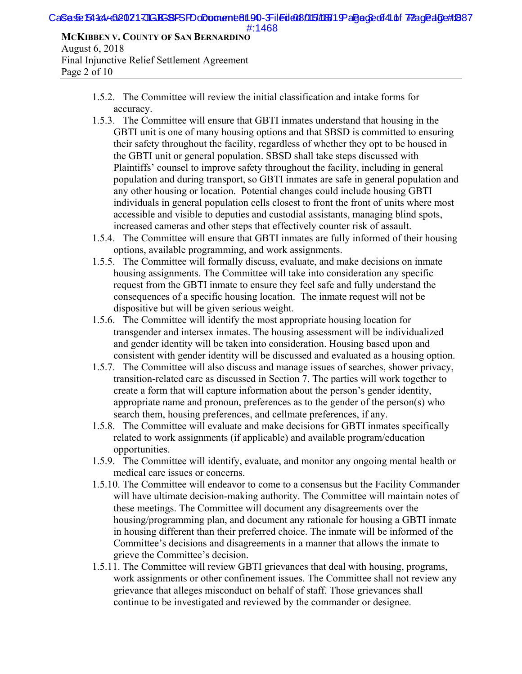#### CaSed&B4d4-020217JGBGBPSPDoDomeme8190-3Filedd08015/18819-aged&d41 f72agedDe#1887 #:1468

**MCKIBBEN V. COUNTY OF SAN BERNARDINO** August 6, 2018 Final Injunctive Relief Settlement Agreement Page 2 of 10

- 1.5.2. The Committee will review the initial classification and intake forms for accuracy.
- 1.5.3. The Committee will ensure that GBTI inmates understand that housing in the GBTI unit is one of many housing options and that SBSD is committed to ensuring their safety throughout the facility, regardless of whether they opt to be housed in the GBTI unit or general population. SBSD shall take steps discussed with Plaintiffs' counsel to improve safety throughout the facility, including in general population and during transport, so GBTI inmates are safe in general population and any other housing or location. Potential changes could include housing GBTI individuals in general population cells closest to front the front of units where most accessible and visible to deputies and custodial assistants, managing blind spots, increased cameras and other steps that effectively counter risk of assault.
- 1.5.4. The Committee will ensure that GBTI inmates are fully informed of their housing options, available programming, and work assignments.
- 1.5.5. The Committee will formally discuss, evaluate, and make decisions on inmate housing assignments. The Committee will take into consideration any specific request from the GBTI inmate to ensure they feel safe and fully understand the consequences of a specific housing location. The inmate request will not be dispositive but will be given serious weight.
- 1.5.6. The Committee will identify the most appropriate housing location for transgender and intersex inmates. The housing assessment will be individualized and gender identity will be taken into consideration. Housing based upon and consistent with gender identity will be discussed and evaluated as a housing option.
- 1.5.7. The Committee will also discuss and manage issues of searches, shower privacy, transition-related care as discussed in Section 7. The parties will work together to create a form that will capture information about the person's gender identity, appropriate name and pronoun, preferences as to the gender of the person(s) who search them, housing preferences, and cellmate preferences, if any.
- 1.5.8. The Committee will evaluate and make decisions for GBTI inmates specifically related to work assignments (if applicable) and available program/education opportunities.
- 1.5.9. The Committee will identify, evaluate, and monitor any ongoing mental health or medical care issues or concerns.
- 1.5.10. The Committee will endeavor to come to a consensus but the Facility Commander will have ultimate decision-making authority. The Committee will maintain notes of these meetings. The Committee will document any disagreements over the housing/programming plan, and document any rationale for housing a GBTI inmate in housing different than their preferred choice. The inmate will be informed of the Committee's decisions and disagreements in a manner that allows the inmate to grieve the Committee's decision.
- 1.5.11. The Committee will review GBTI grievances that deal with housing, programs, work assignments or other confinement issues. The Committee shall not review any grievance that alleges misconduct on behalf of staff. Those grievances shall continue to be investigated and reviewed by the commander or designee.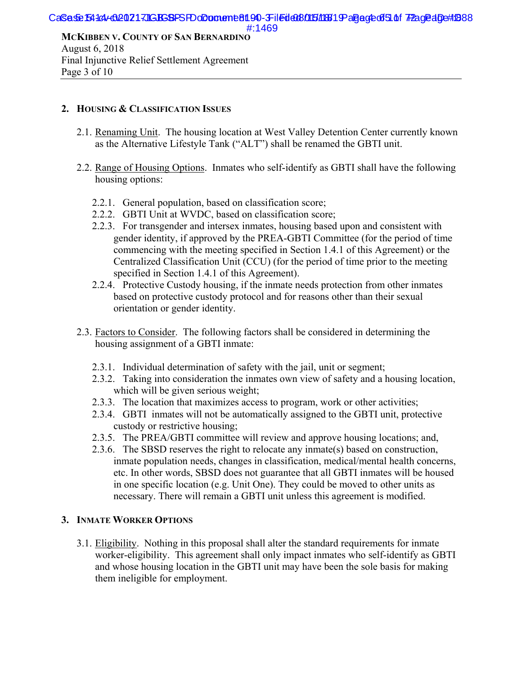# Final Injunctive Relief Settlement Agreement Page 3 of 10

#### **2. HOUSING & CLASSIFICATION ISSUES**

- 2.1. Renaming Unit. The housing location at West Valley Detention Center currently known as the Alternative Lifestyle Tank ("ALT") shall be renamed the GBTI unit.
- 2.2. Range of Housing Options. Inmates who self-identify as GBTI shall have the following housing options:
	- 2.2.1. General population, based on classification score;
	- 2.2.2. GBTI Unit at WVDC, based on classification score;
	- 2.2.3. For transgender and intersex inmates, housing based upon and consistent with gender identity, if approved by the PREA-GBTI Committee (for the period of time commencing with the meeting specified in Section 1.4.1 of this Agreement) or the Centralized Classification Unit (CCU) (for the period of time prior to the meeting specified in Section 1.4.1 of this Agreement).
	- 2.2.4. Protective Custody housing, if the inmate needs protection from other inmates based on protective custody protocol and for reasons other than their sexual orientation or gender identity.
- 2.3. Factors to Consider. The following factors shall be considered in determining the housing assignment of a GBTI inmate:
	- 2.3.1. Individual determination of safety with the jail, unit or segment;
	- 2.3.2. Taking into consideration the inmates own view of safety and a housing location, which will be given serious weight;
	- 2.3.3. The location that maximizes access to program, work or other activities;
	- 2.3.4. GBTI inmates will not be automatically assigned to the GBTI unit, protective custody or restrictive housing;
	- 2.3.5. The PREA/GBTI committee will review and approve housing locations; and,
	- 2.3.6. The SBSD reserves the right to relocate any inmate(s) based on construction, inmate population needs, changes in classification, medical/mental health concerns, etc. In other words, SBSD does not guarantee that all GBTI inmates will be housed in one specific location (e.g. Unit One). They could be moved to other units as necessary. There will remain a GBTI unit unless this agreement is modified.

#### **3. INMATE WORKER OPTIONS**

3.1. Eligibility. Nothing in this proposal shall alter the standard requirements for inmate worker-eligibility. This agreement shall only impact inmates who self-identify as GBTI and whose housing location in the GBTI unit may have been the sole basis for making them ineligible for employment.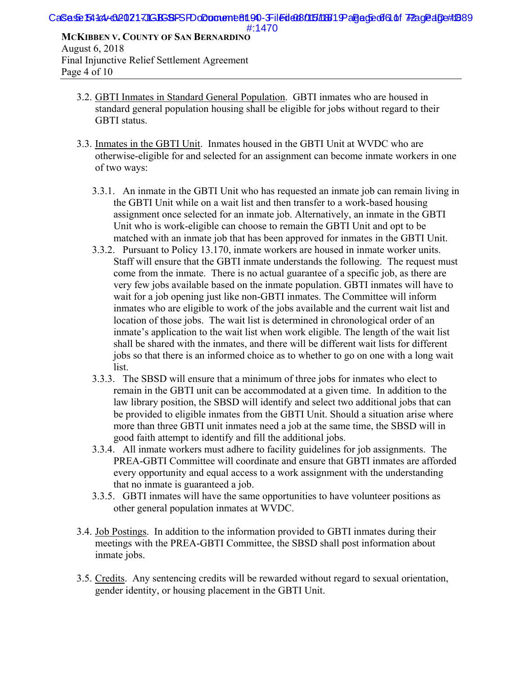Final Injunctive Relief Settlement Agreement Page 4 of 10

- 3.2. GBTI Inmates in Standard General Population. GBTI inmates who are housed in standard general population housing shall be eligible for jobs without regard to their GBTI status.
- 3.3. Inmates in the GBTI Unit. Inmates housed in the GBTI Unit at WVDC who are otherwise-eligible for and selected for an assignment can become inmate workers in one of two ways:
	- 3.3.1. An inmate in the GBTI Unit who has requested an inmate job can remain living in the GBTI Unit while on a wait list and then transfer to a work-based housing assignment once selected for an inmate job. Alternatively, an inmate in the GBTI Unit who is work-eligible can choose to remain the GBTI Unit and opt to be matched with an inmate job that has been approved for inmates in the GBTI Unit.
	- 3.3.2. Pursuant to Policy 13.170, inmate workers are housed in inmate worker units. Staff will ensure that the GBTI inmate understands the following. The request must come from the inmate. There is no actual guarantee of a specific job, as there are very few jobs available based on the inmate population. GBTI inmates will have to wait for a job opening just like non-GBTI inmates. The Committee will inform inmates who are eligible to work of the jobs available and the current wait list and location of those jobs. The wait list is determined in chronological order of an inmate's application to the wait list when work eligible. The length of the wait list shall be shared with the inmates, and there will be different wait lists for different jobs so that there is an informed choice as to whether to go on one with a long wait list.
	- 3.3.3. The SBSD will ensure that a minimum of three jobs for inmates who elect to remain in the GBTI unit can be accommodated at a given time. In addition to the law library position, the SBSD will identify and select two additional jobs that can be provided to eligible inmates from the GBTI Unit. Should a situation arise where more than three GBTI unit inmates need a job at the same time, the SBSD will in good faith attempt to identify and fill the additional jobs.
	- 3.3.4. All inmate workers must adhere to facility guidelines for job assignments. The PREA-GBTI Committee will coordinate and ensure that GBTI inmates are afforded every opportunity and equal access to a work assignment with the understanding that no inmate is guaranteed a job.
	- 3.3.5. GBTI inmates will have the same opportunities to have volunteer positions as other general population inmates at WVDC.
- 3.4. Job Postings. In addition to the information provided to GBTI inmates during their meetings with the PREA-GBTI Committee, the SBSD shall post information about inmate jobs.
- 3.5. Credits. Any sentencing credits will be rewarded without regard to sexual orientation, gender identity, or housing placement in the GBTI Unit.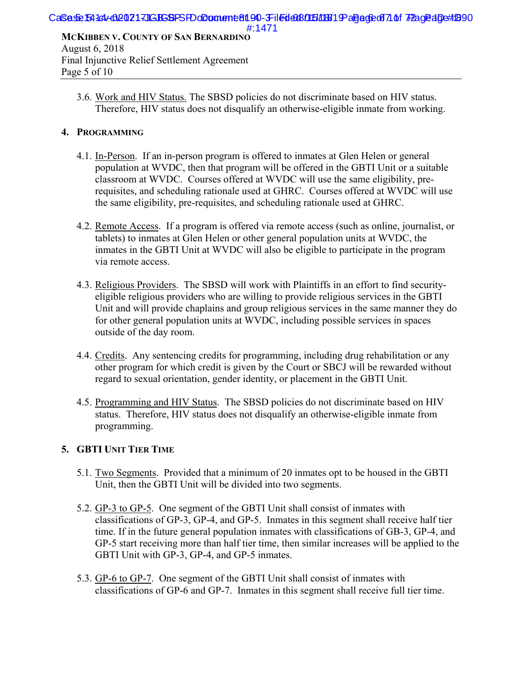3.6. Work and HIV Status. The SBSD policies do not discriminate based on HIV status. Therefore, HIV status does not disqualify an otherwise-eligible inmate from working.

#### **4. PROGRAMMING**

Page 5 of 10

- 4.1. In-Person. If an in-person program is offered to inmates at Glen Helen or general population at WVDC, then that program will be offered in the GBTI Unit or a suitable classroom at WVDC. Courses offered at WVDC will use the same eligibility, prerequisites, and scheduling rationale used at GHRC. Courses offered at WVDC will use the same eligibility, pre-requisites, and scheduling rationale used at GHRC.
- 4.2. Remote Access. If a program is offered via remote access (such as online, journalist, or tablets) to inmates at Glen Helen or other general population units at WVDC, the inmates in the GBTI Unit at WVDC will also be eligible to participate in the program via remote access.
- 4.3. Religious Providers. The SBSD will work with Plaintiffs in an effort to find securityeligible religious providers who are willing to provide religious services in the GBTI Unit and will provide chaplains and group religious services in the same manner they do for other general population units at WVDC, including possible services in spaces outside of the day room.
- 4.4. Credits. Any sentencing credits for programming, including drug rehabilitation or any other program for which credit is given by the Court or SBCJ will be rewarded without regard to sexual orientation, gender identity, or placement in the GBTI Unit.
- 4.5. Programming and HIV Status. The SBSD policies do not discriminate based on HIV status. Therefore, HIV status does not disqualify an otherwise-eligible inmate from programming.

### **5. GBTI UNIT TIER TIME**

- 5.1. Two Segments. Provided that a minimum of 20 inmates opt to be housed in the GBTI Unit, then the GBTI Unit will be divided into two segments.
- 5.2. GP-3 to GP-5. One segment of the GBTI Unit shall consist of inmates with classifications of GP-3, GP-4, and GP-5. Inmates in this segment shall receive half tier time. If in the future general population inmates with classifications of GB-3, GP-4, and GP-5 start receiving more than half tier time, then similar increases will be applied to the GBTI Unit with GP-3, GP-4, and GP-5 inmates.
- 5.3. GP-6 to GP-7. One segment of the GBTI Unit shall consist of inmates with classifications of GP-6 and GP-7. Inmates in this segment shall receive full tier time.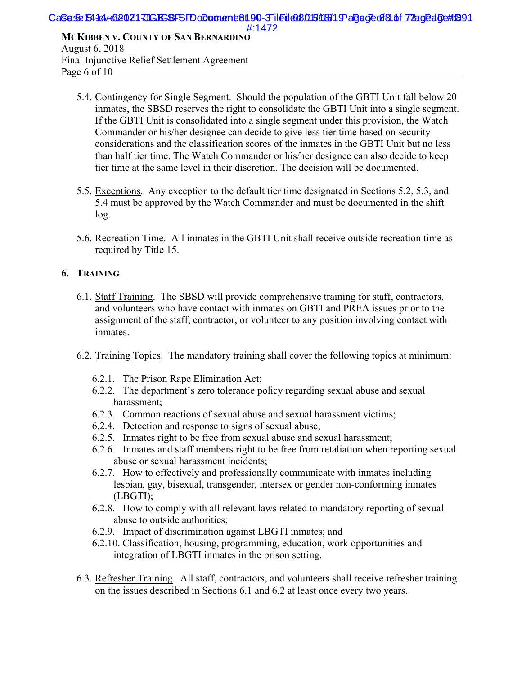Final Injunctive Relief Settlement Agreement Page 6 of 10

- 5.4. Contingency for Single Segment. Should the population of the GBTI Unit fall below 20 inmates, the SBSD reserves the right to consolidate the GBTI Unit into a single segment. If the GBTI Unit is consolidated into a single segment under this provision, the Watch Commander or his/her designee can decide to give less tier time based on security considerations and the classification scores of the inmates in the GBTI Unit but no less than half tier time. The Watch Commander or his/her designee can also decide to keep tier time at the same level in their discretion. The decision will be documented.
- 5.5. Exceptions. Any exception to the default tier time designated in Sections 5.2, 5.3, and 5.4 must be approved by the Watch Commander and must be documented in the shift log.
- 5.6. Recreation Time. All inmates in the GBTI Unit shall receive outside recreation time as required by Title 15.

### **6. TRAINING**

- 6.1. Staff Training. The SBSD will provide comprehensive training for staff, contractors, and volunteers who have contact with inmates on GBTI and PREA issues prior to the assignment of the staff, contractor, or volunteer to any position involving contact with inmates.
- 6.2. Training Topics. The mandatory training shall cover the following topics at minimum:
	- 6.2.1. The Prison Rape Elimination Act;
	- 6.2.2. The department's zero tolerance policy regarding sexual abuse and sexual harassment;
	- 6.2.3. Common reactions of sexual abuse and sexual harassment victims;
	- 6.2.4. Detection and response to signs of sexual abuse;
	- 6.2.5. Inmates right to be free from sexual abuse and sexual harassment;
	- 6.2.6. Inmates and staff members right to be free from retaliation when reporting sexual abuse or sexual harassment incidents;
	- 6.2.7. How to effectively and professionally communicate with inmates including lesbian, gay, bisexual, transgender, intersex or gender non-conforming inmates (LBGTI);
	- 6.2.8. How to comply with all relevant laws related to mandatory reporting of sexual abuse to outside authorities;
	- 6.2.9. Impact of discrimination against LBGTI inmates; and
	- 6.2.10. Classification, housing, programming, education, work opportunities and integration of LBGTI inmates in the prison setting.
- 6.3. Refresher Training. All staff, contractors, and volunteers shall receive refresher training on the issues described in Sections 6.1 and 6.2 at least once every two years.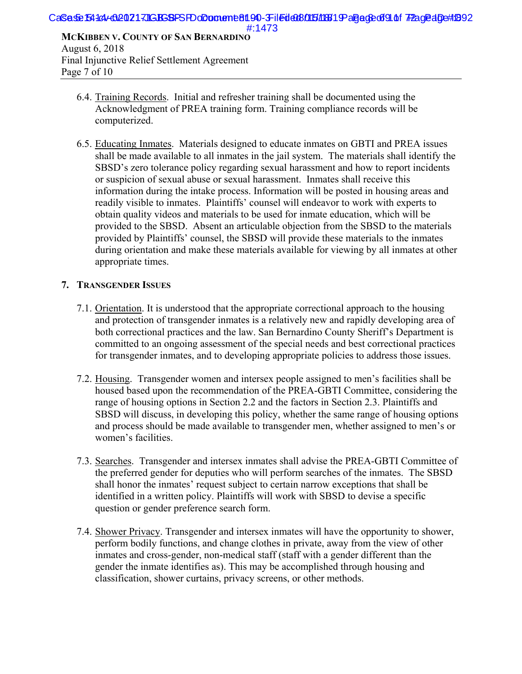- 6.4. Training Records. Initial and refresher training shall be documented using the Acknowledgment of PREA training form. Training compliance records will be computerized.
- 6.5. Educating Inmates. Materials designed to educate inmates on GBTI and PREA issues shall be made available to all inmates in the jail system. The materials shall identify the SBSD's zero tolerance policy regarding sexual harassment and how to report incidents or suspicion of sexual abuse or sexual harassment. Inmates shall receive this information during the intake process. Information will be posted in housing areas and readily visible to inmates. Plaintiffs' counsel will endeavor to work with experts to obtain quality videos and materials to be used for inmate education, which will be provided to the SBSD. Absent an articulable objection from the SBSD to the materials provided by Plaintiffs' counsel, the SBSD will provide these materials to the inmates during orientation and make these materials available for viewing by all inmates at other appropriate times.

#### **7. TRANSGENDER ISSUES**

Page 7 of 10

- 7.1. Orientation. It is understood that the appropriate correctional approach to the housing and protection of transgender inmates is a relatively new and rapidly developing area of both correctional practices and the law. San Bernardino County Sheriff's Department is committed to an ongoing assessment of the special needs and best correctional practices for transgender inmates, and to developing appropriate policies to address those issues.
- 7.2. Housing. Transgender women and intersex people assigned to men's facilities shall be housed based upon the recommendation of the PREA-GBTI Committee, considering the range of housing options in Section 2.2 and the factors in Section 2.3. Plaintiffs and SBSD will discuss, in developing this policy, whether the same range of housing options and process should be made available to transgender men, whether assigned to men's or women's facilities.
- 7.3. Searches. Transgender and intersex inmates shall advise the PREA-GBTI Committee of the preferred gender for deputies who will perform searches of the inmates. The SBSD shall honor the inmates' request subject to certain narrow exceptions that shall be identified in a written policy. Plaintiffs will work with SBSD to devise a specific question or gender preference search form.
- 7.4. Shower Privacy. Transgender and intersex inmates will have the opportunity to shower, perform bodily functions, and change clothes in private, away from the view of other inmates and cross-gender, non-medical staff (staff with a gender different than the gender the inmate identifies as). This may be accomplished through housing and classification, shower curtains, privacy screens, or other methods.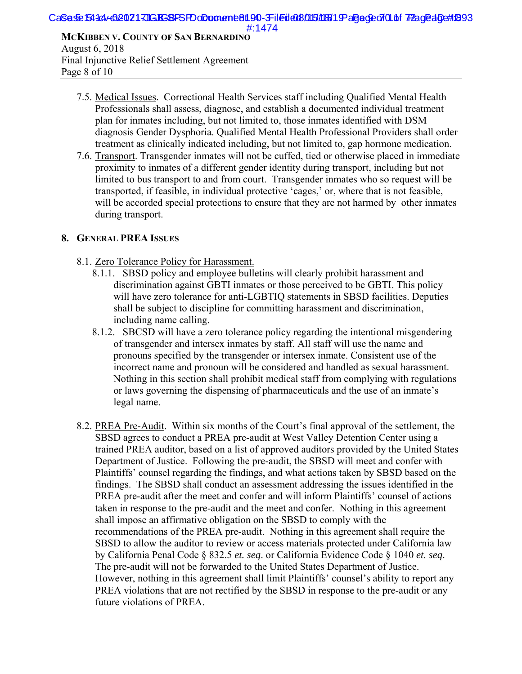August 6, 2018 Final Injunctive Relief Settlement Agreement Page 8 of 10

- 7.5. Medical Issues. Correctional Health Services staff including Qualified Mental Health Professionals shall assess, diagnose, and establish a documented individual treatment plan for inmates including, but not limited to, those inmates identified with DSM diagnosis Gender Dysphoria. Qualified Mental Health Professional Providers shall order treatment as clinically indicated including, but not limited to, gap hormone medication.
- 7.6. Transport. Transgender inmates will not be cuffed, tied or otherwise placed in immediate proximity to inmates of a different gender identity during transport, including but not limited to bus transport to and from court. Transgender inmates who so request will be transported, if feasible, in individual protective 'cages,' or, where that is not feasible, will be accorded special protections to ensure that they are not harmed by other inmates during transport.

#### **8. GENERAL PREA ISSUES**

- 8.1. Zero Tolerance Policy for Harassment.
	- 8.1.1. SBSD policy and employee bulletins will clearly prohibit harassment and discrimination against GBTI inmates or those perceived to be GBTI. This policy will have zero tolerance for anti-LGBTIQ statements in SBSD facilities. Deputies shall be subject to discipline for committing harassment and discrimination, including name calling.
	- 8.1.2. SBCSD will have a zero tolerance policy regarding the intentional misgendering of transgender and intersex inmates by staff. All staff will use the name and pronouns specified by the transgender or intersex inmate. Consistent use of the incorrect name and pronoun will be considered and handled as sexual harassment. Nothing in this section shall prohibit medical staff from complying with regulations or laws governing the dispensing of pharmaceuticals and the use of an inmate's legal name.
- 8.2. PREA Pre-Audit. Within six months of the Court's final approval of the settlement, the SBSD agrees to conduct a PREA pre-audit at West Valley Detention Center using a trained PREA auditor, based on a list of approved auditors provided by the United States Department of Justice. Following the pre-audit, the SBSD will meet and confer with Plaintiffs' counsel regarding the findings, and what actions taken by SBSD based on the findings. The SBSD shall conduct an assessment addressing the issues identified in the PREA pre-audit after the meet and confer and will inform Plaintiffs' counsel of actions taken in response to the pre-audit and the meet and confer. Nothing in this agreement shall impose an affirmative obligation on the SBSD to comply with the recommendations of the PREA pre-audit. Nothing in this agreement shall require the SBSD to allow the auditor to review or access materials protected under California law by California Penal Code § 832.5 *et. seq*. or California Evidence Code § 1040 *et. seq*. The pre-audit will not be forwarded to the United States Department of Justice. However, nothing in this agreement shall limit Plaintiffs' counsel's ability to report any PREA violations that are not rectified by the SBSD in response to the pre-audit or any future violations of PREA.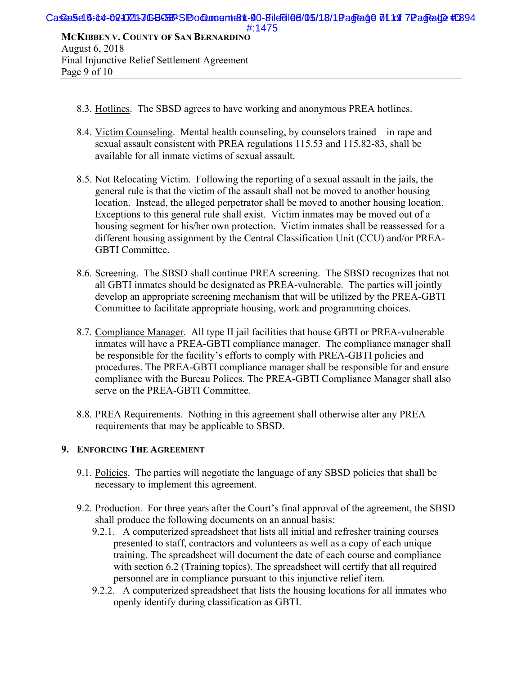- 8.3. Hotlines. The SBSD agrees to have working and anonymous PREA hotlines.
- 8.4. Victim Counseling. Mental health counseling, by counselors trained in rape and sexual assault consistent with PREA regulations 115.53 and 115.82-83, shall be available for all inmate victims of sexual assault.
- 8.5. Not Relocating Victim. Following the reporting of a sexual assault in the jails, the general rule is that the victim of the assault shall not be moved to another housing location. Instead, the alleged perpetrator shall be moved to another housing location. Exceptions to this general rule shall exist. Victim inmates may be moved out of a housing segment for his/her own protection. Victim inmates shall be reassessed for a different housing assignment by the Central Classification Unit (CCU) and/or PREA-GBTI Committee.
- 8.6. Screening. The SBSD shall continue PREA screening. The SBSD recognizes that not all GBTI inmates should be designated as PREA-vulnerable. The parties will jointly develop an appropriate screening mechanism that will be utilized by the PREA-GBTI Committee to facilitate appropriate housing, work and programming choices.
- 8.7. Compliance Manager. All type II jail facilities that house GBTI or PREA-vulnerable inmates will have a PREA-GBTI compliance manager. The compliance manager shall be responsible for the facility's efforts to comply with PREA-GBTI policies and procedures. The PREA-GBTI compliance manager shall be responsible for and ensure compliance with the Bureau Polices. The PREA-GBTI Compliance Manager shall also serve on the PREA-GBTI Committee.
- 8.8. PREA Requirements. Nothing in this agreement shall otherwise alter any PREA requirements that may be applicable to SBSD.

#### **9. ENFORCING THE AGREEMENT**

Page 9 of 10

- 9.1. Policies. The parties will negotiate the language of any SBSD policies that shall be necessary to implement this agreement.
- 9.2. Production. For three years after the Court's final approval of the agreement, the SBSD shall produce the following documents on an annual basis:
	- 9.2.1. A computerized spreadsheet that lists all initial and refresher training courses presented to staff, contractors and volunteers as well as a copy of each unique training. The spreadsheet will document the date of each course and compliance with section 6.2 (Training topics). The spreadsheet will certify that all required personnel are in compliance pursuant to this injunctive relief item.
	- 9.2.2. A computerized spreadsheet that lists the housing locations for all inmates who openly identify during classification as GBTI.